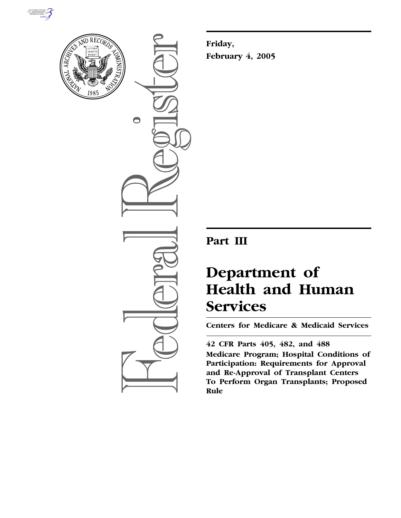



 $\bigcirc$ 

**Friday, February 4, 2005**

# **Part III**

# **Department of Health and Human Services**

**Centers for Medicare & Medicaid Services** 

## **42 CFR Parts 405, 482, and 488**

**Medicare Program; Hospital Conditions of Participation: Requirements for Approval and Re-Approval of Transplant Centers To Perform Organ Transplants; Proposed Rule**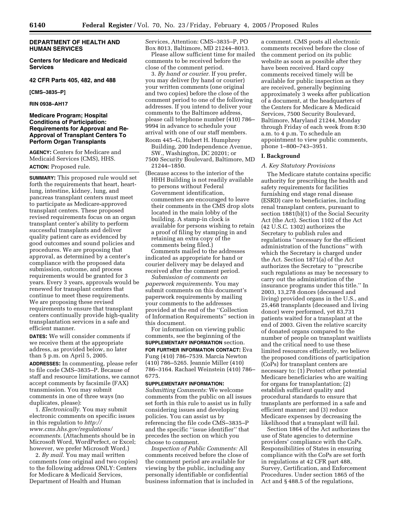## **DEPARTMENT OF HEALTH AND HUMAN SERVICES**

**Centers for Medicare and Medicaid Services** 

#### **42 CFR Parts 405, 482, and 488**

**[CMS–3835–P]** 

## **RIN 0938–AH17**

## **Medicare Program; Hospital Conditions of Participation: Requirements for Approval and Re-Approval of Transplant Centers To Perform Organ Transplants**

**AGENCY:** Centers for Medicare and Medicaid Services (CMS), HHS. **ACTION:** Proposed rule.

**SUMMARY:** This proposed rule would set forth the requirements that heart, heartlung, intestine, kidney, lung, and pancreas transplant centers must meet to participate as Medicare-approved transplant centers. These proposed revised requirements focus on an organ transplant center's ability to perform successful transplants and deliver quality patient care as evidenced by good outcomes and sound policies and procedures. We are proposing that approval, as determined by a center's compliance with the proposed data submission, outcome, and process requirements would be granted for 3 years. Every 3 years, approvals would be renewed for transplant centers that continue to meet these requirements. We are proposing these revised requirements to ensure that transplant centers continually provide high-quality transplantation services in a safe and efficient manner.

**DATES:** We will consider comments if we receive them at the appropriate address, as provided below, no later than 5 p.m. on April 5, 2005.

**ADDRESSES:** In commenting, please refer to file code CMS–3835–P. Because of staff and resource limitations, we cannot accept comments by facsimile (FAX) transmission. You may submit comments in one of three ways (no duplicates, please):

1. *Electronically.* You may submit electronic comments on specific issues in this regulation to *http:// www.cms.hhs.gov/regulations/ ecomments.* (Attachments should be in Microsoft Word, WordPerfect, or Excel; however, we prefer Microsoft Word.)

2. *By mail.* You may mail written comments (one original and two copies) to the following address ONLY: Centers for Medicare & Medicaid Services, Department of Health and Human

Services, Attention: CMS–3835–P, PO Box 8013, Baltimore, MD 21244–8013.

Please allow sufficient time for mailed comments to be received before the close of the comment period.

3. *By hand or courier.* If you prefer, you may deliver (by hand or courier) your written comments (one original and two copies) before the close of the comment period to one of the following addresses. If you intend to deliver your comments to the Baltimore address, please call telephone number (410) 786– 9994 in advance to schedule your arrival with one of our staff members. Room 445–G, Hubert H. Humphrey

Building, 200 Independence Avenue, SW., Washington, DC 20201; or

7500 Security Boulevard, Baltimore, MD 21244–1850.

(Because access to the interior of the HHH Building is not readily available to persons without Federal Government identification, commenters are encouraged to leave their comments in the CMS drop slots located in the main lobby of the building. A stamp-in clock is available for persons wishing to retain a proof of filing by stamping in and retaining an extra copy of the comments being filed.)

Comments mailed to the addresses indicated as appropriate for hand or courier delivery may be delayed and received after the comment period.

*Submission of comments on paperwork requirements.* You may submit comments on this document's paperwork requirements by mailing your comments to the addresses provided at the end of the ''Collection of Information Requirements'' section in this document.

For information on viewing public comments, see the beginning of the **SUPPLEMENTARY INFORMATION** section. **FOR FURTHER INFORMATION CONTACT:** Eva Fung (410) 786–7539. Marcia Newton (410) 786–5265. Jeannie Miller (410) 786–3164. Rachael Weinstein (410) 786– 6775.

#### **SUPPLEMENTARY INFORMATION:**

*Submitting Comments:* We welcome comments from the public on all issues set forth in this rule to assist us in fully considering issues and developing policies. You can assist us by referencing the file code CMS–3835–P and the specific ''issue identifier'' that precedes the section on which you choose to comment.

*Inspection of Public Comments:* All comments received before the close of the comment period are available for viewing by the public, including any personally identifiable or confidential business information that is included in a comment. CMS posts all electronic comments received before the close of the comment period on its public website as soon as possible after they have been received. Hard copy comments received timely will be available for public inspection as they are received, generally beginning approximately 3 weeks after publication of a document, at the headquarters of the Centers for Medicare & Medicaid Services, 7500 Security Boulevard, Baltimore, Maryland 21244, Monday through Friday of each week from 8:30 a.m. to 4 p.m. To schedule an appointment to view public comments, phone 1–800–743–3951.

#### **I. Background**

#### *A. Key Statutory Provisions*

The Medicare statute contains specific authority for prescribing the health and safety requirements for facilities furnishing end stage renal disease (ESRD) care to beneficiaries, including renal transplant centers, pursuant to section 1881(b)(1) of the Social Security Act (the Act). Section 1102 of the Act (42 U.S.C. 1302) authorizes the Secretary to publish rules and regulations ''necessary for the efficient administration of the functions'' with which the Secretary is charged under the Act. Section 1871(a) of the Act authorizes the Secretary to ''prescribe such regulations as may be necessary to carry out the administration of the insurance programs under this title.'' In 2003, 13,278 donors (deceased and living) provided organs in the U.S., and 25,468 transplants (deceased and living donor) were performed, yet 83,731 patients waited for a transplant at the end of 2003. Given the relative scarcity of donated organs compared to the number of people on transplant waitlists and the critical need to use these limited resources efficiently, we believe the proposed conditions of participation (CoPs) for transplant centers are necessary to: (1) Protect other potential Medicare beneficiaries who are waiting for organs for transplantation; (2) establish sufficient quality and procedural standards to ensure that transplants are performed in a safe and efficient manner; and (3) reduce Medicare expenses by decreasing the likelihood that a transplant will fail.

Section 1864 of the Act authorizes the use of State agencies to determine providers' compliance with the CoPs. Responsibilities of States in ensuring compliance with the CoPs are set forth in regulations at 42 CFR part 488, Survey, Certification, and Enforcement Procedures. Under section 1865 of the Act and § 488.5 of the regulations,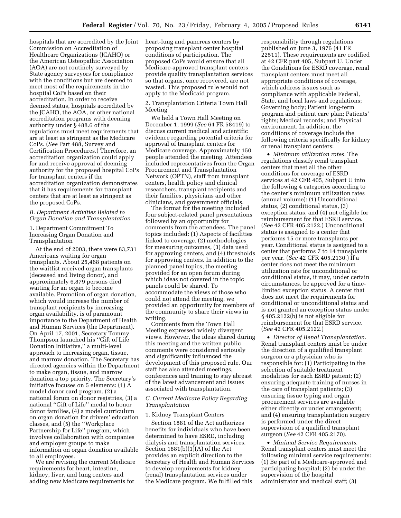hospitals that are accredited by the Joint Commission on Accreditation of Healthcare Organizations (JCAHO) or the American Osteopathic Association (AOA) are not routinely surveyed by State agency surveyors for compliance with the conditions but are deemed to meet most of the requirements in the hospital CoPs based on their accreditation. In order to receive deemed status, hospitals accredited by the JCAHO, the AOA, or other national accreditation programs with deeming authority under § 488.6 of the regulations must meet requirements that are at least as stringent as the Medicare CoPs. (*See* Part 488, Survey and Certification Procedures.) Therefore, an accreditation organization could apply for and receive approval of deeming authority for the proposed hospital CoPs for transplant centers if the accreditation organization demonstrates that it has requirements for transplant centers that are at least as stringent as the proposed CoPs.

## *B. Department Activities Related to Organ Donation and Transplantation*

1. Department Commitment To Increasing Organ Donation and Transplantation

At the end of 2003, there were 83,731 Americans waiting for organ transplants. About 25,468 patients on the waitlist received organ transplants (deceased and living donor), and approximately 6,879 persons died waiting for an organ to become available. Promotion of organ donation, which would increase the number of transplant recipients by increasing organ availability, is of paramount importance to the Department of Health and Human Services (the Department). On April 17, 2001, Secretary Tommy Thompson launched his ''Gift of Life Donation Initiative,'' a multi-level approach to increasing organ, tissue, and marrow donation. The Secretary has directed agencies within the Department to make organ, tissue, and marrow donation a top priority. The Secretary's initiative focuses on 5 elements: (1) A model donor card program, (2) a national forum on donor registries, (3) a national ''Gift of Life'' medal to honor donor families, (4) a model curriculum on organ donation for drivers' education classes, and (5) the ''Workplace Partnership for Life'' program, which involves collaboration with companies and employer groups to make information on organ donation available to all employees. We are revising the current Medicare

requirements for heart, intestine, kidney, liver, and lung centers and adding new Medicare requirements for heart-lung and pancreas centers by proposing transplant center hospital conditions of participation. The proposed CoPs would ensure that all Medicare-approved transplant centers provide quality transplantation services so that organs, once recovered, are not wasted. This proposed rule would not apply to the Medicaid program.

2. Transplantation Criteria Town Hall Meeting

We held a Town Hall Meeting on December 1, 1999 (*See* 64 FR 58419) to discuss current medical and scientific evidence regarding potential criteria for approval of transplant centers for Medicare coverage. Approximately 150 people attended the meeting. Attendees included representatives from the Organ Procurement and Transplantation Network (OPTN), staff from transplant centers, health policy and clinical researchers, transplant recipients and their families, physicians and other

clinicians, and government officials. The format for the meeting included four subject-related panel presentations followed by an opportunity for comments from the attendees. The panel topics included: (1) Aspects of facilities linked to coverage, (2) methodologies for measuring outcomes, (3) data used for approving centers, and (4) thresholds for approving centers. In addition to the planned panel topics, the meeting provided for an open forum during which ideas not covered in the topic panels could be shared. To accommodate the views of those who could not attend the meeting, we provided an opportunity for members of the community to share their views in

writing. Comments from the Town Hall Meeting expressed widely divergent views. However, the ideas shared during this meeting and the written public comments were considered seriously and significantly influenced the development of this proposed rule. Our staff has also attended meetings, conferences and training to stay abreast of the latest advancement and issues associated with transplantation.

## *C. Current Medicare Policy Regarding Transplantation*

#### 1. Kidney Transplant Centers

Section 1881 of the Act authorizes benefits for individuals who have been determined to have ESRD, including dialysis and transplantation services. Section  $1881(b)(1)(A)$  of the Act provides an explicit direction to the Secretary of Health and Human Services to develop requirements for kidney (renal) transplantation services under the Medicare program. We fulfilled this

responsibility through regulations published on June 3, 1976 (41 FR 22511). These requirements are codified at 42 CFR part 405, Subpart U. Under the Conditions for ESRD coverage, renal transplant centers must meet all appropriate conditions of coverage, which address issues such as compliance with applicable Federal, State, and local laws and regulations; Governing body; Patient long-term program and patient care plan; Patients' rights; Medical records; and Physical environment. In addition, the conditions of coverage include the following criteria specifically for kidney or renal transplant centers:

• *Minimum utilization rates.* The regulations classify renal transplant centers that meet all the other conditions for coverage of ESRD services at 42 CFR 405, Subpart U into the following 4 categories according to the center's minimum utilization rates (annual volume): (1) Unconditional status, (2) conditional status, (3) exception status, and (4) not eligible for reimbursement for that ESRD service. (*See* 42 CFR 405.2122.) Unconditional status is assigned to a center that performs 15 or more transplants per year. Conditional status is assigned to a center that performs 7 to 14 transplants per year. (*See* 42 CFR 405.2130.) If a center does not meet the minimum utilization rate for unconditional or conditional status, it may, under certain circumstances, be approved for a timelimited exception status. A center that does not meet the requirements for conditional or unconditional status and is not granted an exception status under § 405.2122(b) is not eligible for reimbursement for that ESRD service. (*See* 42 CFR 405.2122.)

• *Director of Renal Transplantation.* Renal transplant centers must be under the direction of a qualified transplant surgeon or a physician who is responsible for: (1) Participating in the selection of suitable treatment modalities for each ESRD patient; (2) ensuring adequate training of nurses in the care of transplant patients; (3) ensuring tissue typing and organ procurement services are available either directly or under arrangement; and (4) ensuring transplantation surgery is performed under the direct supervision of a qualified transplant surgeon (*See* 42 CFR 405.2170).

• *Minimal Service Requirements*. Renal transplant centers must meet the following minimal service requirements: (1) Be part of a Medicare-approved and participating hospital; (2) be under the supervision of the hospital administrator and medical staff; (3)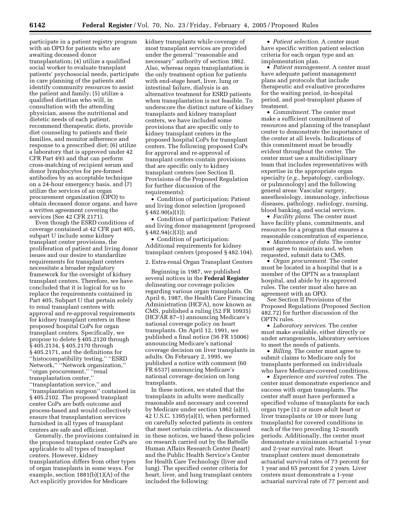participate in a patient registry program with an OPO for patients who are awaiting deceased donor transplantation; (4) utilize a qualified social worker to evaluate transplant patients' psychosocial needs, participate in care planning of the patients and identify community resources to assist the patient and family; (5) utilize a qualified dietitian who will, in consultation with the attending physician, assess the nutritional and dietetic needs of each patient, recommend therapeutic diets, provide diet counseling to patients and their families, and monitor adherence and response to a prescribed diet; (6) utilize a laboratory that is approved under 42 CFR Part 493 and that can perform cross-matching of recipient serum and donor lymphocytes for pre-formed antibodies by an acceptable technique on a 24-hour emergency basis, and (7) utilize the services of an organ procurement organization (OPO) to obtain deceased donor organs, and have a written agreement covering the services (See 42 CFR 2171).

Even though the ESRD conditions of coverage contained at 42 CFR part 405, subpart U include some kidney transplant center provisions, the proliferation of patient and living donor issues and our desire to standardize requirements for transplant centers necessitate a broader regulatory framework for the oversight of kidney transplant centers. Therefore, we have concluded that it is logical for us to replace the requirements contained in Part 405, Subpart U that pertain solely to renal transplant centers with approval and re-approval requirements for kidney transplant centers in these proposed hospital CoPs for organ transplant centers. Specifically, we propose to delete § 405.2120 through § 405.2134, § 405.2170 through § 405.2171, and the definitions for ''histocompatibility testing,'' ''ESRD Network,'' ''Network organization,'' ''organ procurement,'' ''renal transplantation center,''

''transplantation service,'' and ''transplantation surgeon'' contained in § 405.2102. The proposed transplant center CoPs are both outcome and process-based and would collectively ensure that transplantation services furnished in all types of transplant centers are safe and efficient.

Generally, the provisions contained in the proposed transplant center CoPs are applicable to all types of transplant centers. However, kidney transplantation differs from other types of organ transplants in some ways. For example, section 1881(b)(1)(A) of the Act explicitly provides for Medicare

kidney transplants while coverage of most transplant services are provided under the general ''reasonable and necessary'' authority of section 1862. Also, whereas organ transplantation is the only treatment option for patients with end-stage heart, liver, lung or intestinal failure, dialysis is an alternative treatment for ESRD patients when transplantation is not feasible. To underscore the distinct nature of kidney transplants and kidney transplant centers, we have included some provisions that are specific only to kidney transplant centers in the proposed hospital CoPs for transplant centers. The following proposed CoPs for approval and re-approval of transplant centers contain provisions that are specific only to kidney transplant centers (see Section II. Provisions of the Proposed Regulation for further discussion of the requirements):

• Condition of participation: Patient and living donor selection (proposed § 482.90(a)(1));

• Condition of participation: Patient and living donor management (proposed  $§ 482.94(c)(3); and$ 

• Condition of participation: Additional requirements for kidney transplant centers (proposed § 482.104).

2. Extra-renal Organ Transplant Centers

Beginning in 1987, we published several notices in the **Federal Register** delineating our coverage policies regarding various organ transplants. On April 6, 1987, the Health Care Financing Administration (HCFA), now known as CMS, published a ruling (52 FR 10935) (HCFAR 87–1) announcing Medicare's national coverage policy on heart transplants. On April 12, 1991, we published a final notice (56 FR 15006) announcing Medicare's national coverage decision on liver transplants in adults. On February 2, 1995, we published a notice with comment (60 FR 6537) announcing Medicare's national coverage decision on lung transplants.

In these notices, we stated that the transplants in adults were medically reasonable and necessary and covered by Medicare under section 1862 (a)(1), 42 U.S.C.  $1395y(a)(1)$ , when performed on carefully selected patients in centers that meet certain criteria. As discussed in these notices, we based these policies on research carried out by the Battelle Human Affairs Research Center (heart) and the Public Health Service's Center for Health Care Technology (liver and lung). The specified center criteria for heart, liver, and lung transplant centers included the following:

• *Patient selection*. A center must have specific written patient selection criteria for each organ type and an implementation plan.

• *Patient management*. A center must have adequate patient management plans and protocols that include therapeutic and evaluative procedures for the waiting period, in-hospital period, and post-transplant phases of treatment.

• *Commitment*. The center must make a sufficient commitment of resources and planning of the transplant center to demonstrate the importance of the center at all levels. Indications of this commitment must be broadly evident throughout the center. The center must use a multidisciplinary team that includes representatives with expertise in the appropriate organ specialty (*e.g.*, hepatology, cardiology, or pulmonology) and the following general areas: Vascular surgery, anesthesiology, immunology, infectious diseases, pathology, radiology, nursing, blood banking, and social services.

• *Facility plans*. The center must have facility plans, commitments, and resources for a program that ensures a reasonable concentration of experience.

• *Maintenance of data*. The center must agree to maintain and, when requested, submit data to CMS.

• *Organ procurement*. The center must be located in a hospital that is a member of the OPTN as a transplant hospital, and abide by its approved rules. The center must also have an agreement with an OPO.

See Section II Provisions of the Proposed Regulations (Proposed Section 482.72) for further discussion of the OPTN rules.

• *Laboratory services*. The center must make available, either directly or under arrangements, laboratory services to meet the needs of patients.

• *Billing*. The center must agree to submit claims to Medicare only for transplants performed on individuals who have Medicare-covered conditions.

• *Experience and survival rates*. The center must demonstrate experience and success with organ transplants. The center staff must have performed a specified volume of transplants for each organ type (12 or more adult heart or liver transplants or 10 or more lung transplants) for covered conditions in each of the two preceding 12-month periods. Additionally, the center must demonstrate a minimum actuarial 1-year and 2-year survival rate. Heart transplant centers must demonstrate actuarial survival rates of 73 percent for 1 year and 65 percent for 2 years. Liver centers must demonstrate a 1-year actuarial survival rate of 77 percent and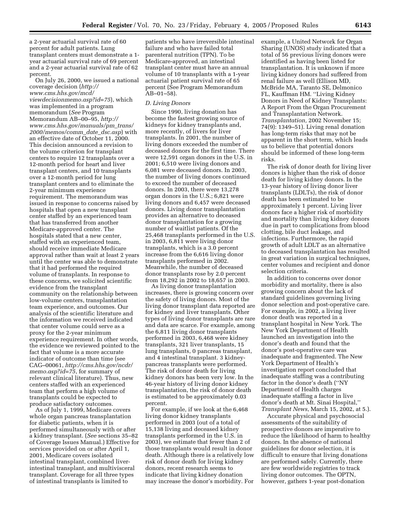a 2-year actuarial survival rate of 60 percent for adult patients. Lung transplant centers must demonstrate a 1 year actuarial survival rate of 69 percent and a 2-year actuarial survival rate of 62 percent.

On July 26, 2000, we issued a national coverage decision (*http:// www.cms.hhs.gov/mcd/ viewdecisionmemo.asp?id=75*), which was implemented in a program memorandum (*See* Program Memorandum AB–00–95, *http:// www.cms.hhs.gov/manuals/pm*\_*trans/ 2000/memos/comm*\_*date*\_*dsc.asp*) with an effective date of October 11, 2000. This decision announced a revision to the volume criterion for transplant centers to require 12 transplants over a 12-month period for heart and liver transplant centers, and 10 transplants over a 12-month period for lung transplant centers and to eliminate the 2-year minimum experience requirement. The memorandum was issued in response to concerns raised by hospitals that open a new transplant center staffed by an experienced team that has transferred from another Medicare-approved center. The hospitals stated that a new center, staffed with an experienced team, should receive immediate Medicare approval rather than wait at least 2 years until the center was able to demonstrate that it had performed the required volume of transplants. In response to these concerns, we solicited scientific evidence from the transplant community on the relationship between low-volume centers, transplantation team experience, and outcomes. Our analysis of the scientific literature and the information we received indicated that center volume could serve as a proxy for the 2-year minimum experience requirement. In other words, the evidence we reviewed pointed to the fact that volume is a more accurate indicator of outcome than time (see CAG–00061, *http://cms.hhs.gov/ncdr/ memo.asp?id=75*, for summary of relevant clinical literature). Thus, new centers staffed with an experienced team that perform a high volume of transplants could be expected to produce satisfactory outcomes.

As of July 1, 1999, Medicare covers whole organ pancreas transplantation for diabetic patients, when it is performed simultaneously with or after a kidney transplant. (*See* sections 35–82 of Coverage Issues Manual.) Effective for services provided on or after April 1, 2001, Medicare covers isolated intestinal transplant, combined liverintestinal transplant, and multivisceral transplant. Coverage for all three types of intestinal transplants is limited to

patients who have irreversible intestinal failure and who have failed total parenteral nutrition (TPN). To be Medicare-approved, an intestinal transplant center must have an annual volume of 10 transplants with a 1-year actuarial patient survival rate of 65 percent (See Program Memorandum AB–01–58).

#### *D. Living Donors*

Since 1990, living donation has become the fastest growing source of kidneys for kidney transplants and, more recently, of livers for liver transplants. In 2001, the number of living donors exceeded the number of deceased donors for the first time. There were 12,591 organ donors in the U.S. in 2001; 6,510 were living donors and 6,081 were deceased donors. In 2003, the number of living donors continued to exceed the number of deceased donors. In 2003, there were 13,278 organ donors in the U.S.; 6,821 were living donors and 6,457 were deceased donors. Living donor transplantation provides an alternative to deceased donor transplantation for a growing number of waitlist patients. Of the 25,468 transplants performed in the U.S. in 2003, 6,811 were living donor transplants, which is a 3.0 percent increase from the 6,616 living donor transplants performed in 2002. Meanwhile, the number of deceased donor transplants rose by 2.0 percent from 18,292 in 2002 to 18,657 in 2003.

As living donor transplantation increases, there is growing concern over the safety of living donors. Most of the living donor transplant data reported are for kidney and liver transplants. Other types of living donor transplants are rare and data are scarce. For example, among the 6,811 living donor transplants performed in 2003, 6,468 were kidney transplants, 321 liver transplants, 15 lung transplants, 0 pancreas transplant, and 4 intestinal transplant. 3 kidneypancreas transplants were performed. The risk of donor death for living kidney donors has been very low. In the 46-year history of living donor kidney transplantation, the risk of donor death is estimated to be approximately 0.03 percent.

For example, if we look at the 6,468 living donor kidney transplants performed in 2003 (out of a total of 15,138 living and deceased kidney transplants performed in the U.S. in 2003), we estimate that fewer than 2 of those transplants would result in donor death. Although there is a relatively low risk of donor death for living kidney donors, recent research seems to indicate that living kidney donation may increase the donor's morbidity. For

example, a United Network for Organ Sharing (UNOS) study indicated that a total of 56 previous living donors were identified as having been listed for transplantation. It is unknown if more living kidney donors had suffered from renal failure as well (Ellison MD, McBride MA, Taranto SE, Delmonico FL, Kauffman HM. ''Living Kidney Donors in Need of Kidney Transplants: A Report From the Organ Procurement and Transplantation Network. *Transplantation,* 2002 November 15; 74(9): 1349–51). Living renal donation has long-term risks that may not be apparent in the short term, which leads us to believe that potential donors should be informed of these long-term risks.

The risk of donor death for living liver donors is higher than the risk of donor death for living kidney donors. In the 13-year history of living donor liver transplants (LDLTs), the risk of donor death has been estimated to be approximately 1 percent. Living liver donors face a higher risk of morbidity and mortality than living kidney donors due in part to complications from blood clotting, bile duct leakage, and infections. Furthermore, the rapid growth of adult LDLT as an alternative to deceased transplantation has resulted in great variation in surgical techniques, center volumes and recipient and donor selection criteria.

In addition to concerns over donor morbidity and mortality, there is also growing concern about the lack of standard guidelines governing living donor selection and post-operative care. For example, in 2002, a living liver donor death was reported in a transplant hospital in New York. The New York Department of Health launched an investigation into the donor's death and found that the donor's post-operative care was inadequate and fragmented. The New York Department of Health's investigation report concluded that inadequate staffing was a contributing factor in the donor's death (''NY Department of Health charges inadequate staffing a factor in live donor's death at Mt. Sinai Hospital,'' *Transplant News*, March 15, 2002, at 5.).

Accurate physical and psychosocial assessments of the suitability of prospective donors are imperative to reduce the likelihood of harm to healthy donors. In the absence of national guidelines for donor selection, it is difficult to ensure that living donations are performed safely. Currently, there are few worldwide registries to track living donor outcomes. The OPTN, however, gathers 1-year post-donation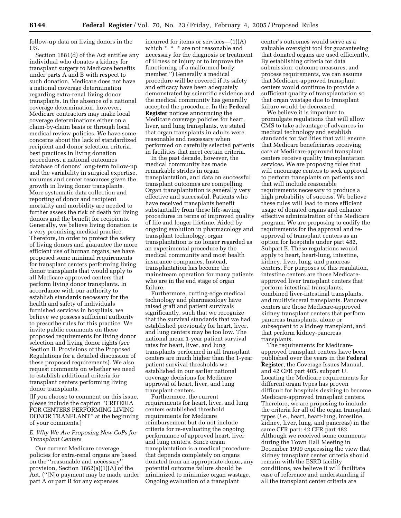follow-up data on living donors in the US.

Section 1881(d) of the Act entitles any individual who donates a kidney for transplant surgery to Medicare benefits under parts A and B with respect to such donation. Medicare does not have a national coverage determination regarding extra-renal living donor transplants. In the absence of a national coverage determination, however, Medicare contractors may make local coverage determinations either on a claim-by-claim basis or through local medical review policies. We have some concerns about the lack of standardized recipient and donor selection criteria, best practices in living donation procedures, a national outcomes database of donors' long-term follow-up and the variability in surgical expertise, volumes and center resources given the growth in living donor transplants. More systematic data collection and reporting of donor and recipient mortality and morbidity are needed to further assess the risk of death for living donors and the benefit for recipients. Generally, we believe living donation is a very promising medical practice. Therefore, in order to protect the safety of living donors and guarantee the more efficient use of human organs, we have proposed some minimal requirements for transplant centers performing living donor transplants that would apply to all Medicare-approved centers that perform living donor transplants. In accordance with our authority to establish standards necessary for the health and safety of individuals furnished services in hospitals, we believe we possess sufficient authority to prescribe rules for this practice. We invite public comments on these proposed requirements for living donor selection and living donor rights (*see* Section II. Provisions of the Proposed Regulations for a detailed discussion of these proposed requirements). We also request comments on whether we need to establish additional criteria for transplant centers performing living donor transplants.

[If you choose to comment on this issue, please include the caption ''CRITERIA FOR CENTERS PERFORMING LIVING DONOR TRANPLANT'' at the beginning of your comments.]

## *E. Why We Are Proposing New CoPs for Transplant Centers*

Our current Medicare coverage policies for extra-renal organs are based on the ''reasonable and necessary'' provision, Section 1862(a)(1)(A) of the Act. (''[N]o payment may be made under part A or part B for any expenses

incurred for items or services—(1)(A) which \* \* \* are not reasonable and necessary for the diagnosis or treatment of illness or injury or to improve the functioning of a malformed body member.'') Generally a medical procedure will be covered if its safety and efficacy have been adequately demonstrated by scientific evidence and the medical community has generally accepted the procedure. In the **Federal Register** notices announcing the Medicare coverage policies for heart, liver, and lung transplants, we stated that organ transplants in adults were reasonable and necessary when performed on carefully selected patients in facilities that meet certain criteria.

In the past decade, however, the medical community has made remarkable strides in organ transplantation, and data on successful transplant outcomes are compelling. Organ transplantation is generally very effective and successful. Patients who have received transplants benefit substantially from these life-saving procedures in terms of improved quality of life and longer lifetime. Aided by ongoing evolution in pharmacology and transplant technology, organ transplantation is no longer regarded as an experimental procedure by the medical community and most health insurance companies. Instead, transplantation has become the mainstream operation for many patients who are in the end stage of organ failure.

Furthermore, cutting-edge medical technology and pharmacology have raised graft and patient survivals significantly, such that we recognize that the survival standards that we had established previously for heart, liver, and lung centers may be too low. The national mean 1-year patient survival rates for heart, liver, and lung transplants performed in all transplant centers are much higher than the 1-year patient survival thresholds we established in our earlier national coverage decisions for Medicare approval of heart, liver, and lung transplant centers.

Furthermore, the current requirements for heart, liver, and lung centers established threshold requirements for Medicare reimbursement but do not include criteria for re-evaluating the ongoing performance of approved heart, liver and lung centers. Since organ transplantation is a medical procedure that depends completely on organs donated from an appropriate donor, any potential outcome failure should be minimized to minimize organ wastage. Ongoing evaluation of a transplant

center's outcomes would serve as a valuable oversight tool for guaranteeing that donated organs are used efficiently. By establishing criteria for data submission, outcome measures, and process requirements, we can assume that Medicare-approved transplant centers would continue to provide a sufficient quality of transplantation so that organ wastage due to transplant failure would be decreased.

We believe it is important to promulgate regulations that will allow CMS to take advantage of advances in medical technology and establish standards for facilities that will ensure that Medicare beneficiaries receiving care at Medicare-approved transplant centers receive quality transplantation services. We are proposing rules that will encourage centers to seek approval to perform transplants on patients and that will include reasonable requirements necessary to produce a high probability of success. We believe these rules will lead to more efficient usage of donated organs and enhance effective administration of the Medicare program. We are proposing to codify the requirements for the approval and reapproval of transplant centers as an option for hospitals under part 482, Subpart E. These regulations would apply to heart, heart-lung, intestine, kidney, liver, lung, and pancreas centers. For purposes of this regulation, intestine centers are those Medicareapproved liver transplant centers that perform intestinal transplants, combined liver-intestinal transplants, and multivisceral transplants. Pancreas centers are those Medicare-approved kidney transplant centers that perform pancreas transplants, alone or subsequent to a kidney transplant, and that perform kidney-pancreas transplants.

The requirements for Medicareapproved transplant centers have been published over the years in the **Federal Register**, the Coverage Issues Manual, and 42 CFR part 405, subpart U. Locating the Medicare requirements for different organ types has proven difficult for hospitals desiring to become Medicare-approved transplant centers. Therefore, we are proposing to include the criteria for all of the organ transplant types (*i.e.*, heart, heart-lung, intestine, kidney, liver, lung, and pancreas) in the same CFR part: 42 CFR part 482. Although we received some comments during the Town Hall Meeting in December 1999 expressing the view that kidney transplant center criteria should remain with the ESRD facility conditions, we believe it will facilitate ease of reference and understanding if all the transplant center criteria are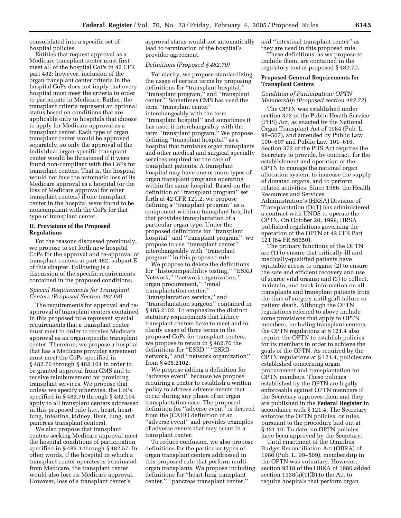consolidated into a specific set of hospital policies.

Entities that request approval as a Medicare transplant center must first meet all of the hospital CoPs in 42 CFR part 482; however, inclusion of the organ transplant center criteria in the hospital CoPs does not imply that every hospital must meet the criteria in order to participate in Medicare. Rather, the transplant criteria represent an optional status based on conditions that are applicable only to hospitals that choose to apply for Medicare approval as a transplant center. Each type of organ transplant center would be approved separately, so only the approval of the individual organ-specific transplant center would be threatened if it were found non-compliant with the CoPs for transplant centers. That is, the hospital would not face the automatic loss of its Medicare approval as a hospital (or the loss of Medicare approval for other transplant centers) if one transplant center in the hospital were found to be noncompliant with the CoPs for that type of transplant center.

## **II. Provisions of the Proposed Regulations**

For the reasons discussed previously, we propose to set forth new hospital CoPs for the approval and re-approval of transplant centers at part 482, subpart E of this chapter. Following is a discussion of the specific requirements contained in the proposed conditions.

## *Special Requirements for Transplant Centers (Proposed Section 482.68)*

The requirements for approval and reapproval of transplant centers contained in this proposed rule represent special requirements that a transplant center must meet in order to receive Medicare approval as an organ-specific transplant center. Therefore, we propose a hospital that has a Medicare provider agreement must meet the CoPs specified in § 482.70 through § 482.104 in order to be granted approval from CMS and to receive reimbursement for providing transplant services. We propose that unless we specify otherwise, the CoPs specified in § 482.70 through § 482.104 apply to all transplant centers addressed in this proposed rule (*i.e.*, heart, heartlung, intestine, kidney, liver, lung, and pancreas transplant centers).

We also propose that transplant centers seeking Medicare approval meet the hospital conditions of participation specified in § 482.1 through § 482.57. In other words, if the hospital in which a transplant center operates is terminated from Medicare, the transplant center would also lose its Medicare approval. However, loss of a transplant center's

approval status would not automatically lead to termination of the hospital's provider agreement.

#### *Definitions (Proposed § 482.70)*

For clarity, we propose standardizing the usage of certain terms by proposing definitions for ''transplant hospital,'' ''transplant program,'' and ''transplant center.'' Sometimes CMS has used the term ''transplant center'' interchangeably with the term ''transplant hospital'' and sometimes it has used it interchangeably with the term ''transplant program.'' We propose defining ''transplant hospital'' as a hospital that furnishes organ transplants and other medical and surgical specialty services required for the care of transplant patients. A transplant hospital may have one or more types of organ transplant programs operating within the same hospital. Based on the definition of ''transplant program'' set forth at 42 CFR 121.2, we propose defining a ''transplant program'' as a component within a transplant hospital that provides transplantation of a particular organ type. Under the proposed definitions for ''transplant hospital'' and ''transplant program'', we propose to use ''transplant center'' interchangeably with ''transplant program'' in this proposed rule.

We propose to delete the definitions for ''histocompatibility testing,'' ''ESRD Network,'' ''network organization,'' organ procurement,'' ''renal transplantation center,'' ''transplantation service,'' and ''transplantation surgeon'' contained in § 405.2102. To emphasize the distinct statutory requirements that kidney transplant centers have to meet and to clarify usage of three terms in the proposed CoPs for transplant centers, we propose to retain in § 482.70 the definitions for "ESRD," "ESRD network,'' and ''network organization'' from § 405.2102.

We propose adding a definition for ''adverse event'' because we propose requiring a center to establish a written policy to address adverse events that occur during any phase of an organ transplantation case. The proposed definition for ''adverse event'' is derived from the JCAHO definition of an ''adverse event'' and provides examples of adverse events that may occur in a transplant center.

To reduce confusion, we also propose definitions for the particular types of organ transplant centers addressed in this proposed rule that perform multiorgan transplants. We propose including definitions for ''heart-lung transplant center,'' ''pancreas transplant center,''

and ''intestinal transplant center'' as they are used in this proposed rule. These definitions, as we propose to

include them, are contained in the regulatory text at proposed § 482.70.

## **Proposed General Requirements for Transplant Centers**

## *Condition of Participation: OPTN Membership (Proposed section 482.72)*

The OPTN was established under section 372 of the Public Health Service (PHS) Act, as enacted by the National Organ Transplant Act of 1984 (Pub. L. 98–507), and amended by Public Law 100–607 and Public Law 101–616. Section 372 of the PHS Act requires the Secretary to provide, by contract, for the establishment and operation of the OPTN to manage the national organ allocation system, to increase the supply of donated organs, and to perform related activities. Since 1986, the Health Resources and Services Administration's (HRSA) Division of Transplantation (DoT) has administered a contract with UNOS to operate the OPTN. On October 20, 1999, HRSA published regulations governing the operation of the OPTN at 42 CFR Part 121 (64 FR 56650).

The primary functions of the OPTN are (1) to ensure that critically-ill and medically-qualified patients have equitable access to organs; (2) to ensure the safe and efficient recovery and use of scarce vital organs; and (3) to collect, maintain, and track information on all transplants and transplant patients from the time of surgery until graft failure or patient death. Although the OPTN regulations referred to above include some provisions that apply to OPTN members, including transplant centers, the OPTN regulations at § 121.4 also require the OPTN to establish policies for its members in order to achieve the goals of the OPTN. As required by the OPTN regulations at § 121.4, policies are established concerning organ procurement and transplantation for OPTN members. These policies established by the OPTN are legally enforceable against OPTN members if the Secretary approves them and they are published in the **Federal Register** in accordance with § 121.4. The Secretary enforces the OPTN policies, or rules, pursuant to the procedure laid out at § 121.10. To date, no OPTN policies have been approved by the Secretary.

Until enactment of the Omnibus Budget Reconciliation Act (OBRA) of 1986 (Pub. L. 99–509), membership in the OPTN was voluntary. However, section 9318 of the OBRA of 1986 added section  $1138(a)(1)(B)$  to the Act to require hospitals that perform organ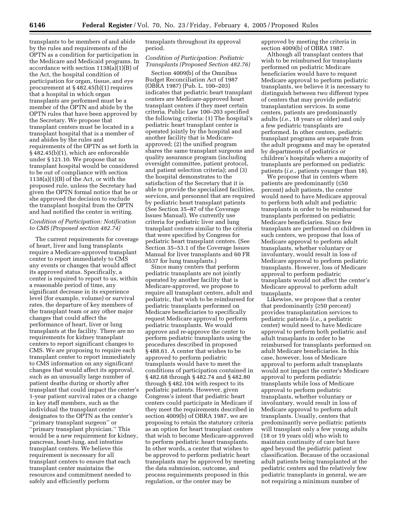transplants to be members of and abide by the rules and requirements of the OPTN as a condition for participation in the Medicare and Medicaid programs. In accordance with section 1138(a)(1)(B) of the Act, the hospital condition of participation for organ, tissue, and eye procurement at § 482.45(b)(1) requires that a hospital in which organ transplants are performed must be a member of the OPTN and abide by the OPTN rules that have been approved by the Secretary. We propose that transplant centers must be located in a transplant hospital that is a member of and abides by the rules and requirements of the OPTN as set forth in § 482.45(b)(1), which are enforceable under § 121.10. We propose that no transplant hospital would be considered to be out of compliance with section 1138(a)(1)(B) of the Act, or with the proposed rule, unless the Secretary had given the OPTN formal notice that he or she approved the decision to exclude the transplant hospital from the OPTN and had notified the center in writing.

## *Condition of Participation: Notification to CMS (Proposed section 482.74)*

The current requirements for coverage of heart, liver and lung transplants require a Medicare-approved transplant center to report immediately to CMS any events or changes that would affect its approved status. Specifically, a center is required to report to us, within a reasonable period of time, any significant decrease in its experience level (for example, volume) or survival rates, the departure of key members of the transplant team or any other major changes that could affect the performance of heart, liver or lung transplants at the facility. There are no requirements for kidney transplant centers to report significant changes to CMS. We are proposing to require each transplant center to report immediately to CMS information on any significant changes that would affect its approval, such as an unusually large number of patient deaths during or shortly after transplant that could impact the center's 1-year patient survival rates or a change in key staff members, such as the individual the transplant center designates to the OPTN as the center's ''primary transplant surgeon'' or ''primary transplant physician.'' This would be a new requirement for kidney, pancreas, heart-lung, and intestine transplant centers. We believe this requirement is necessary for all transplant centers to ensure that each transplant center maintains the resources and commitment needed to safely and efficiently perform

transplants throughout its approval period.

## *Condition of Participation: Pediatric Transplants (Proposed Section 482.76)*

Section 4009(b) of the Omnibus Budget Reconciliation Act of 1987 (OBRA 1987) (Pub. L. 100–203) indicates that pediatric heart transplant centers are Medicare-approved heart transplant centers if they meet certain criteria. Public Law 100–203 specified the following criteria: (1) The hospital's pediatric heart transplant center is operated jointly by the hospital and another facility that is Medicareapproved; (2) the unified program shares the same transplant surgeons and quality assurance program (including oversight committee, patient protocol, and patient selection criteria); and (3) the hospital demonstrates to the satisfaction of the Secretary that it is able to provide the specialized facilities, services, and personnel that are required by pediatric heart transplant patients (See Section 35–87 of the Coverage Issues Manual). We currently use criteria for pediatric liver and lung transplant centers similar to the criteria that were specified by Congress for pediatric heart transplant centers. (See Section 35–53.1 of the Coverage Issues Manual for liver transplants and 60 FR 6537 for lung transplants.)

Since many centers that perform pediatric transplants are not jointly operated by another facility that is Medicare-approved, we propose to require all transplant centers, adult and pediatric, that wish to be reimbursed for pediatric transplants performed on Medicare beneficiaries to specifically request Medicare approval to perform pediatric transplants. We would approve and re-approve the center to perform pediatric transplants using the procedures described in proposed § 488.61. A center that wishes to be approved to perform pediatric transplants would have to meet the conditions of participation contained in § 482.68 through § 482.74 and § 482.80 through § 482.104 with respect to its pediatric patients. However, given Congress's intent that pediatric heart centers could participate in Medicare if they meet the requirements described in section 4009(b) of OBRA 1987, we are proposing to retain the statutory criteria as an option for heart transplant centers that wish to become Medicare-approved to perform pediatric heart transplants. In other words, a center that wishes to be approved to perform pediatric heart transplants may be approved by meeting the data submission, outcome, and process requirements proposed in this regulation, or the center may be

approved by meeting the criteria in section 4009(b) of OBRA 1987.

Although all transplant centers that wish to be reimbursed for transplants performed on pediatric Medicare beneficiaries would have to request Medicare approval to perform pediatric transplants, we believe it is necessary to distinguish between two different types of centers that may provide pediatric transplantation services. In some centers, patients are predominantly adults (*i.e.*, 18 years or older) and only a few pediatric transplants are performed. In other centers, pediatric transplant programs are separate from the adult programs and may be operated by departments of pediatrics or children's hospitals where a majority of transplants are performed on pediatric patients (*i.e.*, patients younger than 18).

We propose that in centers where patients are predominantly (≤50 percent) adult patients, the center would need to have Medicare approval to perform both adult and pediatric transplants in order to be reimbursed for transplants performed on pediatric Medicare beneficiaries. Since few transplants are performed on children in such centers, we propose that loss of Medicare approval to perform adult transplants, whether voluntary or involuntary, would result in loss of Medicare approval to perform pediatric transplants. However, loss of Medicare approval to perform pediatric transplants would not affect the center's Medicare approval to perform adult transplants.

Likewise, we propose that a center that predominantly (≥50 percent) provides transplantation services to pediatric patients (*i.e.*, a pediatric center) would need to have Medicare approval to perform both pediatric and adult transplants in order to be reimbursed for transplants performed on adult Medicare beneficiaries. In this case, however, loss of Medicare approval to perform adult transplants would not impact the center's Medicare approval to perform pediatric transplants while loss of Medicare approval to perform pediatric transplants, whether voluntary or involuntary, would result in loss of Medicare approval to perform adult transplants. Usually, centers that predominantly serve pediatric patients will transplant only a few young adults (18 or 19 years old) who wish to maintain continuity of care but have aged beyond the pediatric patient classification. Because of the occasional adult patients being transplanted at the pediatric centers and the relatively few pediatric transplants in general, we are not requiring a minimum number of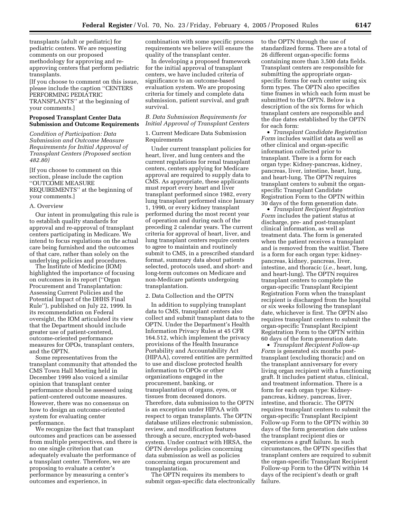transplants (adult or pediatric) for pediatric centers. We are requesting comments on our proposed methodology for approving and reapproving centers that perform pediatric transplants.

[If you choose to comment on this issue, please include the caption ''CENTERS PERFORMING PEDIATRIC TRANSPLANTS'' at the beginning of your comments.]

## **Proposed Transplant Center Data Submission and Outcome Requirements**

*Condition of Participation: Data Submission and Outcome Measure Requirements for Initial Approval of Transplant Centers (Proposed section 482.80)*

[If you choose to comment on this section, please include the caption ''OUTCOME MEASURE REQUIREMENTS'' at the beginning of your comments.]

#### A. Overview

Our intent in promulgating this rule is to establish quality standards for approval and re-approval of transplant centers participating in Medicare. We intend to focus regulations on the actual care being furnished and the outcomes of that care, rather than solely on the underlying policies and procedures.

The Institute of Medicine (IOM) highlighted the importance of focusing on outcomes in its report (''Organ Procurement and Transplantation: Assessing Current Policies and the Potential Impact of the DHHS Final Rule''), published on July 22, 1999. In its recommendation on Federal oversight, the IOM articulated its view that the Department should include greater use of patient-centered, outcome-oriented performance measures for OPOs, transplant centers, and the OPTN.

Some representatives from the transplant community that attended the CMS Town Hall Meeting held in December 1999 also voiced a similar opinion that transplant center performance should be assessed using patient-centered outcome measures. However, there was no consensus on how to design an outcome-oriented system for evaluating center performance.

We recognize the fact that transplant outcomes and practices can be assessed from multiple perspectives, and there is no one single criterion that can adequately evaluate the performance of a transplant center. Therefore, we are proposing to evaluate a center's performance by measuring a center's outcomes and experience, in

combination with some specific process requirements we believe will ensure the quality of the transplant center.

In developing a proposed framework for the initial approval of transplant centers, we have included criteria of significance to an outcome-based evaluation system. We are proposing criteria for timely and complete data submission, patient survival, and graft survival.

## *B. Data Submission Requirements for Initial Approval of Transplant Centers*

1. Current Medicare Data Submission Requirements

Under current transplant policies for heart, liver, and lung centers and the current regulations for renal transplant centers, centers applying for Medicare approval are required to supply data to CMS. As appropriate, these applicants must report every heart and liver transplant performed since 1982, every lung transplant performed since January 1, 1990, or every kidney transplant performed during the most recent year of operation and during each of the preceding 2 calendar years. The current criteria for approval of heart, liver, and lung transplant centers require centers to agree to maintain and routinely submit to CMS, in a prescribed standard format, summary data about patients selected, protocols used, and short- and long-term outcomes on Medicare and non-Medicare patients undergoing transplantation.

#### 2. Data Collection and the OPTN

In addition to supplying transplant data to CMS, transplant centers also collect and submit transplant data to the OPTN. Under the Department's Health Information Privacy Rules at 45 CFR 164.512, which implement the privacy provisions of the Health Insurance Portability and Accountability Act (HIPAA), covered entities are permitted to use and disclose protected health information to OPOs or other organizations engaged in the procurement, banking, or transplantation of organs, eyes, or tissues from deceased donors. Therefore, data submission to the OPTN is an exception under HIPAA with respect to organ transplants. The OPTN database utilizes electronic submission, review, and modification features through a secure, encrypted web-based system. Under contract with HRSA, the OPTN develops policies concerning data submission as well as policies concerning organ procurement and transplantation.

The OPTN requires its members to submit organ-specific data electronically to the OPTN through the use of standardized forms. There are a total of 26 different organ-specific forms containing more than 3,500 data fields. Transplant centers are responsible for submitting the appropriate organspecific forms for each center using six form types. The OPTN also specifies time frames in which each form must be submitted to the OPTN. Below is a description of the six forms for which transplant centers are responsible and the due dates established by the OPTN for each form:

• *Transplant Candidate Registration Form* includes waitlist data as well as other clinical and organ-specific information collected prior to transplant. There is a form for each organ type: Kidney-pancreas, kidney, pancreas, liver, intestine, heart, lung, and heart-lung. The OPTN requires transplant centers to submit the organspecific Transplant Candidate Registration Form to the OPTN within 30 days of the form generation date.

• *Transplant Recipient Registration Form* includes the patient status at discharge, pre- and post-transplant clinical information, as well as treatment data. The form is generated when the patient receives a transplant and is removed from the waitlist. There is a form for each organ type: kidneypancreas, kidney, pancreas, liver, intestine, and thoracic (*i.e.*, heart, lung, and heart-lung). The OPTN requires transplant centers to complete the organ-specific Transplant Recipient Registration Form when the transplant recipient is discharged from the hospital or six weeks following the transplant date, whichever is first. The OPTN also requires transplant centers to submit the organ-specific Transplant Recipient Registration Form to the OPTN within 60 days of the form generation date.

• *Transplant Recipient Follow-up Form* is generated six months posttransplant (excluding thoracic) and on the transplant anniversary for every living organ recipient with a functioning graft. It includes patient status, clinical, and treatment information. There is a form for each organ type: Kidneypancreas, kidney, pancreas, liver, intestine, and thoracic. The OPTN requires transplant centers to submit the organ-specific Transplant Recipient Follow-up Form to the OPTN within 30 days of the form generation date unless the transplant recipient dies or experiences a graft failure. In such circumstances, the OPTN specifies that transplant centers are required to submit the organ-specific Transplant Recipient Follow-up Form to the OPTN within 14 days of the recipient's death or graft failure.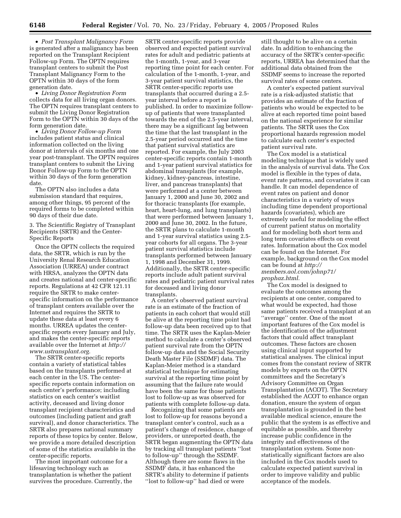• *Post Transplant Malignancy Form* is generated after a malignancy has been reported on the Transplant Recipient Follow-up Form. The OPTN requires transplant centers to submit the Post Transplant Malignancy Form to the OPTN within 30 days of the form generation date.

• *Living Donor Registration Form* collects data for all living organ donors. The OPTN requires transplant centers to submit the Living Donor Registration Form to the OPTN within 30 days of the form generation date.

• *Living Donor Follow-up Form* includes patient status and clinical information collected on the living donor at intervals of six months and one year post-transplant. The OPTN requires transplant centers to submit the Living Donor Follow-up Form to the OPTN within 30 days of the form generation date.

The OPTN also includes a data submission standard that requires, among other things, 95 percent of the required forms to be completed within 90 days of their due date.

3. The Scientific Registry of Transplant Recipients (SRTR) and the Center-Specific Reports

Once the OPTN collects the required data, the SRTR, which is run by the University Renal Research Education Association (URREA) under contract with HRSA, analyzes the OPTN data and creates national and center-specific reports. Regulations at 42 CFR 121.11 require the SRTR to make centerspecific information on the performance of transplant centers available over the Internet and requires the SRTR to update these data at least every 6 months. URREA updates the centerspecific reports every January and July, and makes the center-specific reports available over the Internet at *http:// www.ustransplant.org.*

The SRTR center-specific reports contain a variety of statistical tables based on the transplants performed at each center in the US. The centerspecific reports contain information on each center's performance; including statistics on each center's waitlist activity, deceased and living donor transplant recipient characteristics and outcomes (including patient and graft survival), and donor characteristics. The SRTR also prepares national summary reports of these topics by center. Below, we provide a more detailed description of some of the statistics available in the center-specific reports.

The most important outcome for a lifesaving technology such as transplantation is whether the patient survives the procedure. Currently, the

SRTR center-specific reports provide observed and expected patient survival rates for adult and pediatric patients at the 1-month, 1-year, and 3-year reporting time point for each center. For calculation of the 1-month, 1-year, and 3-year patient survival statistics, the SRTR center-specific reports use transplants that occurred during a 2.5 year interval before a report is published. In order to maximize followup of patients that were transplanted towards the end of the 2.5-year interval, there may be a significant lag between the time that the last transplant in the 2.5-year period occurred and the time that patient survival statistics are reported. For example, the July 2003 center-specific reports contain 1-month and 1-year patient survival statistics for abdominal transplants (for example, kidney, kidney-pancreas, intestine, liver, and pancreas transplants) that were performed at a center between January 1, 2000 and June 30, 2002 and for thoracic transplants (for example, heart, heart-lung, and lung transplants) that were performed between January 1, 2000 and June 30, 2002. In the future, the SRTR plans to calculate 1-month and 1-year survival statistics using 2.5 year cohorts for all organs. The 3-year patient survival statistics include transplants performed between January 1, 1998 and December 31, 1999. Additionally, the SRTR center-specific reports include adult patient survival rates and pediatric patient survival rates for deceased and living donor transplants.

A center's observed patient survival rate is an estimate of the fraction of patients in each cohort that would still be alive at the reporting time point had follow-up data been received up to that time. The SRTR uses the Kaplan-Meier method to calculate a center's observed patient survival rate from the OPTN follow-up data and the Social Security Death Master File (SSDMF) data. The Kaplan-Meier method is a standard statistical technique for estimating survival at the reporting time point by assuming that the failure rate would have been the same for those patients lost to follow-up as was observed for patients with complete follow-up data.

Recognizing that some patients are lost to follow-up for reasons beyond a transplant center's control, such as a patient's change of residence, change of providers, or unreported death, the SRTR began augmenting the OPTN data by tracking all transplant patients ''lost to follow-up'' through the SSDMF. Although there are some flaws in the SSDMF data, it has enhanced the SRTR's ability to determine if patients ''lost to follow-up'' had died or were

still thought to be alive on a certain date. In addition to enhancing the accuracy of the SRTR's center-specific reports, URREA has determined that the additional data obtained from the SSDMF seems to increase the reported survival rates of some centers.

A center's expected patient survival rate is a risk-adjusted statistic that provides an estimate of the fraction of patients who would be expected to be alive at each reported time point based on the national experience for similar patients. The SRTR uses the Cox proportional hazards regression model to calculate each center's expected patient survival rate.

The Cox model is a statistical modeling technique that is widely used in the analysis of survival data. The Cox model is flexible in the types of data, event rate patterns, and covariates it can handle. It can model dependence of event rates on patient and donor characteristics in a variety of ways including time dependent proportional hazards (covariates), which are extremely useful for modeling the effect of current patient status on mortality and for modeling both short term and long term covariates effects on event rates. Information about the Cox model can be found on the Internet. For example, background on the Cox model can be found at *http:// members.aol.com/johnp71/ prophaz.html.*

The Cox model is designed to evaluate the outcomes among the recipients at one center, compared to what would be expected, had those same patients received a transplant at an ''average'' center. One of the most important features of the Cox model is the identification of the adjustment factors that could affect transplant outcomes. These factors are chosen using clinical input supported by statistical analyses. The clinical input comes from the constant review of SRTR models by experts on the OPTN committees and the Secretary's Advisory Committee on Organ Transplantation (ACOT). The Secretary established the ACOT to enhance organ donation, ensure the system of organ transplantation is grounded in the best available medical science, ensure the public that the system is as effective and equitable as possible, and thereby increase public confidence in the integrity and effectiveness of the transplantation system. Some nonstatistically significant factors are also included in the Cox models used to calculate expected patient survival in order to improve validity and public acceptance of the models.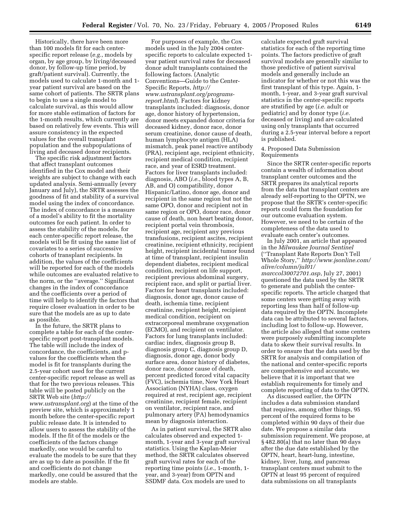Historically, there have been more than 100 models fit for each centerspecific report release (*e.g.*, models by organ, by age group, by living/deceased donor, by follow-up time period, by graft/patient survival). Currently, the models used to calculate 1-month and 1 year patient survival are based on the same cohort of patients. The SRTR plans to begin to use a single model to calculate survival, as this would allow for more stable estimation of factors for the 1-month results, which currently are based on relatively few events. This will assure consistency in the expected values for the overall transplant population and the subpopulations of living and deceased donor recipients.

The specific risk adjustment factors that affect transplant outcomes identified in the Cox model and their weights are subject to change with each updated analysis. Semi-annually (every January and July), the SRTR assesses the goodness of fit and stability of a survival model using the index of concordance. The index of concordance is a measure of a model's ability to fit the mortality outcomes for each patient. In order to assess the stability of the models, for each center-specific report release, the models will be fit using the same list of covariates to a series of successive cohorts of transplant recipients. In addition, the values of the coefficients will be reported for each of the models while outcomes are evaluated relative to the norm, or the ''average.'' Significant changes in the index of concordance and the coefficients over a period of time will help to identify the factors that require closer evaluation in order to be sure that the models are as up to date as possible.

In the future, the SRTR plans to complete a table for each of the centerspecific report post-transplant models. The table will include the index of concordance, the coefficients, and pvalues for the coefficients when the model is fit for transplants during the 2.5-year cohort used for the current center-specific report release as well as that for the two previous releases. This table will be posted publicly on the SRTR Web site (*http:// www.ustransplant.org*) at the time of the preview site, which is approximately 1 month before the center-specific report public release date. It is intended to allow users to assess the stability of the models. If the fit of the models or the coefficients of the factors change markedly, one would be careful to evaluate the models to be sure that they are as up to date as possible. If the fit and coefficients do not change markedly, one could be assured that the models are stable.

For purposes of example, the Cox models used in the July 2004 centerspecific reports to calculate expected 1 year patient survival rates for deceased donor adult transplants contained the following factors. (Analytic Conventions—Guide to the Center-Specific Reports, *http:// www.ustransplant.org/programsreport.html*). Factors for kidney transplants included: diagnosis, donor age, donor history of hypertension, donor meets expanded donor criteria for deceased kidney, donor race, donor serum creatinine, donor cause of death, human lymphocyte antigen (HLA) mismatch, peak panel reactive antibody (PRA), recipient age, recipient ethnicity, recipient medical condition, recipient race, and year of ESRD treatment. Factors for liver transplants included: diagnosis, ABO (*i.e.*, blood types A, B, AB, and O) compatibility, donor Hispanic/Latino, donor age, donor and recipient in the same region but not the same OPO, donor and recipient not in same region or OPO, donor race, donor cause of death, non heart beating donor, recipient portal vein thrombosis, recipient age, recipient any previous transfusions, recipient ascites, recipient creatinine, recipient ethnicity, recipient height, recipient incidental tumor found at time of transplant, recipient insulin dependent diabetes, recipient medical condition, recipient on life support, recipient previous abdominal surgery, recipient race, and split or partial liver. Factors for heart transplants included: diagnosis, donor age, donor cause of death, ischemia time, recipient creatinine, recipient height, recipient medical condition, recipient on extracorporeal membrane oxygenation (ECMO), and recipient on ventilator. Factors for lung transplants included: cardiac index, diagnosis group B, diagnosis group C, diagnosis group D, diagnosis, donor age, donor body surface area, donor history of diabetes, donor race, donor cause of death, percent predicted forced vital capacity (FVC), ischemia time, New York Heart Association (NYHA) class, oxygen required at rest, recipient age, recipient creatinine, recipient female, recipient on ventilator, recipient race, and pulmonary artery (PA) hemodynamics mean by diagnosis interaction.

As in patient survival, the SRTR also calculates observed and expected 1 month, 1-year and 3-year graft survival statistics. Using the Kaplan-Meier method, the SRTR calculates observed graft survival rates for each of the reporting time points (*i.e.*, 1-month, 1 year, and 3-year) from OPTN and SSDMF data. Cox models are used to

calculate expected graft survival statistics for each of the reporting time points. The factors predictive of graft survival models are generally similar to those predictive of patient survival models and generally include an indicator for whether or not this was the first transplant of this type. Again, 1 month, 1-year, and 3-year graft survival statistics in the center-specific reports are stratified by age (*i.e.* adult or pediatric) and by donor type (*i.e.* deceased or living) and are calculated using only transplants that occurred during a 2.5-year interval before a report is published.

#### 4. Proposed Data Submission Requirements

Since the SRTR center-specific reports contain a wealth of information about transplant center outcomes and the SRTR prepares its analytical reports from the data that transplant centers are already self-reporting to the OPTN, we propose that the SRTR's center-specific reports could form the foundation for our outcome evaluation system. However, we need to be certain of the completeness of the data used to evaluate each center's outcomes.

In July 2001, an article that appeared in the *Milwaukee Journal Sentinel* (''Transplant Rate Reports Don't Tell Whole Story,'' *http://www.jsonline.com/ alive/column/jul01/ marccol30072701.asp*, July 27, 2001) questioned the data used by the SRTR to generate and publish the centerspecific reports. The article charged that some centers were getting away with reporting less than half of follow-up data required by the OPTN. Incomplete data can be attributed to several factors, including lost to follow-up. However, the article also alleged that some centers were purposely submitting incomplete data to skew their survival results. In order to ensure that the data used by the SRTR for analysis and compilation of the national and center-specific reports are comprehensive and accurate, we believe that it is important that we establish requirements for timely and complete reporting of data to the OPTN.

As discussed earlier, the OPTN includes a data submission standard that requires, among other things, 95 percent of the required forms to be completed within 90 days of their due date. We propose a similar data submission requirement. We propose, at § 482.80(a) that no later than 90 days after the due date established by the OPTN, heart, heart-lung, intestine, kidney, liver, lung, and pancreas transplant centers must submit to the OPTN at least 95 percent of required data submissions on all transplants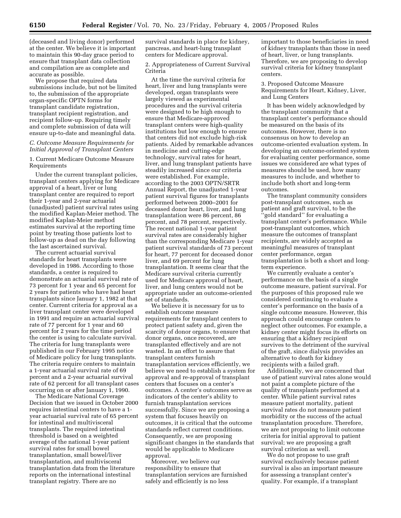(deceased and living donor) performed at the center. We believe it is important to maintain this 90-day grace period to ensure that transplant data collection and compilation are as complete and accurate as possible.

We propose that required data submissions include, but not be limited to, the submission of the appropriate organ-specific OPTN forms for transplant candidate registration, transplant recipient registration, and recipient follow-up. Requiring timely and complete submission of data will ensure up-to-date and meaningful data.

## *C. Outcome Measure Requirements for Initial Approval of Transplant Centers*

1. Current Medicare Outcome Measure Requirements

Under the current transplant policies, transplant centers applying for Medicare approval of a heart, liver or lung transplant center are required to report their 1-year and 2-year actuarial (unadjusted) patient survival rates using the modified Kaplan-Meier method. The modified Kaplan-Meier method estimates survival at the reporting time point by treating those patients lost to follow-up as dead on the day following the last ascertained survival.

The current actuarial survival standards for heart transplants were developed in 1986. According to those standards, a center is required to demonstrate an actuarial survival rate of 73 percent for 1 year and 65 percent for 2 years for patients who have had heart transplants since January 1, 1982 at that center. Current criteria for approval as a liver transplant center were developed in 1991 and require an actuarial survival rate of 77 percent for 1 year and 60 percent for 2 years for the time period the center is using to calculate survival. The criteria for lung transplants were published in our February 1995 notice of Medicare policy for lung transplants. The criteria require centers to maintain a 1-year actuarial survival rate of 69 percent and a 2-year actuarial survival rate of 62 percent for all transplant cases occurring on or after January 1, 1990.

The Medicare National Coverage Decision that we issued in October 2000 requires intestinal centers to have a 1 year actuarial survival rate of 65 percent for intestinal and multivisceral transplants. The required intestinal threshold is based on a weighted average of the national 1-year patient survival rates for small bowel transplantation, small bowel/liver transplantation, and multivisceral transplantation data from the literature reports on the international intestinal transplant registry. There are no

survival standards in place for kidney, pancreas, and heart-lung transplant centers for Medicare approval.

2. Appropriateness of Current Survival Criteria

At the time the survival criteria for heart, liver and lung transplants were developed, organ transplants were largely viewed as experimental procedures and the survival criteria were designed to be high enough to ensure that Medicare-approved transplant centers were high-quality institutions but low enough to ensure that centers did not exclude high-risk patients. Aided by remarkable advances in medicine and cutting-edge technology, survival rates for heart, liver, and lung transplant patients have steadily increased since our criteria were established. For example, according to the 2003 OPTN/SRTR Annual Report, the unadjusted 1-year patient survival figures for transplants performed between 2000–2001 for deceased donor heart, liver, and lung transplantation were 86 percent, 86 percent, and 78 percent, respectively. The recent national 1-year patient survival rates are considerably higher than the corresponding Medicare 1-year patient survival standards of 73 percent for heart, 77 percent for deceased donor liver, and 69 percent for lung transplantation. It seems clear that the Medicare survival criteria currently used for Medicare approval of heart, liver, and lung centers would not be appropriate under an outcome-oriented set of standards.

We believe it is necessary for us to establish outcome measure requirements for transplant centers to protect patient safety and, given the scarcity of donor organs, to ensure that donor organs, once recovered, are transplanted effectively and are not wasted. In an effort to assure that transplant centers furnish transplantation services efficiently, we believe we need to establish a system for approval and re-approval of transplant centers that focuses on a center's outcomes. A center's outcomes serve as indicators of the center's ability to furnish transplantation services successfully. Since we are proposing a system that focuses heavily on outcomes, it is critical that the outcome standards reflect current conditions. Consequently, we are proposing significant changes in the standards that would be applicable to Medicare approval.

Moreover, we believe our responsibility to ensure that transplantation services are furnished safely and efficiently is no less

important to those beneficiaries in need of kidney transplants than those in need of heart, liver, or lung transplants. Therefore, we are proposing to develop survival criteria for kidney transplant centers.

3. Proposed Outcome Measure Requirements for Heart, Kidney, Liver, and Lung Centers

It has been widely acknowledged by the transplant community that a transplant center's performance should be measured on the basis of its outcomes. However, there is no consensus on how to develop an outcome-oriented evaluation system. In developing an outcome-oriented system for evaluating center performance, some issues we considered are what types of measures should be used, how many measures to include, and whether to include both short and long-term outcomes.

The transplant community considers post-transplant outcomes, such as patient and graft survival, to be the ''gold standard'' for evaluating a transplant center's performance. While post-transplant outcomes, which measure the outcomes of transplant recipients, are widely accepted as meaningful measures of transplant center performance, organ transplantation is both a short and longterm experience.

We currently evaluate a center's performance on the basis of a single outcome measure, patient survival. For the purposes of this proposed rule we considered continuing to evaluate a center's performance on the basis of a single outcome measure. However, this approach could encourage centers to neglect other outcomes. For example, a kidney center might focus its efforts on ensuring that a kidney recipient survives to the detriment of the survival of the graft, since dialysis provides an alternative to death for kidney recipients with a failed graft.

Additionally, we are concerned that use of patient survival rates alone would not paint a complete picture of the quality of transplants performed at a center. While patient survival rates measure patient mortality, patient survival rates do not measure patient morbidity or the success of the actual transplantation procedure. Therefore, we are not proposing to limit outcome criteria for initial approval to patient survival; we are proposing a graft survival criterion as well.

We do not propose to use graft survival exclusively because patient survival is also an important measure for assessing a transplant center's quality. For example, if a transplant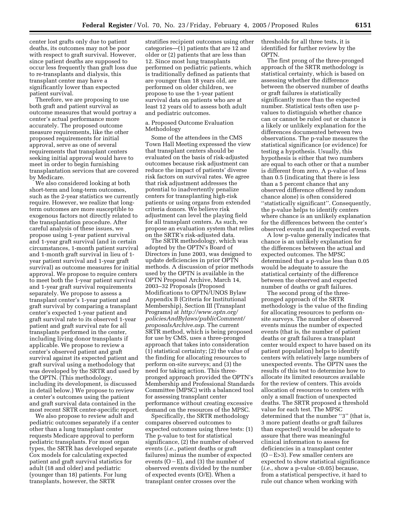center lost grafts only due to patient deaths, its outcomes may not be poor with respect to graft survival. However, since patient deaths are supposed to occur less frequently than graft loss due to re-transplants and dialysis, this transplant center may have a significantly lower than expected patient survival.

Therefore, we are proposing to use both graft and patient survival as outcome measures that would portray a center's actual performance more accurately. The proposed outcome measure requirements, like the other proposed requirements for initial approval, serve as one of several requirements that transplant centers seeking initial approval would have to meet in order to begin furnishing transplantation services that are covered by Medicare.

We also considered looking at both short-term and long-term outcomes, such as the 2-year statistics we currently require. However, we realize that longterm outcomes are more susceptible to exogenous factors not directly related to the transplantation procedure. After careful analysis of these issues, we propose using 1-year patient survival and 1-year graft survival (and in certain circumstances, 1-month patient survival and 1-month graft survival in lieu of 1 year patient survival and 1-year graft survival) as outcome measures for initial approval. We propose to require centers to meet both the 1-year patient survival and 1-year graft survival requirements separately. We propose to assess a transplant center's 1-year patient and graft survival by comparing a transplant center's expected 1-year patient and graft survival rate to its observed 1-year patient and graft survival rate for all transplants performed in the center, including living donor transplants if applicable. We propose to review a center's observed patient and graft survival against its expected patient and graft survival using a methodology that was developed by the SRTR and used by the OPTN. (This methodology, including its development, is discussed in detail below.) We propose to review a center's outcomes using the patient and graft survival data contained in the most recent SRTR center-specific report.

We also propose to review adult and pediatric outcomes separately if a center other than a lung transplant center requests Medicare approval to perform pediatric transplants. For most organ types, the SRTR has developed separate Cox models for calculating expected patient and graft survival statistics for adult (18 and older) and pediatric (younger than 18) patients. For lung transplants, however, the SRTR

stratifies recipient outcomes using other categories—(1) patients that are 12 and older or (2) patients that are less than 12. Since most lung transplants performed on pediatric patients, which is traditionally defined as patients that are younger than 18 years old, are performed on older children, we propose to use the 1-year patient survival data on patients who are at least 12 years old to assess both adult and pediatric outcomes.

## a. Proposed Outcome Evaluation Methodology

Some of the attendees in the CMS Town Hall Meeting expressed the view that transplant centers should be evaluated on the basis of risk-adjusted outcomes because risk adjustment can reduce the impact of patients' diverse risk factors on survival rates. We agree that risk adjustment addresses the potential to inadvertently penalize centers for transplanting high-risk patients or using organs from extended criteria donors. We believe risk adjustment can level the playing field for all transplant centers. As such, we propose an evaluation system that relies on the SRTR's risk-adjusted data.

The SRTR methodology, which was adopted by the OPTN's Board of Directors in June 2003, was designed to update deficiencies in prior OPTN methods. A discussion of prior methods used by the OPTN is available in the OPTN Proposal Archive, March 14, 2003–32 Proposals (Proposed Modifications to OPTN/UNOS Bylaw Appendix B (Criteria for Institutional Membership), Section III (Transplant Programs) at *http://www.optn.org/ policiesAndBylaws/publicComment/ proposalsArchive.asp*. The current SRTR method, which is being proposed for use by CMS, uses a three-pronged approach that takes into consideration (1) statistical certainty; (2) the value of the finding for allocating resources to perform on-site surveys; and (3) the need for taking action. This threepronged approach provided the OPTN's Membership and Professional Standards Committee (MPSC) with a balanced tool for assessing transplant center performance without creating excessive demand on the resources of the MPSC.

Specifically, the SRTR methodology compares observed outcomes to expected outcomes using three tests: (1) The p-value to test for statistical significance, (2) the number of observed events (*i.e.*, patient deaths or graft failures) minus the number of expected events  $(O-E)$ , and (3) the number of observed events divided by the number of expected events (O/E). When a transplant center crosses over the

thresholds for all three tests, it is identified for further review by the OPTN.

The first prong of the three-pronged approach of the SRTR methodology is statistical certainty, which is based on assessing whether the difference between the observed number of deaths or graft failures is statistically significantly more than the expected number. Statistical tests often use pvalues to distinguish whether chance can or cannot be ruled out or chance is a likely or unlikely explanation for the differences documented between two observations. The p-value measures the statistical significance (or evidence) for testing a hypothesis. Usually, this hypothesis is either that two numbers are equal to each other or that a number is different from zero. A p-value of less than 0.5 (indicating that there is less than a 5 percent chance that any observed difference offered by random chance alone) is often considered ''statistically significant''. Consequently, the p-value helps to identify centers where chance is an unlikely explanation for the differences between the center's observed events and its expected events.

A low p-value generally indicates that chance is an unlikely explanation for the differences between the actual and expected outcomes. The MPSC determined that a p-value less than 0.05 would be adequate to assure the statistical certainty of the difference between the observed and expected number of deaths or graft failures.

The second prong of the threepronged approach of the SRTR methodology is the value of the finding for allocating resources to perform onsite surveys. The number of observed events minus the number of expected events (that is, the number of patient deaths or graft failures a transplant center would expect to have based on its patient population) helps to identify centers with relatively large numbers of unexpected events. The OPTN uses the results of this test to determine how to allocate its limited resources available for the review of centers. This avoids allocation of resources to centers with only a small fraction of unexpected deaths. The SRTR proposed a threshold value for each test. The MPSC determined that the number ''3'' (that is, 3 more patient deaths or graft failures than expected) would be adequate to assure that there was meaningful clinical information to assess for deficiencies in a transplant center  $(O-E>3)$ . Few smaller centers are expected to show statistical significance (*i.e.*, show a p-value <0.05) because, from a statistical perspective, it hard to rule out chance when working with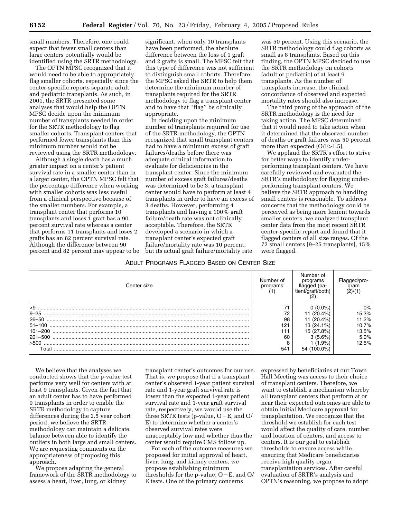small numbers. Therefore, one could expect that fewer small centers than large centers potentially would be identified using the SRTR methodology.

The OPTN MPSC recognized that it would need to be able to appropriately flag smaller cohorts, especially since the center-specific reports separate adult and pediatric transplants. As such, in 2001, the SRTR presented some analyses that would help the OPTN MPSC decide upon the minimum number of transplants needed in order for the SRTR methodology to flag smaller cohorts. Transplant centers that performed fewer transplants than this minimum number would not be reviewed using the SRTR methodology.

Although a single death has a much greater impact on a center's patient survival rate in a smaller center than in a larger center, the OPTN MPSC felt that the percentage difference when working with smaller cohorts was less useful from a clinical perspective because of the smaller numbers. For example, a transplant center that performs 10 transplants and loses 1 graft has a 90 percent survival rate whereas a center that performs 11 transplants and loses 2 grafts has an 82 percent survival rate. Although the difference between 90 percent and 82 percent may appear to be

significant, when only 10 transplants have been performed, the absolute difference between the loss of 1 graft and 2 grafts is small. The MPSC felt that this type of difference was not sufficient to distinguish small cohorts. Therefore, the MPSC asked the SRTR to help them determine the minimum number of transplants required for the SRTR methodology to flag a transplant center and to have that ''flag'' be clinically appropriate.

In deciding upon the minimum number of transplants required for use of the SRTR methodology, the OPTN recognized that small transplant centers had to have a minimum excess of graft failures/deaths before there was adequate clinical information to evaluate for deficiencies in the transplant center. Since the minimum number of excess graft failures/deaths was determined to be 3, a transplant center would have to perform at least 4 transplants in order to have an excess of 3 deaths. However, performing 4 transplants and having a 100% graft failure/death rate was not clinically acceptable. Therefore, the SRTR developed a scenario in which a transplant center's expected graft failure/mortality rate was 10 percent, but its actual graft failure/mortality rate

## ADULT PROGRAMS FLAGGED BASED ON CENTER SIZE

was 50 percent. Using this scenario, the SRTR methodology could flag cohorts as small as 8 transplants. Based on this finding, the OPTN MPSC decided to use the SRTR methodology on cohorts (adult or pediatric) of at least 9 transplants. As the number of transplants increase, the clinical concordance of observed and expected mortality rates should also increase.

The third prong of the approach of the SRTR methodology is the need for taking action. The MPSC determined that it would need to take action when it determined that the observed number of deaths or graft failures was 50 percent more than expected (O/E>1.5).

We applaud the SRTR's effort to strive for better ways to identify underperforming transplant centers. We have carefully reviewed and evaluated the SRTR's methodology for flagging underperforming transplant centers. We believe the SRTR approach to handling small centers is reasonable. To address concerns that the methodology could be perceived as being more lenient towards smaller centers, we analyzed transplant center data from the most recent SRTR center-specific report and found that it flagged centers of all size ranges. Of the 72 small centers (9–25 transplants), 15% were flagged.

| Center size | Number of<br>programs | Number of<br>programs | aram  |
|-------------|-----------------------|-----------------------|-------|
| $\leq$ 9    |                       | 0 (0.0%)              | $0\%$ |
| $9 - 25$    | 72                    | 11 (20.4%)            | 15.3% |
|             | 98                    | 11 (20.4%)            | 11.2% |
|             | 121                   | 13 (24.1%)            | 10.7% |
| $101 - 200$ | 111                   | 15 (27.8%)            | 13.5% |
| 201-500     | 60                    | $3(5.6\%)$            | 5.0%  |
| >500        | 8                     | $(1.9\%)$             | 12.5% |
| Total       | 541                   |                       |       |

We believe that the analyses we conducted shows that the p-value test performs very well for centers with at least 9 transplants. Given the fact that an adult center has to have performed 9 transplants in order to enable the SRTR methodology to capture differences during the 2.5 year cohort period, we believe the SRTR methodology can maintain a delicate balance between able to identify the outliers in both large and small centers. We are requesting comments on the appropriateness of proposing this approach.

We propose adapting the general framework of the SRTR methodology to assess a heart, liver, lung, or kidney

transplant center's outcomes for our use. That is, we propose that if a transplant center's observed 1-year patient survival rate and 1-year graft survival rate is lower than the expected 1-year patient survival rate and 1-year graft survival rate, respectively, we would use the three SRTR tests (p-value,  $O-E$ , and  $O/$ E) to determine whether a center's observed survival rates were unacceptably low and whether thus the center would require CMS follow up.

For each of the outcome measures we proposed for initial approval of heart, liver, lung, and kidney centers, we propose establishing minimum thresholds for the p-value,  $O-E$ , and  $O/$ E tests. One of the primary concerns

expressed by beneficiaries at our Town Hall Meeting was access to their choice of transplant centers. Therefore, we want to establish a mechanism whereby all transplant centers that perform at or near their expected outcomes are able to obtain initial Medicare approval for transplantation. We recognize that the threshold we establish for each test would affect the quality of care, number and location of centers, and access to centers. It is our goal to establish thresholds to ensure access while ensuring that Medicare beneficiaries receive high quality organ transplantation services. After careful evaluation of SRTR's analysis and OPTN's reasoning, we propose to adopt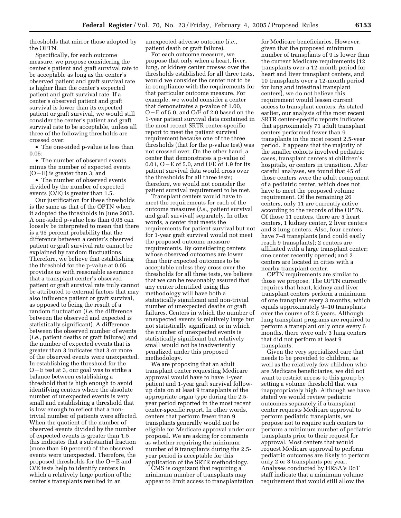thresholds that mirror those adopted by the OPTN.

Specifically, for each outcome measure, we propose considering the center's patient and graft survival rate to be acceptable as long as the center's observed patient and graft survival rate is higher than the center's expected patient and graft survival rate. If a center's observed patient and graft survival is lower than its expected patient or graft survival, we would still consider the center's patient and graft survival rate to be acceptable, unless all three of the following thresholds are crossed over:

• The one-sided p-value is less than 0.05;

• The number of observed events minus the number of expected events  $(O-E)$  is greater than 3; and

• The number of observed events divided by the number of expected events (O/E) is greater than 1.5.

Our justification for these thresholds is the same as that of the OPTN when it adopted the thresholds in June 2003. A one-sided p-value less than 0.05 can loosely be interpreted to mean that there is a 95 percent probability that the difference between a center's observed patient or graft survival rate cannot be explained by random fluctuations. Therefore, we believe that establishing the threshold for the p-value at 0.05 provides us with reasonable assurance that a transplant center's observed patient or graft survival rate truly cannot be attributed to external factors that may also influence patient or graft survival, as opposed to being the result of a random fluctuation (*i.e.* the difference between the observed and expected is statistically significant). A difference between the observed number of events (*i.e.*, patient deaths or graft failures) and the number of expected events that is greater than 3 indicates that 3 or more of the observed events were unexpected. In establishing the threshold for the  $O$  – E test at 3, our goal was to strike a balance between establishing a threshold that is high enough to avoid identifying centers where the absolute number of unexpected events is very small and establishing a threshold that is low enough to reflect that a nontrivial number of patients were affected. When the quotient of the number of observed events divided by the number of expected events is greater than 1.5, this indicates that a substantial fraction (more than 50 percent) of the observed events were unexpected. Therefore, the proposed thresholds for the  $O-E$  and O/E tests help to identify centers in which a relatively large portion of the center's transplants resulted in an

unexpected adverse outcome (*i.e.*, patient death or graft failure).

For each outcome measure, we propose that only when a heart, liver, lung, or kidney center crosses over the thresholds established for all three tests, would we consider the center not to be in compliance with the requirements for that particular outcome measure. For example, we would consider a center that demonstrates a p-value of 1.00, O – E of 5.0, and O/E of 2.0 based on the 1-year patient survival data contained in the most recent SRTR center-specific report to meet the patient survival requirement because one of the three thresholds (that for the p-value test) was not crossed over. On the other hand, a center that demonstrates a p-value of 0.01,  $O$  – E of 5.0, and  $O/E$  of 1.9 for its patient survival data would cross over the thresholds for all three tests; therefore, we would not consider the patient survival requirement to be met.

Transplant centers would have to meet the requirements for each of the outcome measures (*i.e.,* patient survival and graft survival) separately. In other words, a center that meets the requirements for patient survival but not for 1-year graft survival would not meet the proposed outcome measure requirements. By considering centers whose observed outcomes are lower than their expected outcomes to be acceptable unless they cross over the thresholds for all three tests, we believe that we can be reasonably assured that any center identified using this methodology will have both a statistically significant and non-trivial number of unexpected deaths or graft failures. Centers in which the number of unexpected events is relatively large but not statistically significant or in which the number of unexpected events is statistically significant but relatively small would not be inadvertently penalized under this proposed methodology.

We are proposing that an adult transplant center requesting Medicare approval would have to have 1-year patient and 1-year graft survival followup data on at least 9 transplants of the appropriate organ type during the 2.5 year period reported in the most recent center-specific report. In other words, centers that perform fewer than 9 transplants generally would not be eligible for Medicare approval under our proposal. We are asking for comments as whether requiring the minimum number of 9 transplants during the 2.5 year period is acceptable for this application of the SRTR methodology.

CMS is cognizant that requiring a minimum number of transplants may appear to limit access to transplantation

for Medicare beneficiaries. However, given that the proposed minimum number of transplants of 9 is lower than the current Medicare requirements (12 transplants over a 12-month period for heart and liver transplant centers, and 10 transplants over a 12-month period for lung and intestinal transplant centers), we do not believe this requirement would lessen current access to transplant centers. As stated earlier, our analysis of the most recent SRTR center-specific reports indicates that approximately 71 adult transplant centers performed fewer than 9 transplants in the most recent 2.5-year period. It appears that the majority of the smaller cohorts involved pediatric cases, transplant centers at children's hospitals, or centers in transition. After careful analyses, we found that 45 of those centers were the adult component of a pediatric center, which does not have to meet the proposed volume requirement. Of the remaining 26 centers, only 11 are currently active according to the records of the OPTN. Of those 11 centers, there are 5 heart centers, 1 kidney center, 2 liver centers and 3 lung centers. Also, four centers have 7–8 transplants (and could easily reach 9 transplants); 2 centers are affiliated with a large transplant center; one center recently opened; and 2 centers are located in cities with a nearby transplant center.

OPTN requirements are similar to those we propose. The OPTN currently requires that heart, kidney and liver transplant centers perform a minimum of one transplant every 3 months, which equals approximately 9–10 transplants over the course of 2.5 years. Although lung transplant programs are required to perform a transplant only once every 6 months, there were only 3 lung centers that did not perform at least 9 transplants.

Given the very specialized care that needs to be provided to children, as well as the relatively few children who are Medicare beneficiaries, we did not want to restrict access to this group by setting a volume threshold that was inappropriately high. Although we have stated we would review pediatric outcomes separately if a transplant center requests Medicare approval to perform pediatric transplants, we propose not to require such centers to perform a minimum number of pediatric transplants prior to their request for approval. Most centers that would request Medicare approval to perform pediatric outcomes are likely to perform only 2 or 3 transplants per year. Analyses conducted by HRSA's DoT staff indicate that a minimum volume requirement that would still allow the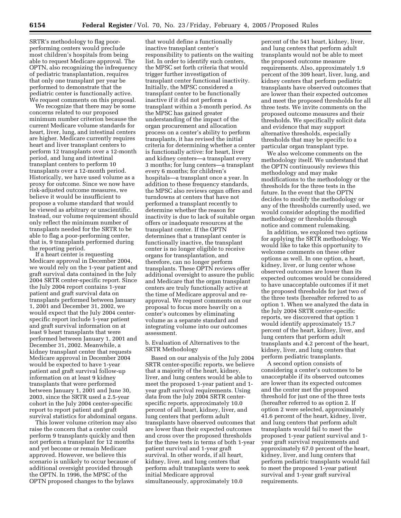SRTR's methodology to flag poorperforming centers would preclude most children's hospitals from being able to request Medicare approval. The OPTN, also recognizing the infrequency of pediatric transplantation, requires that only one transplant per year be performed to demonstrate that the pediatric center is functionally active. We request comments on this proposal.

We recognize that there may be some concerns related to our proposed minimum number criterion because the current Medicare volume standards for heart, liver, lung, and intestinal centers are higher. Medicare currently requires heart and liver transplant centers to perform 12 transplants over a 12-month period, and lung and intestinal transplant centers to perform 10 transplants over a 12-month period. Historically, we have used volume as a proxy for outcome. Since we now have risk-adjusted outcome measures, we believe it would be insufficient to propose a volume standard that would be viewed as arbitrary or unscientific. Instead, our volume requirement should only reflect the minimum number of transplants needed for the SRTR to be able to flag a poor-performing center, that is, 9 transplants performed during the reporting period.

If a heart center is requesting Medicare approval in December 2004, we would rely on the 1-year patient and graft survival data contained in the July 2004 SRTR center-specific report. Since the July 2004 report contains 1-year patient and graft survival data on transplants performed between January 1, 2001 and December 31, 2002, we would expect that the July 2004 centerspecific report include 1-year patient and graft survival information on at least 9 heart transplants that were performed between January 1, 2001 and December 31, 2002. Meanwhile, a kidney transplant center that requests Medicare approval in December 2004 would be expected to have 1-year patient and graft survival follow-up information on at least 9 kidney transplants that were performed between January 1, 2001 and June 30, 2003, since the SRTR used a 2.5-year cohort in the July 2004 center-specific report to report patient and graft survival statistics for abdominal organs.

This lower volume criterion may also raise the concern that a center could perform 9 transplants quickly and then not perform a transplant for 12 months and yet become or remain Medicare approved. However, we believe this scenario is unlikely to occur because of additional oversight provided through the OPTN. In 1996, the MPSC of the OPTN proposed changes to the bylaws

that would define a functionally inactive transplant center's responsibility to patients on the waiting list. In order to identify such centers, the MPSC set forth criteria that would trigger further investigation of transplant center functional inactivity. Initially, the MPSC considered a transplant center to be functionally inactive if it did not perform a transplant within a 3-month period. As the MPSC has gained greater understanding of the impact of the organ procurement and allocation process on a center's ability to perform transplants, it has revised the initial criteria for determining whether a center is functionally active: for heart, liver and kidney centers—a transplant every 3 months; for lung centers—a transplant every 6 months; for children's hospitals—a transplant once a year. In addition to these frequency standards, the MPSC also reviews organ offers and turndowns at centers that have not performed a transplant recently to determine whether the reason for inactivity is due to lack of suitable organ offers or inadequate resources at the transplant center. If the OPTN determines that a transplant center is functionally inactive, the transplant center is no longer eligible to receive organs for transplantation, and therefore, can no longer perform transplants. These OPTN reviews offer additional oversight to assure the public and Medicare that the organ transplant centers are truly functionally active at the time of Medicare approval and reapproval. We request comments on our proposal to focus more heavily on a center's outcomes by eliminating volume as a separate standard and integrating volume into our outcomes assessment.

b. Evaluation of Alternatives to the SRTR Methodology

Based on our analysis of the July 2004 SRTR center-specific reports, we believe that a majority of the heart, kidney, liver, and lung centers would be able to meet the proposed 1-year patient and 1 year graft survival requirements. Using data from the July 2004 SRTR centerspecific reports, approximately 10.0 percent of all heart, kidney, liver, and lung centers that perform adult transplants have observed outcomes that are lower than their expected outcomes and cross over the proposed thresholds for the three tests in terms of both 1-year patient survival and 1-year graft survival. In other words, if all heart, kidney, liver, and lung centers that perform adult transplants were to seek initial Medicare approval simultaneously, approximately 10.0

percent of the 541 heart, kidney, liver, and lung centers that perform adult transplants would not be able to meet the proposed outcome measure requirements. Also, approximately 1.9 percent of the 309 heart, liver, lung, and kidney centers that perform pediatric transplants have observed outcomes that are lower than their expected outcomes and meet the proposed thresholds for all three tests. We invite comments on the proposed outcome measures and their thresholds. We specifically solicit data and evidence that may support alternative thresholds, especially thresholds that may be specific to a particular organ transplant type.

We also welcome comments on the methodology itself. We understand that the OPTN continuously reviews this methodology and may make modifications to the methodology or the thresholds for the three tests in the future. In the event that the OPTN decides to modify the methodology or any of the thresholds currently used, we would consider adopting the modified methodology or thresholds through notice and comment rulemaking.

In addition, we explored two options for applying the SRTR methodology. We would like to take this opportunity to welcome comments on these other options as well. In one option, a heart, kidney, liver, or lung center whose observed outcomes are lower than its expected outcomes would be considered to have unacceptable outcomes if it met the proposed thresholds for just two of the three tests (hereafter referred to as option 1. When we analyzed the data in the July 2004 SRTR center-specific reports, we discovered that option 1 would identify approximately 15.7 percent of the heart, kidney, liver, and lung centers that perform adult transplants and 4.2 percent of the heart, kidney, liver, and lung centers that perform pediatric transplants.

A second option consists of considering a center's outcomes to be unacceptable if its observed outcomes are lower than its expected outcomes and the center met the proposed threshold for just one of the three tests (hereafter referred to as option 2. If option 2 were selected, approximately 41.6 percent of the heart, kidney, liver, and lung centers that perform adult transplants would fail to meet the proposed 1-year patient survival and 1 year graft survival requirements and approximately 67.0 percent of the heart, kidney, liver, and lung centers that perform pediatric transplants would fail to meet the proposed 1-year patient survival and 1-year graft survival requirements.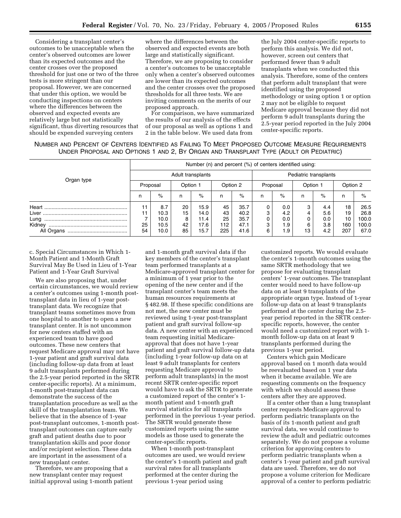Considering a transplant center's outcomes to be unacceptable when the center's observed outcomes are lower than its expected outcomes and the center crosses over the proposed threshold for just one or two of the three tests is more stringent than our proposal. However, we are concerned that under this option, we would be conducting inspections on centers where the differences between the observed and expected events are relatively large but not statistically significant, thus diverting resources that should be expended surveying centers

where the differences between the observed and expected events are both large and statistically significant. Therefore, we are proposing to consider a center's outcomes to be unacceptable only when a center's observed outcomes are lower than its expected outcomes and the center crosses over the proposed thresholds for all three tests. We are inviting comments on the merits of our proposed approach.

For comparison, we have summarized the results of our analysis of the effects of our proposal as well as options 1 and 2 in the table below. We used data from

the July 2004 center-specific reports to perform this analysis. We did not, however, screen out centers that performed fewer than 9 adult transplants when we conducted this analysis. Therefore, some of the centers that perform adult transplant that were identified using the proposed methodology or using option 1 or option 2 may not be eligible to request Medicare approval because they did not perform 9 adult transplants during the 2.5-year period reported in the July 2004 center-specific reports.

| NUMBER AND PERCENT OF CENTERS IDENTIFIED AS FAILING TO MEET PROPOSED OUTCOME MEASURE REQUIREMENTS |  |  |  |  |
|---------------------------------------------------------------------------------------------------|--|--|--|--|
| UNDER PROPOSAL AND OPTIONS 1 AND 2, BY ORGAN AND TRANSPLANT TYPE (ADULT OR PEDIATRIC)             |  |  |  |  |

|                                                                                                                                                                                                                                                                                                                                                                                                                                                         | Number (n) and percent (%) of centers identified using: |      |          |      |          |                       |          |     |          |     |          |       |
|---------------------------------------------------------------------------------------------------------------------------------------------------------------------------------------------------------------------------------------------------------------------------------------------------------------------------------------------------------------------------------------------------------------------------------------------------------|---------------------------------------------------------|------|----------|------|----------|-----------------------|----------|-----|----------|-----|----------|-------|
| Organ type                                                                                                                                                                                                                                                                                                                                                                                                                                              | Adult transplants                                       |      |          |      |          | Pediatric transplants |          |     |          |     |          |       |
|                                                                                                                                                                                                                                                                                                                                                                                                                                                         | Proposal                                                |      | Option 1 |      | Option 2 |                       | Proposal |     | Option 1 |     | Option 2 |       |
|                                                                                                                                                                                                                                                                                                                                                                                                                                                         | n                                                       | $\%$ | n        | %    | n        | $\%$                  | n        | %   | n        | %   | n        | $\%$  |
| $\label{eq: 3.1.1} \textbf{Heart} \textup{ .} \textup{ .} \textup{ .} \textup{ .} \textup{ .} \textup{ .} \textup{ .} \textup{ .} \textup{ .} \textup{ .} \textup{ .} \textup{ .} \textup{ .} \textup{ .} \textup{ .} \textup{ .} \textup{ .} \textup{ .} \textup{ .} \textup{ .} \textup{ .} \textup{ .} \textup{ .} \textup{ .} \textup{ .} \textup{ .} \textup{ .} \textup{ .} \textup{ .} \textup{ .} \textup{ .} \textup{ .} \textup{ .} \textup{$ | 11                                                      | 8.7  | 20       | 15.9 | 45       | 35.7                  | 0        | 0.0 |          | 4.4 | 18       | 26.5  |
|                                                                                                                                                                                                                                                                                                                                                                                                                                                         | 11                                                      | 10.3 | 15       | 14.0 | 43       | 40.2                  | 3        | 4.2 |          | 5.6 | 19       | 26.8  |
| Lung                                                                                                                                                                                                                                                                                                                                                                                                                                                    |                                                         | 10.0 | 8        | 11.4 | 25       | 35.7                  | 0        | 0.0 |          | 0.0 | 10       | 100.0 |
| Kidney                                                                                                                                                                                                                                                                                                                                                                                                                                                  | 25                                                      | 10.5 | 42       | 17.6 | 112      | 47.1                  | 3        | 1.9 | 6        | 3.8 | 160      | 100.0 |
|                                                                                                                                                                                                                                                                                                                                                                                                                                                         | 54                                                      | 10.0 | 85       | 15.7 | 225      | 41.6                  | 6        | 1.9 | 13       | 4.2 | 207      | 67.0  |

c. Special Circumstances in Which 1- Month Patient and 1-Month Graft Survival May Be Used in Lieu of 1-Year Patient and 1-Year Graft Survival

We are also proposing that, under certain circumstances, we would review a center's outcomes using 1-month posttransplant data in lieu of 1-year posttransplant data. We recognize that transplant teams sometimes move from one hospital to another to open a new transplant center. It is not uncommon for new centers staffed with an experienced team to have good outcomes. These new centers that request Medicare approval may not have 1-year patient and graft survival data (including follow-up data from at least 9 adult transplants performed during the 2.5-year period reported in the SRTR center-specific reports). At a minimum, 1-month post-transplant data can demonstrate the success of the transplantation procedure as well as the skill of the transplantation team. We believe that in the absence of 1-year post-transplant outcomes, 1-month posttransplant outcomes can capture early graft and patient deaths due to poor transplantation skills and poor donor and/or recipient selection. These data are important in the assessment of a new transplant center.

Therefore, we are proposing that a new transplant center may request initial approval using 1-month patient

and 1-month graft survival data if the key members of the center's transplant team performed transplants at a Medicare-approved transplant center for a minimum of 1 year prior to the opening of the new center and if the transplant center's team meets the human resources requirements at § 482.98. If these specific conditions are not met, the new center must be reviewed using 1-year post-transplant patient and graft survival follow-up data. A new center with an experienced team requesting initial Medicareapproval that does not have 1-year patient and graft survival follow-up data (including 1-year follow-up data on at least 9 adult transplants for centers requesting Medicare approval to perform adult transplants) in the most recent SRTR center-specific report would have to ask the SRTR to generate a customized report of the center's 1 month patient and 1-month graft survival statistics for all transplants performed in the previous 1-year period. The SRTR would generate these customized reports using the same models as those used to generate the center-specific reports.

When 1-month post-transplant outcomes are used, we would review the center's 1-month patient and graft survival rates for all transplants performed at the center during the previous 1-year period using

customized reports. We would evaluate the center's 1-month outcomes using the same SRTR methodology that we propose for evaluating transplant centers' 1-year outcomes. The transplant center would need to have follow-up data on at least 9 transplants of the appropriate organ type. Instead of 1-year follow-up data on at least 9 transplants performed at the center during the 2.5 year period reported in the SRTR centerspecific reports, however, the center would need a customized report with 1 month follow-up data on at least 9 transplants performed during the previous 1-year period.

Centers which gain Medicare approval based on 1 month data would be reevaluated based on 1 year data when it became available. We are requesting comments on the frequency with which we should assess these centers after they are approved.

If a center other than a lung transplant center requests Medicare approval to perform pediatric transplants on the basis of its 1-month patient and graft survival data, we would continue to review the adult and pediatric outcomes separately. We do not propose a volume criterion for approving centers to perform pediatric transplants when a center's 1-year patient and graft survival data are used. Therefore, we do not propose a volume criterion for Medicare approval of a center to perform pediatric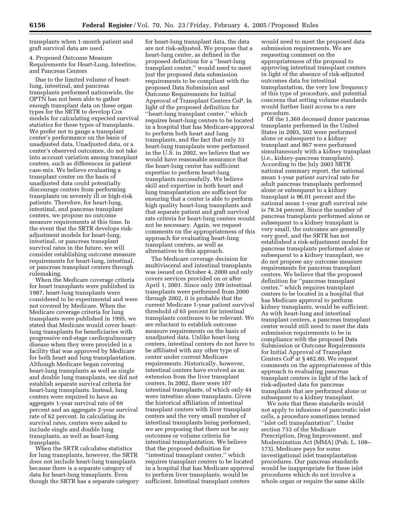transplants when 1-month patient and graft survival data are used.

4. Proposed Outcome Measure Requirements for Heart-Lung, Intestine, and Pancreas Centers

Due to the limited volume of heartlung, intestinal, and pancreas transplants performed nationwide, the OPTN has not been able to gather enough transplant data on these organ types for the SRTR to develop Cox models for calculating expected survival statistics for these types of transplants. We prefer not to gauge a transplant center's performance on the basis of unadjusted data. Unadjusted data, or a center's observed outcomes, do not take into account variation among transplant centers, such as differences in patient case-mix. We believe evaluating a transplant center on the basis of unadjusted data could potentially discourage centers from performing transplants on severely ill or high-risk patients. Therefore, for heart-lung, intestinal, and pancreas transplant centers, we propose no outcome measure requirements at this time. In the event that the SRTR develops riskadjustment models for heart-lung, intestinal, or pancreas transplant survival rates in the future, we will consider establishing outcome measure requirements for heart-lung, intestinal, or pancreas transplant centers through rulemaking.

When the Medicare coverage criteria for heart transplants were published in 1987, heart-lung transplants were considered to be experimental and were not covered by Medicare. When the Medicare coverage criteria for lung transplants were published in 1995, we stated that Medicare would cover heartlung transplants for beneficiaries with progressive end-stage cardiopulmonary disease when they were provided in a facility that was approved by Medicare for both heart and lung transplantation. Although Medicare began covering heart-lung transplants as well as single and double lung transplants, we did not establish separate survival criteria for heart-lung transplants. Instead, lung centers were required to have an aggregate 1-year survival rate of 69 percent and an aggregate 2-year survival rate of 62 percent. In calculating its survival rates, centers were asked to include single and double lung transplants, as well as heart-lung transplants.

When the SRTR calculates statistics for lung transplants, however, the SRTR does not include heart-lung transplants because there is a separate category of data for heart-lung transplants. Even though the SRTR has a separate category

for heart-lung transplant data, the data are not risk-adjusted. We propose that a heart-lung center, as defined in the proposed definition for a ''heart-lung transplant center,'' would need to meet just the proposed data submission requirements to be compliant with the proposed Data Submission and Outcome Requirements for Initial Approval of Transplant Centers CoP. In light of the proposed definition for ''heart-lung transplant center,'' which requires heart-lung centers to be located in a hospital that has Medicare-approval to perform both heart and lung transplants, and the fact that only 33 heart-lung transplants were performed in the U.S. in 2002, we believe that we would have reasonable assurance that the heart-lung center has sufficient expertise to perform heart-lung transplants successfully. We believe skill and expertise in both heart and lung transplantation are sufficient for ensuring that a center is able to perform high quality heart-lung transplants and that separate patient and graft survival rate criteria for heart-lung centers would not be necessary. Again, we request comments on the appropriateness of this approach for evaluating heart-lung transplant centers, as well as alternatives to this approach.

The Medicare coverage decision for multivisceral and intestinal transplants was issued on October 4, 2000 and only covers services provided on or after April 1, 2001. Since only 299 intestinal transplants were performed from 2000 through 2002, it is probable that the current Medicare 1-year patient survival threshold of 65 percent for intestinal transplants continues to be relevant. We are reluctant to establish outcome measure requirements on the basis of unadjusted data. Unlike heart-lung centers, intestinal centers do not have to be affiliated with any other type of center under current Medicare requirements. Historically, however, intestinal centers have evolved as an extension from the liver transplant centers. In 2002, there were 107 intestinal transplants, of which only 44 were intestine alone transplants. Given the historical affiliation of intestinal transplant centers with liver transplant centers and the very small number of intestinal transplants being performed, we are proposing that there not be any outcomes or volume criteria for intestinal transplantation. We believe that the proposed definition for ''intestinal transplant center,'' which requires transplant centers to be located in a hospital that has Medicare approval to perform liver transplants, would be sufficient. Intestinal transplant centers

would need to meet the proposed data submission requirements. We are requesting comment on the appropriateness of the proposal to approving intestinal transplant centers in light of the absence of risk-adjusted outcomes data for intestinal transplantation, the very low frequency of this type of procedure, and potential concerns that setting volume standards would further limit access to a rare procedure.

Of the 1,369 deceased donor pancreas transplants performed in the United States in 2003, 502 were performed alone or subsequent to a kidney transplant and 867 were performed simultaneously with a kidney transplant (*i.e.,* kidney-pancreas transplants). According to the July 2003 SRTR national summary report, the national mean 1-year patient survival rate for adult pancreas transplants performed alone or subsequent to a kidney transplant is 96.01 percent and the national mean 1-year graft survival rate is 78.34 percent. Since the number of pancreas transplants performed alone or subsequent to a kidney transplant is very small, the outcomes are generally very good, and the SRTR has not established a risk-adjustment model for pancreas transplants performed alone or subsequent to a kidney transplant, we do not propose any outcome measure requirements for pancreas transplant centers. We believe that the proposed definition for ''pancreas transplant center,'' which requires transplant centers to be located in a hospital that has Medicare approval to perform kidney transplants, would be sufficient. As with heart-lung and intestinal transplant centers, a pancreas transplant center would still need to meet the data submission requirements to be in compliance with the proposed Data Submission or Outcome Requirements for Initial Approval of Transplant Centers CoP at § 482.80. We request comments on the appropriateness of this approach to evaluating pancreas transplant centers in light of the lack of risk-adjusted data for pancreas transplants that are performed alone or subsequent to a kidney transplant.

We note that these standards would not apply to infusions of pancreatic islet cells, a procedure sometimes termed ''islet cell transplantation''. Under section 733 of the Medicare Prescription, Drug Improvement, and Modernization Act (MMA) (Pub. L. 108– 173), Medicare pays for some investigational islet transplantation procedures. Our pancreas standards would be inappropriate for these islet procedures which do not involve a whole organ or require the same skills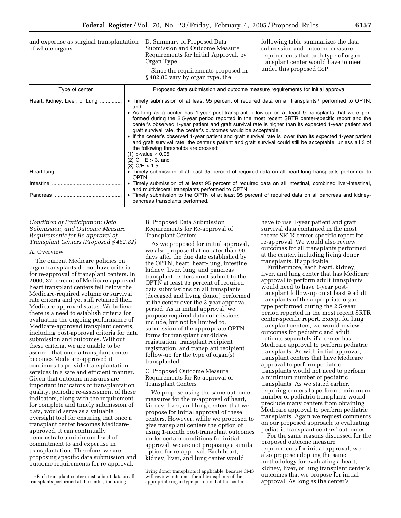and expertise as surgical transplantation of whole organs.

D. Summary of Proposed Data Submission and Outcome Measure Requirements for Initial Approval, by Organ Type

Since the requirements proposed in § 482.80 vary by organ type, the

following table summarizes the data submission and outcome measure requirements that each type of organ transplant center would have to meet under this proposed CoP.

| Type of center                | Proposed data submission and outcome measure requirements for initial approval                                                                                                                                                                                                                                                                                                                                                                                                                                                                                                                                                                                                                                                                                                                                                                                 |
|-------------------------------|----------------------------------------------------------------------------------------------------------------------------------------------------------------------------------------------------------------------------------------------------------------------------------------------------------------------------------------------------------------------------------------------------------------------------------------------------------------------------------------------------------------------------------------------------------------------------------------------------------------------------------------------------------------------------------------------------------------------------------------------------------------------------------------------------------------------------------------------------------------|
| Heart, Kidney, Liver, or Lung | • Timely submission of at least 95 percent of required data on all transplants <sup>1</sup> performed to OPTN;<br>and<br>• As long as a center has 1-year post-transplant follow-up on at least 9 transplants that were per-<br>formed during the 2.5-year period reported in the most recent SRTR center-specific report and the<br>center's observed 1-year patient and graft survival rate is higher than its expected 1-year patient and<br>graft survival rate, the center's outcomes would be acceptable.<br>• If the center's observed 1-year patient and graft survival rate is lower than its expected 1-year patient<br>and graft survival rate, the center's patient and graft survival could still be acceptable, unless all 3 of<br>the following thresholds are crossed:<br>$(1)$ p-value < 0.05,<br>$(2)$ O – E > 3, and<br>$(3)$ O/E $> 1.5$ . |
|                               | • Timely submission of at least 95 percent of required data on all heart-lung transplants performed to<br>OPTN.                                                                                                                                                                                                                                                                                                                                                                                                                                                                                                                                                                                                                                                                                                                                                |
|                               | • Timely submission of at least 95 percent of required data on all intestinal, combined liver-intestinal,<br>and multivisceral transplants performed to OPTN.<br>• Timely submission to the OPTN of at least 95 percent of required data on all pancreas and kidney-<br>pancreas transplants performed.                                                                                                                                                                                                                                                                                                                                                                                                                                                                                                                                                        |

## *Condition of Participation: Data Submission, and Outcome Measure Requirements for Re-approval of Transplant Centers (Proposed § 482.82)*

#### A. Overview

The current Medicare policies on organ transplants do not have criteria for re-approval of transplant centers. In 2000, 37 percent of Medicare-approved heart transplant centers fell below the Medicare-required volume or survival rate criteria and yet still retained their Medicare-approved status. We believe there is a need to establish criteria for evaluating the ongoing performance of Medicare-approved transplant centers, including post-approval criteria for data submission and outcomes. Without these criteria, we are unable to be assured that once a transplant center becomes Medicare-approved it continues to provide transplantation services in a safe and efficient manner. Given that outcome measures are important indicators of transplantation quality, periodic re-assessment of these indicators, along with the requirement for complete and timely submission of data, would serve as a valuable oversight tool for ensuring that once a transplant center becomes Medicareapproved, it can continually demonstrate a minimum level of commitment to and expertise in transplantation. Therefore, we are proposing specific data submission and outcome requirements for re-approval.

B. Proposed Data Submission Requirements for Re-approval of Transplant Centers

As we proposed for initial approval, we also propose that no later than 90 days after the due date established by the OPTN, heart, heart-lung, intestine, kidney, liver, lung, and pancreas transplant centers must submit to the OPTN at least 95 percent of required data submissions on all transplants (deceased and living donor) performed at the center over the 3-year approval period. As in initial approval, we propose required data submissions include, but not be limited to, submission of the appropriate OPTN forms for transplant candidate registration, transplant recipient registration, and transplant recipient follow-up for the type of organ(s) transplanted.

C. Proposed Outcome Measure Requirements for Re-approval of Transplant Centers

We propose using the same outcome measures for the re-approval of heart, kidney, liver, and lung centers that we propose for initial approval of these centers. However, while we proposed to give transplant centers the option of using 1-month post-transplant outcomes under certain conditions for initial approval, we are not proposing a similar option for re-approval. Each heart, kidney, liver, and lung center would

have to use 1-year patient and graft survival data contained in the most recent SRTR center-specific report for re-approval. We would also review outcomes for all transplants performed at the center, including living donor transplants, if applicable.

Furthermore, each heart, kidney, liver, and lung center that has Medicare approval to perform adult transplants would need to have 1-year posttransplant follow-up on at least 9 adult transplants of the appropriate organ type performed during the 2.5-year period reported in the most recent SRTR center-specific report. Except for lung transplant centers, we would review outcomes for pediatric and adult patients separately if a center has Medicare approval to perform pediatric transplants. As with initial approval, transplant centers that have Medicare approval to perform pediatric transplants would not need to perform a minimum number of pediatric transplants. As we stated earlier, requiring centers to perform a minimum number of pediatric transplants would preclude many centers from obtaining Medicare approval to perform pediatric transplants. Again we request comments on our proposed approach to evaluating pediatric transplant centers' outcomes.

For the same reasons discussed for the proposed outcome measure requirements for initial approval, we also propose adopting the same methodology for evaluating a heart, kidney, liver, or lung transplant center's outcomes that we propose for initial approval. As long as the center's

<sup>1</sup>Each transplant center must submit data on all transplants performed at the center, including

living donor transplants if applicable, because CMS will review outcomes for all transplants of the appropriate organ type performed at the center.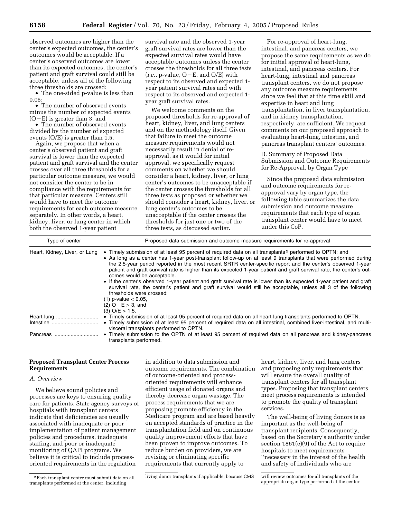observed outcomes are higher than the center's expected outcomes, the center's outcomes would be acceptable. If a center's observed outcomes are lower than its expected outcomes, the center's patient and graft survival could still be acceptable, unless all of the following three thresholds are crossed:

• The one-sided p-value is less than 0.05;

• The number of observed events minus the number of expected events  $(O-E)$  is greater than 3; and

• The number of observed events divided by the number of expected events (O/E) is greater than 1.5.

Again, we propose that when a center's observed patient and graft survival is lower than the expected patient and graft survival and the center crosses over all three thresholds for a particular outcome measure, we would not consider the center to be in compliance with the requirements for that particular measure. Centers still would have to meet the outcome requirements for each outcome measure separately. In other words, a heart, kidney, liver, or lung center in which both the observed 1-year patient

survival rate and the observed 1-year graft survival rates are lower than the expected survival rates would have acceptable outcomes unless the center crosses the thresholds for all three tests  $(i.e., p-value, O-E, and O/E)$  with respect to its observed and expected 1 year patient survival rates and with respect to its observed and expected 1 year graft survival rates.

We welcome comments on the proposed thresholds for re-approval of heart, kidney, liver, and lung centers and on the methodology itself. Given that failure to meet the outcome measure requirements would not necessarily result in denial of reapproval, as it would for initial approval, we specifically request comments on whether we should consider a heart, kidney, liver, or lung center's outcomes to be unacceptable if the center crosses the thresholds for all three tests as proposed or whether we should consider a heart, kidney, liver, or lung center's outcomes to be unacceptable if the center crosses the thresholds for just one or two of the three tests, as discussed earlier.

For re-approval of heart-lung, intestinal, and pancreas centers, we propose the same requirements as we do for initial approval of heart-lung, intestinal, and pancreas centers. For heart-lung, intestinal and pancreas transplant centers, we do not propose any outcome measure requirements since we feel that at this time skill and expertise in heart and lung transplantation, in liver transplantation, and in kidney transplantation, respectively, are sufficient. We request comments on our proposed approach to evaluating heart-lung, intestine, and pancreas transplant centers' outcomes.

D. Summary of Proposed Data Submission and Outcome Requirements for Re-Approval, by Organ Type

Since the proposed data submission and outcome requirements for reapproval vary by organ type, the following table summarizes the data submission and outcome measure requirements that each type of organ transplant center would have to meet under this CoP.

| Type of center                | Proposed data submission and outcome measure requirements for re-approval                                                                                                                                                                                                                                                                                                                                                                                                                                                                                                                                                                                                                                                                                                                                                                                       |
|-------------------------------|-----------------------------------------------------------------------------------------------------------------------------------------------------------------------------------------------------------------------------------------------------------------------------------------------------------------------------------------------------------------------------------------------------------------------------------------------------------------------------------------------------------------------------------------------------------------------------------------------------------------------------------------------------------------------------------------------------------------------------------------------------------------------------------------------------------------------------------------------------------------|
| Heart, Kidney, Liver, or Lung | • Timely submission of at least 95 percent of required data on all transplants <sup>2</sup> performed to OPTN; and<br>• As long as a center has 1-year post-transplant follow-up on at least 9 transplants that were performed during<br>the 2.5-year period reported in the most recent SRTR center-specific report and the center's observed 1-year<br>patient and graft survival rate is higher than its expected 1-year patient and graft survival rate, the center's out-<br>comes would be acceptable.<br>• If the center's observed 1-year patient and graft survival rate is lower than its expected 1-year patient and graft<br>survival rate, the center's patient and graft survival would still be acceptable, unless all 3 of the following<br>thresholds were crossed:<br>$(1)$ p-value $< 0.05$ .<br>$(2)$ O – E > 3, and<br>$(3)$ O/E $> 1.5$ . |
| Heart-lung                    | • Timely submission of at least 95 percent of required data on all heart-lung transplants performed to OPTN.                                                                                                                                                                                                                                                                                                                                                                                                                                                                                                                                                                                                                                                                                                                                                    |
| Intestine                     | • Timely submission of at least 95 percent of required data on all intestinal, combined liver-intestinal, and multi-<br>visceral transplants performed to OPTN.                                                                                                                                                                                                                                                                                                                                                                                                                                                                                                                                                                                                                                                                                                 |
| Pancreas                      | Timely submission to the OPTN of at least 95 percent of required data on all pancreas and kidney-pancreas<br>transplants performed.                                                                                                                                                                                                                                                                                                                                                                                                                                                                                                                                                                                                                                                                                                                             |

## **Proposed Transplant Center Process Requirements**

## *A. Overview*

We believe sound policies and processes are keys to ensuring quality care for patients. State agency surveys of hospitals with transplant centers indicate that deficiencies are usually associated with inadequate or poor implementation of patient management policies and procedures, inadequate staffing, and poor or inadequate monitoring of QAPI programs. We believe it is critical to include processoriented requirements in the regulation

in addition to data submission and outcome requirements. The combination of outcome-oriented and processoriented requirements will enhance efficient usage of donated organs and thereby decrease organ wastage. The process requirements that we are proposing promote efficiency in the Medicare program and are based heavily on accepted standards of practice in the transplantation field and on continuous quality improvement efforts that have been proven to improve outcomes. To reduce burden on providers, we are revising or eliminating specific requirements that currently apply to

heart, kidney, liver, and lung centers and proposing only requirements that will ensure the overall quality of transplant centers for all transplant types. Proposing that transplant centers meet process requirements is intended to promote the quality of transplant services.

The well-being of living donors is as important as the well-being of transplant recipients. Consequently, based on the Secretary's authority under section 1861(e)(9) of the Act to require hospitals to meet requirements ''necessary in the interest of the health and safety of individuals who are

<sup>2</sup>Each transplant center must submit data on all transplants performed at the center, including

living donor transplants if applicable, because CMS will review outcomes for all transplants of the

appropriate organ type performed at the center.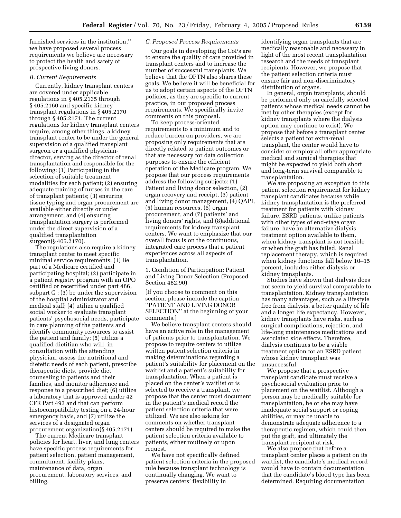furnished services in the institution,'' we have proposed several process requirements we believe are necessary to protect the health and safety of prospective living donors.

## *B. Current Requirements*

Currently, kidney transplant centers are covered under applicable regulations in § 405.2135 through § 405.2160 and specific kidney transplant regulations in § 405.2170 through § 405.2171. The current regulations for kidney transplant centers require, among other things, a kidney transplant center to be under the general supervision of a qualified transplant surgeon or a qualified physiciandirector, serving as the director of renal transplantation and responsible for the following: (1) Participating in the selection of suitable treatment modalities for each patient; (2) ensuring adequate training of nurses in the care of transplant patients; (3) ensuring tissue typing and organ procurement are available either directly or under arrangement; and (4) ensuring transplantation surgery is performed under the direct supervision of a qualified transplantation surgeon(§ 405.2170).

The regulations also require a kidney transplant center to meet specific minimal service requirements: (1) Be part of a Medicare certified and participating hospital; (2) participate in a patient registry program with an OPO certified or recertified under part 486, subpart G ; (3) be under the supervision of the hospital administrator and medical staff; (4) utilize a qualified social worker to evaluate transplant patients' psychosocial needs, participate in care planning of the patients and identify community resources to assist the patient and family; (5) utilize a qualified dietitian who will, in consultation with the attending physician, assess the nutritional and dietetic needs of each patient, prescribe therapeutic diets, provide diet counseling to patients and their families, and monitor adherence and response to a prescribed diet; (6) utilize a laboratory that is approved under 42 CFR Part 493 and that can perform histocompatibility testing on a 24-hour emergency basis, and (7) utilize the services of a designated organ procurement organization(§ 405.2171).

The current Medicare transplant policies for heart, liver, and lung centers have specific process requirements for patient selection, patient management, commitment, facility plans, maintenance of data, organ procurement, laboratory services, and billing.

#### *C. Proposed Process Requirements*

Our goals in developing the CoPs are to ensure the quality of care provided in transplant centers and to increase the number of successful transplants. We believe that the OPTN also shares these goals. We believe it will be beneficial for us to adopt certain aspects of the OPTN policies, as they are specific to current practice, in our proposed process requirements. We specifically invite comments on this proposal.

To keep process-oriented requirements to a minimum and to reduce burden on providers, we are proposing only requirements that are directly related to patient outcomes or that are necessary for data collection purposes to ensure the efficient operation of the Medicare program. We propose that our process requirements address the following subjects: (1) Patient and living donor selection, (2) organ recovery and receipt, (3) patient and living donor management, (4) QAPI, (5) human resources, (6) organ procurement, and (7) patients' and living donors' rights, and (8)additional requirements for kidney transplant centers. We want to emphasize that our overall focus is on the continuous, integrated care process that a patient experiences across all aspects of transplantation.

1. Condition of Participation: Patient and Living Donor Selection (Proposed Section 482.90)

[If you choose to comment on this section, please include the caption ''PATIENT AND LIVING DONOR SELECTION'' at the beginning of your comments.]

We believe transplant centers should have an active role in the management of patients prior to transplantation. We propose to require centers to utilize written patient selection criteria in making determinations regarding a patient's suitability for placement on the waitlist and a patient's suitability for transplantation. When a patient is placed on the center's waitlist or is selected to receive a transplant, we propose that the center must document in the patient's medical record the patient selection criteria that were utilized. We are also asking for comments on whether transplant centers should be required to make the patient selection criteria available to patients, either routinely or upon request.

We have not specifically defined patient selection criteria in the proposed rule because transplant technology is continually changing. We want to preserve centers' flexibility in

identifying organ transplants that are medically reasonable and necessary in light of the most recent transplantation research and the needs of transplant recipients. However, we propose that the patient selection criteria must ensure fair and non-discriminatory distribution of organs.

In general, organ transplants, should be performed only on carefully selected patients whose medical needs cannot be met by other therapies (except for kidney transplants where the dialysis option may continue to exist). We propose that before a transplant center selects a patient for extra-renal transplant, the center would have to consider or employ all other appropriate medical and surgical therapies that might be expected to yield both short and long-term survival comparable to transplantation.

We are proposing an exception to this patient selection requirement for kidney transplant candidates because while kidney transplantation is the preferred treatment for patients with kidney failure, ESRD patients, unlike patients with other types of end-stage organ failure, have an alternative dialysis treatment option available to them, when kidney transplant is not feasible or when the graft has failed. Renal replacement therapy, which is required when kidney functions fall below 10–15 percent, includes either dialysis or kidney transplants.

Studies have shown that dialysis does not seem to yield survival comparable to transplantation. Kidney transplantation has many advantages, such as a lifestyle free from dialysis, a better quality of life and a longer life expectancy. However, kidney transplants have risks, such as surgical complications, rejection, and life-long maintenance medications and associated side effects. Therefore, dialysis continues to be a viable treatment option for an ESRD patient whose kidney transplant was unsuccessful.

We propose that a prospective transplant candidate must receive a psychosocial evaluation prior to placement on the waitlist. Although a person may be medically suitable for transplantation, he or she may have inadequate social support or coping abilities, or may be unable to demonstrate adequate adherence to a therapeutic regimen, which could then put the graft, and ultimately the transplant recipient at risk.

We also propose that before a transplant center places a patient on its waitlist, the candidate's medical record would have to contain documentation that the candidate's blood type has been determined. Requiring documentation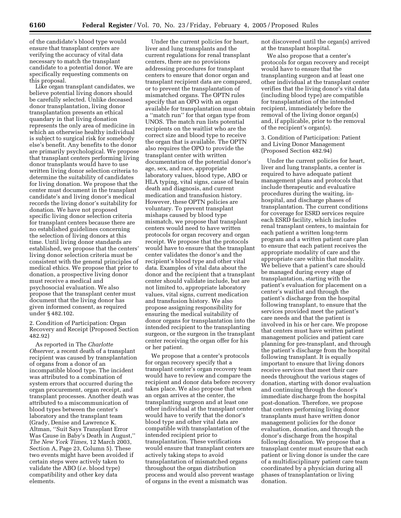of the candidate's blood type would ensure that transplant centers are verifying the accuracy of vital data necessary to match the transplant candidate to a potential donor. We are specifically requesting comments on this proposal.

Like organ transplant candidates, we believe potential living donors should be carefully selected. Unlike deceased donor transplantation, living donor transplantation presents an ethical quandary in that living donation represents the only area of medicine in which an otherwise healthy individual is subject to surgical risk for somebody else's benefit. Any benefits to the donor are primarily psychological. We propose that transplant centers performing living donor transplants would have to use written living donor selection criteria to determine the suitability of candidates for living donation. We propose that the center must document in the transplant candidate's and living donor's medical records the living donor's suitability for donation. We have not proposed specific living donor selection criteria for transplant centers because there are no established guidelines concerning the selection of living donors at this time. Until living donor standards are established, we propose that the centers' living donor selection criteria must be consistent with the general principles of medical ethics. We propose that prior to donation, a prospective living donor must receive a medical and psychosocial evaluation. We also propose that the transplant center must document that the living donor has given informed consent, as required under § 482.102.

2. Condition of Participation: Organ Recovery and Receipt (Proposed Section 482.92)

As reported in The *Charlotte Observer,* a recent death of a transplant recipient was caused by transplantation of organs from a donor of an incompatible blood type. The incident was attributed to a combination of system errors that occurred during the organ procurement, organ receipt, and transplant processes. Another death was attributed to a miscommunication of blood types between the center's laboratory and the transplant team (Grady, Denise and Lawrence K. Altman, ''Suit Says Transplant Error Was Cause in Baby's Death in August,'' *The New York Times,* 12 March 2003, Section A, Page 23, Column 5). These two events might have been avoided if certain steps were actively taken to validate the ABO (*i.e.* blood type) compatibility and other key data elements.

Under the current policies for heart, liver and lung transplants and the current regulations for renal transplant centers, there are no provisions addressing procedures for transplant centers to ensure that donor organ and transplant recipient data are compared, or to prevent the transplantation of mismatched organs. The OPTN rules specify that an OPO with an organ available for transplantation must obtain a ''match run'' for that organ type from UNOS. The match run lists potential recipients on the waitlist who are the correct size and blood type to receive the organ that is available. The OPTN also requires the OPO to provide the transplant center with written documentation of the potential donor's age, sex, and race, appropriate laboratory values, blood type, ABO or HLA typing, vital signs, cause of brain death and diagnosis, and current medication and transfusion history. However, these OPTN policies are voluntary. To prevent transplant mishaps caused by blood type mismatch, we propose that transplant centers would need to have written protocols for organ recovery and organ receipt. We propose that the protocols would have to ensure that the transplant center validates the donor's and the recipient's blood type and other vital data. Examples of vital data about the donor and the recipient that a transplant center should validate include, but are not limited to, appropriate laboratory values, vital signs, current medication and transfusion history. We also propose assigning responsibility for ensuring the medical suitability of donor organs for transplantation into the intended recipient to the transplanting surgeon, or the surgeon in the transplant center receiving the organ offer for his or her patient.

We propose that a center's protocols for organ recovery specify that a transplant center's organ recovery team would have to review and compare the recipient and donor data before recovery takes place. We also propose that when an organ arrives at the center, the transplanting surgeon and at least one other individual at the transplant center would have to verify that the donor's blood type and other vital data are compatible with transplantation of the intended recipient prior to transplantation. These verifications would ensure that transplant centers are actively taking steps to avoid transplantation of mismatched organs throughout the organ distribution process and would also prevent wastage of organs in the event a mismatch was

not discovered until the organ(s) arrived at the transplant hospital.

We also propose that a center's protocols for organ recovery and receipt would have to ensure that the transplanting surgeon and at least one other individual at the transplant center verifies that the living donor's vital data (including blood type) are compatible for transplantation of the intended recipient, immediately before the removal of the living donor organ(s) and, if applicable, prior to the removal of the recipient's organ(s).

3. Condition of Participation: Patient and Living Donor Management (Proposed Section 482.94)

Under the current policies for heart, liver and lung transplants, a center is required to have adequate patient management plans and protocols that include therapeutic and evaluative procedures during the waiting, inhospital, and discharge phases of transplantation. The current conditions for coverage for ESRD services require each ESRD facility, which includes renal transplant centers, to maintain for each patient a written long-term program and a written patient care plan to ensure that each patient receives the appropriate modality of care and the appropriate care within that modality. We believe that a patient's care should be managed during every stage of transplantation, starting with the patient's evaluation for placement on a center's waitlist and through the patient's discharge from the hospital following transplant, to ensure that the services provided meet the patient's care needs and that the patient is involved in his or her care. We propose that centers must have written patient management policies and patient care planning for pre-transplant, and through the patient's discharge from the hospital following transplant. It is equally important to ensure that living donors receive services that meet their care needs throughout the various stages of donation, starting with donor evaluation and continuing through the donor's immediate discharge from the hospital post-donation. Therefore, we propose that centers performing living donor transplants must have written donor management policies for the donor evaluation, donation, and through the donor's discharge from the hospital following donation. We propose that a transplant center must ensure that each patient or living donor is under the care of a multidisciplinary patient care team coordinated by a physician during all phases of transplantation or living donation.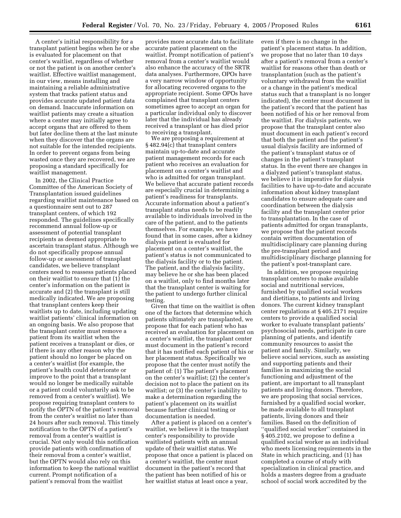A center's initial responsibility for a transplant patient begins when he or she is evaluated for placement on that center's waitlist, regardless of whether or not the patient is on another center's waitlist. Effective waitlist management, in our view, means installing and maintaining a reliable administrative system that tracks patient status and provides accurate updated patient data on demand. Inaccurate information on waitlist patients may create a situation where a center may initially agree to accept organs that are offered to them but later decline them at the last minute when they discover that the organs are not suitable for the intended recipients. In order to prevent organs from being wasted once they are recovered, we are proposing a standard specifically for waitlist management.

In 2002, the Clinical Practice Committee of the American Society of Transplantation issued guidelines regarding waitlist maintenance based on a questionnaire sent out to 287 transplant centers, of which 192 responded. The guidelines specifically recommend annual follow-up or assessment of potential transplant recipients as deemed appropriate to ascertain transplant status. Although we do not specifically propose annual follow-up or assessment of transplant candidates, we believe transplant centers need to reassess patients placed on their waitlist to ensure that (1) the center's information on the patient is accurate and (2) the transplant is still medically indicated. We are proposing that transplant centers keep their waitlists up to date, including updating waitlist patients' clinical information on an ongoing basis. We also propose that the transplant center must remove a patient from its waitlist when the patient receives a transplant or dies, or if there is any other reason why the patient should no longer be placed on a center's waitlist (for example, the patient's health could deteriorate or improve to the point that a transplant would no longer be medically suitable or a patient could voluntarily ask to be removed from a center's waitlist). We propose requiring transplant centers to notify the OPTN of the patient's removal from the center's waitlist no later than 24 hours after such removal. This timely notification to the OPTN of a patient's removal from a center's waitlist is crucial. Not only would this notification provide patients with confirmation of their removal from a center's waitlist, but the OPTN would also rely on this information to keep the national waitlist current. Prompt notification of a patient's removal from the waitlist

provides more accurate data to facilitate accurate patient placement on the waitlist. Prompt notification of patient's removal from a center's waitlist would also enhance the accuracy of the SRTR data analyses. Furthermore, OPOs have a very narrow window of opportunity for allocating recovered organs to the appropriate recipient. Some OPOs have complained that transplant centers sometimes agree to accept an organ for a particular individual only to discover later that the individual has already received a transplant or has died prior to receiving a transplant.

We are proposing a requirement at § 482.94(c) that transplant centers maintain up-to-date and accurate patient management records for each patient who receives an evaluation for placement on a center's waitlist and who is admitted for organ transplant. We believe that accurate patient records are especially crucial in determining a patient's readiness for transplants. Accurate information about a patient's transplant status needs to be readily available to individuals involved in the care of the patient, and to the patients themselves. For example, we have found that in some cases, after a kidney dialysis patient is evaluated for placement on a center's waitlist, the patient's status is not communicated to the dialysis facility or to the patient. The patient, and the dialysis facility, may believe he or she has been placed on a waitlist, only to find months later that the transplant center is waiting for the patient to undergo further clinical testing.

Given that time on the waitlist is often one of the factors that determine which patients ultimately are transplanted, we propose that for each patient who has received an evaluation for placement on a center's waitlist, the transplant center must document in the patient's record that it has notified each patient of his or her placement status. Specifically we propose that the center must notify the patient of: (1) The patient's placement on the center's waitlist; (2) the center's decision not to place the patient on its waitlist; or (3) the center's inability to make a determination regarding the patient's placement on its waitlist because further clinical testing or documentation is needed.

After a patient is placed on a center's waitlist, we believe it is the transplant center's responsibility to provide waitlisted patients with an annual update of their waitlist status. We propose that once a patient is placed on a center's waitlist, the center must document in the patient's record that the patient has been notified of his or her waitlist status at least once a year,

even if there is no change in the patient's placement status. In addition, we propose that no later than 10 days after a patient's removal from a center's waitlist for reasons other than death or transplantation (such as the patient's voluntary withdrawal from the waitlist or a change in the patient's medical status such that a transplant is no longer indicated), the center must document in the patient's record that the patient has been notified of his or her removal from the waitlist. For dialysis patients, we propose that the transplant center also must document in each patient's record that both the patient and the patient's usual dialysis facility are informed of the patient's transplant status or of changes in the patient's transplant status. In the event there are changes in a dialyzed patient's transplant status, we believe it is imperative for dialysis facilities to have up-to-date and accurate information about kidney transplant candidates to ensure adequate care and coordination between the dialysis facility and the transplant center prior to transplantation. In the case of patients admitted for organ transplants, we propose that the patient records contain written documentation of multidisciplinary care planning during the pre-transplant period and multidisciplinary discharge planning for the patient's post-transplant care.

In addition, we propose requiring transplant centers to make available social and nutritional services, furnished by qualified social workers and dietitians, to patients and living donors. The current kidney transplant center regulations at § 405.2171 require centers to provide a qualified social worker to evaluate transplant patients' psychosocial needs, participate in care planning of patients, and identify community resources to assist the patient and family. Similarly, we believe social services, such as assisting and supporting patients and their families in maximizing the social functioning and adjustment of the patient, are important to all transplant patients and living donors. Therefore, we are proposing that social services, furnished by a qualified social worker, be made available to all transplant patients, living donors and their families. Based on the definition of ''qualified social worker'' contained in § 405.2102, we propose to define a qualified social worker as an individual who meets licensing requirements in the State in which practicing, and (1) has completed a course of study with specialization in clinical practice, and holds a masters degree from a graduate school of social work accredited by the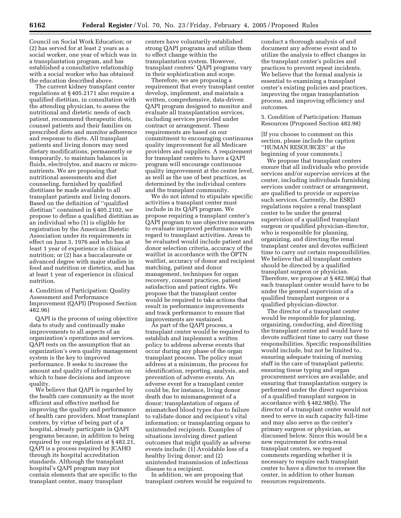Council on Social Work Education; or (2) has served for at least 2 years as a social worker, one year of which was in a transplantation program, and has established a consultative relationship with a social worker who has obtained the education described above.

The current kidney transplant center regulations at § 405.2171 also require a qualified dietitian, in consultation with the attending physician, to assess the nutritional and dietetic needs of each patient, recommend therapeutic diets, counsel patients and their families on prescribed diets and monitor adherence and response to diets. All transplant patients and living donors may need dietary modifications, permanently or temporarily, to maintain balances in fluids, electrolytes, and macro or micronutrients. We are proposing that nutritional assessments and diet counseling, furnished by qualified dietitians be made available to all transplant patients and living donors. Based on the definition of ''qualified dietitian'' contained in § 405.2102, we propose to define a qualified dietitian as an individual who (1) is eligible for registration by the American Dietetic Association under its requirements in effect on June 3, 1976 and who has at least 1 year of experience in clinical nutrition; or (2) has a baccalaureate or advanced degree with major studies in food and nutrition or dietetics, and has at least 1 year of experience in clinical nutrition.

4. Condition of Participation: Quality Assessment and Performance Improvement (QAPI) (Proposed Section 482.96)

QAPI is the process of using objective data to study and continually make improvements to all aspects of an organization's operations and services. QAPI rests on the assumption that an organization's own quality management system is the key to improved performance. It seeks to increase the amount and quality of information on which to base decisions and improve quality.

We believe that QAPI is regarded by the health care community as the most efficient and effective method for improving the quality and performance of health care providers. Most transplant centers, by virtue of being part of a hospital, already participate in QAPI programs because, in addition to being required by our regulations at § 482.21, QAPI is a process required by JCAHO through its hospital accreditation standards. Although the transplant hospital's QAPI program may not contain elements that are specific to the transplant center, many transplant

centers have voluntarily established strong QAPI programs and utilize them to effect change within the transplantation system. However, transplant centers' QAPI programs vary in their sophistication and scope.

Therefore, we are proposing a requirement that every transplant center develop, implement, and maintain a written, comprehensive, data-driven QAPI program designed to monitor and evaluate all transplantation services, including services provided under contract or arrangement. These requirements are based on our commitment to encouraging continuous quality improvement for all Medicare providers and suppliers. A requirement for transplant centers to have a QAPI program will encourage continuous quality improvement at the center level, as well as the use of best practices, as determined by the individual centers and the transplant community.

We do not intend to stipulate specific activities a transplant center must include in its QAPI program. We propose requiring a transplant center's QAPI program to use objective measures to evaluate improved performance with regard to transplant activities. Areas to be evaluated would include patient and donor selection criteria, accuracy of the waitlist in accordance with the OPTN waitlist, accuracy of donor and recipient matching, patient and donor management, techniques for organ recovery, consent practices, patient satisfaction and patient rights. We propose that the transplant center would be required to take actions that result in performance improvements and track performance to ensure that improvements are sustained.

As part of the QAPI process, a transplant center would be required to establish and implement a written policy to address adverse events that occur during any phase of the organ transplant process. The policy must address at a minimum, the process for identification, reporting, analysis, and prevention of adverse events. An adverse event for a transplant center could be, for instance, living donor death due to mismanagement of a donor; transplantation of organs of mismatched blood types due to failure to validate donor and recipient's vital information; or transplanting organs to unintended recipients. Examples of situations involving direct patient outcomes that might qualify as adverse events include: (1) Avoidable loss of a healthy living donor; and (2) unintended transmission of infectious disease to a recipient.

In addition, we are proposing that transplant centers would be required to conduct a thorough analysis of and document any adverse event and to utilize the analysis to effect changes in the transplant center's policies and practices to prevent repeat incidents. We believe that the formal analysis is essential to examining a transplant center's existing policies and practices, improving the organ transplantation process, and improving efficiency and outcomes.

5. Condition of Participation: Human Resources (Proposed Section 482.98)

[If you choose to comment on this section, please include the caption ''HUMAN RESOURCES'' at the beginning of your comments.]

We propose that transplant centers ensure that all individuals who provide services and/or supervise services at the center, including individuals furnishing services under contract or arrangement, are qualified to provide or supervise such services. Currently, the ESRD regulations require a renal transplant center to be under the general supervision of a qualified transplant surgeon or qualified physician-director, who is responsible for planning, organizing, and directing the renal transplant center and devotes sufficient time to carry out certain responsibilities. We believe that all transplant centers should be directed by a qualified transplant surgeon or physician. Therefore, we propose at § 482.98(a) that each transplant center would have to be under the general supervision of a qualified transplant surgeon or a qualified physician-director.

The director of a transplant center would be responsible for planning, organizing, conducting, and directing the transplant center and would have to devote sufficient time to carry out these responsibilities. Specific responsibilities would include, but not be limited to, ensuring adequate training of nursing staff in the care of transplant patients; ensuring tissue typing and organ procurement services are available; and ensuring that transplantation surgery is performed under the direct supervision of a qualified transplant surgeon in accordance with § 482.98(b). The director of a transplant center would not need to serve in such capacity full-time and may also serve as the center's primary surgeon or physician, as discussed below. Since this would be a new requirement for extra-renal transplant centers, we request comments regarding whether it is necessary to require each transplant center to have a director to oversee the center, in addition to other human resources requirements.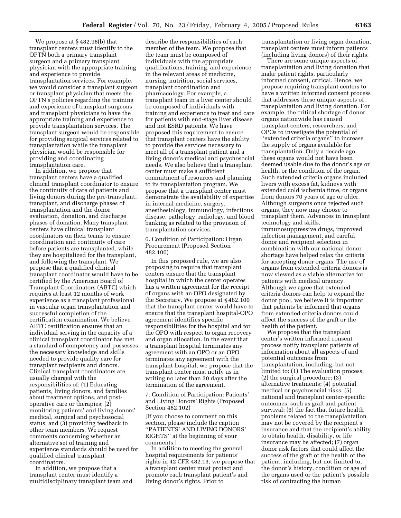We propose at § 482.98(b) that transplant centers must identify to the OPTN both a primary transplant surgeon and a primary transplant physician with the appropriate training and experience to provide transplantation services. For example, we would consider a transplant surgeon or transplant physician that meets the OPTN's policies regarding the training and experience of transplant surgeons and transplant physicians to have the appropriate training and experience to provide transplantation services. The transplant surgeon would be responsible for providing surgical services related to transplantation while the transplant physician would be responsible for providing and coordinating transplantation care.

In addition, we propose that transplant centers have a qualified clinical transplant coordinator to ensure the continuity of care of patients and living donors during the pre-transplant, transplant, and discharge phases of transplantation and the donor evaluation, donation, and discharge phases of donation. Many transplant centers have clinical transplant coordinators on their teams to ensure coordination and continuity of care before patients are transplanted, while they are hospitalized for the transplant, and following the transplant. We propose that a qualified clinical transplant coordinator would have to be certified by the American Board of Transplant Coordinators (ABTC) which requires at least 12 months of work experience as a transplant professional in vascular organ transplantation and successful completion of the certification examination. We believe ABTC certification ensures that an individual serving in the capacity of a clinical transplant coordinator has met a standard of competency and possesses the necessary knowledge and skills needed to provide quality care for transplant recipients and donors. Clinical transplant coordinators are usually charged with the responsibilities of: (1) Educating patients, living donors, and families about treatment options, and postoperative care or therapies; (2) monitoring patients' and living donors' medical, surgical and psychosocial status; and (3) providing feedback to other team members. We request comments concerning whether an alternative set of training and experience standards should be used for qualified clinical transplant coordinators.

In addition, we propose that a transplant center must identify a multidisciplinary transplant team and

describe the responsibilities of each member of the team. We propose that the team must be composed of individuals with the appropriate qualifications, training, and experience in the relevant areas of medicine, nursing, nutrition, social services, transplant coordination and pharmacology. For example, a transplant team in a liver center should be composed of individuals with training and experience to treat and care for patients with end-stage liver disease and not ESRD patients. We have proposed this requirement to ensure that transplant centers have the ability to provide the services necessary to meet all of a transplant patient and a living donor's medical and psychosocial needs. We also believe that a transplant center must make a sufficient commitment of resources and planning to its transplantation program. We propose that a transplant center must demonstrate the availability of expertise in internal medicine, surgery, anesthesiology, immunology, infectious disease, pathology, radiology, and blood banking as related to the provision of transplantation services.

6. Condition of Participation: Organ Procurement (Proposed Section 482.100)

In this proposed rule, we are also proposing to require that transplant centers ensure that the transplant hospital in which the center operates has a written agreement for the receipt of organs with an OPO designated by the Secretary. We propose at § 482.100 that the transplant center would have to ensure that the transplant hospital-OPO agreement identifies specific responsibilities for the hospital and for the OPO with respect to organ recovery and organ allocation. In the event that a transplant hospital terminates any agreement with an OPO or an OPO terminates any agreement with the transplant hospital, we propose that the transplant center must notify us in writing no later than 30 days after the termination of the agreement.

7. Condition of Participation: Patients' and Living Donors' Rights (Proposed Section 482.102)

[If you choose to comment on this section, please include the caption ''PATIENTS' AND LIVING DONORS' RIGHTS'' at the beginning of your comments.]

In addition to meeting the general hospital requirements for patients' rights in 42 CFR 482.13, we propose that a transplant center must protect and promote each transplant patient's and living donor's rights. Prior to

transplantation or living organ donation, transplant centers must inform patients (including living donors) of their rights.

There are some unique aspects of transplantation and living donation that make patient rights, particularly informed consent, critical. Hence, we propose requiring transplant centers to have a written informed consent process that addresses these unique aspects of transplantation and living donation. For example, the critical shortage of donor organs nationwide has caused transplant centers, researchers, and OPOs to investigate the potential of ''extended criteria organs'' to increase the supply of organs available for transplantation. Only a decade ago, these organs would not have been deemed usable due to the donor's age or health, or the condition of the organ. Such extended criteria organs included livers with excess fat, kidneys with extended cold ischemia time, or organs from donors 70 years of age or older. Although surgeons once rejected such organs, they now may choose to transplant them. Advances in transplant technology and skills, immunosuppressive drugs, improved infection management, and careful donor and recipient selection in combination with our national donor shortage have helped relax the criteria for accepting donor organs. The use of organs from extended criteria donors is now viewed as a viable alternative for patients with medical urgency. Although we agree that extended criteria donors can help to expand the donor pool, we believe it is important that patients be informed that organs from extended criteria donors could affect the success of the graft or the health of the patient.

We propose that the transplant center's written informed consent process notify transplant patients of information about all aspects of and potential outcomes from transplantation, including, but not limited to: (1) The evaluation process; (2) the surgical procedure; (3) alternative treatments; (4) potential medical or psychosocial risks; (5) national and transplant center-specific outcomes, such as graft and patient survival; (6) the fact that future health problems related to the transplantation may not be covered by the recipient's insurance and that the recipient's ability to obtain health, disability, or life insurance may be affected; (7) organ donor risk factors that could affect the success of the graft or the health of the patient, including, but not limited to, the donor's history, condition or age of the organs used or the patient's possible risk of contracting the human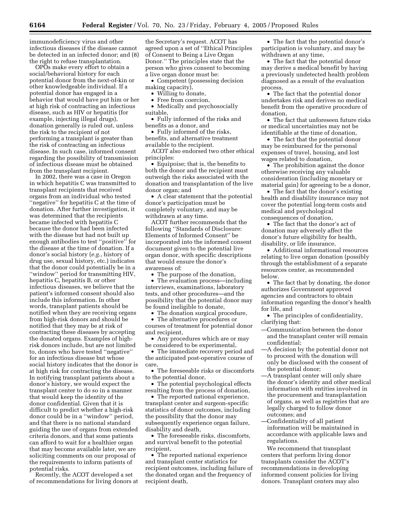immunodeficiency virus and other infectious diseases if the disease cannot be detected in an infected donor; and (8) the right to refuse transplantation.

OPOs make every effort to obtain a social/behavioral history for each potential donor from the next-of-kin or other knowledgeable individual. If a potential donor has engaged in a behavior that would have put him or her at high risk of contracting an infectious disease, such as HIV or hepatitis (for example, injecting illegal drugs), donation generally is ruled out, unless the risk to the recipient of not performing a transplant is greater than the risk of contracting an infectious disease. In such case, informed consent regarding the possibility of transmission of infectious disease must be obtained from the transplant recipient.

In 2002, there was a case in Oregon in which hepatitis C was transmitted to transplant recipients that received organs from an individual who tested ''negative'' for hepatitis C at the time of donation. After further investigation, it was determined that the recipients became infected with hepatitis C because the donor had been infected with the disease but had not built up enough antibodies to test ''positive'' for the disease at the time of donation. If a donor's social history (*e.g.*, history of drug use, sexual history, etc.) indicates that the donor could potentially be in a ''window'' period for transmitting HIV, hepatitis C, hepatitis B, or other infectious diseases, we believe that the patient's informed consent should also include this information. In other words, transplant patients should be notified when they are receiving organs from high-risk donors and should be notified that they may be at risk of contracting these diseases by accepting the donated organs. Examples of highrisk donors include, but are not limited to, donors who have tested ''negative'' for an infectious disease but whose social history indicates that the donor is at high risk for contracting the disease. In notifying transplant patients about a donor's history, we would expect the transplant center to do so in a manner that would keep the identity of the donor confidential. Given that it is difficult to predict whether a high-risk donor could be in a ''window'' period, and that there is no national standard guiding the use of organs from extended criteria donors, and that some patients can afford to wait for a healthier organ that may become available later, we are soliciting comments on our proposal of the requirements to inform patients of potential risks.

Recently, the ACOT developed a set of recommendations for living donors at

the Secretary's request. ACOT has agreed upon a set of ''Ethical Principles of Consent to Being a Live Organ Donor.'' The principles state that the person who gives consent to becoming a live organ donor must be:

• Competent (possessing decision making capacity),

• Willing to donate,

• Free from coercion,

• Medically and psychosocially suitable,

• Fully informed of the risks and benefits as a donor, and

• Fully informed of the risks, benefits, and alternative treatment available to the recipient.

ACOT also endorsed two other ethical principles:

• Equipoise; that is, the benefits to both the donor and the recipient must outweigh the risks associated with the donation and transplantation of the live donor organ; and

• A clear statement that the potential donor's participation must be completely voluntary, and may be withdrawn at any time.

ACOT further recommends that the following ''Standards of Disclosure: Elements of Informed Consent'' be incorporated into the informed consent document given to the potential live organ donor, with specific descriptions that would ensure the donor's awareness of:

The purpose of the donation,

• The evaluation process—including interviews, examinations, laboratory tests, and other procedures—and the possibility that the potential donor may be found ineligible to donate,

• The donation surgical procedure,

• The alternative procedures or courses of treatment for potential donor and recipient,

• Any procedures which are or may be considered to be experimental,

• The immediate recovery period and the anticipated post-operative course of care,

• The foreseeable risks or discomforts to the potential donor,

• The potential psychological effects resulting from the process of donation,

• The reported national experience, transplant center and surgeon-specific statistics of donor outcomes, including the possibility that the donor may subsequently experience organ failure, disability and death,

• The foreseeable risks, discomforts, and survival benefit to the potential recipient,

• The reported national experience and transplant center statistics for recipient outcomes, including failure of the donated organ and the frequency of recipient death,

• The fact that the potential donor's participation is voluntary, and may be withdrawn at any time,

• The fact that the potential donor may derive a medical benefit by having a previously undetected health problem diagnosed as a result of the evaluation process,

• The fact that the potential donor undertakes risk and derives no medical benefit from the operative procedure of donation,

• The fact that unforeseen future risks or medical uncertainties may not be identifiable at the time of donation,

• The fact that the potential donor may be reimbursed for the personal expenses of travel, housing, and lost wages related to donation,

• The prohibition against the donor otherwise receiving any valuable consideration (including monetary or material gain) for agreeing to be a donor,

• The fact that the donor's existing health and disability insurance may not cover the potential long-term costs and medical and psychological consequences of donation,

• The fact that the donor's act of donation may adversely affect the donor's future eligibility for health, disability, or life insurance,

• Additional informational resources relating to live organ donation (possibly through the establishment of a separate resources center, as recommended below.

• The fact that by donating, the donor authorizes Government approved agencies and contractors to obtain information regarding the donor's health for life, and

- The principles of confidentiality, clarifying that:
- —Communication between the donor and the transplant center will remain confidential;
- —A decision by the potential donor not to proceed with the donation will only be disclosed with the consent of the potential donor;
- —A transplant center will only share the donor's identity and other medical information with entities involved in the procurement and transplantation of organs, as well as registries that are legally charged to follow donor outcomes; and
- —Confidentiality of all patient information will be maintained in accordance with applicable laws and regulations.

We recommend that transplant centers that perform living donor transplants consider the ACOT's recommendations in developing informed consent policies for living donors. Transplant centers may also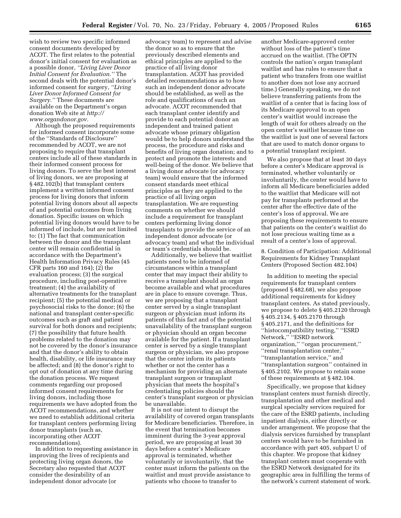wish to review two specific informed consent documents developed by ACOT. The first relates to the potential donor's initial consent for evaluation as a possible donor, *''Living Liver Donor Initial Consent for Evaluation.''* The second deals with the potential donor's informed consent for surgery, *''Living Liver Donor Informed Consent for Surgery.''* These documents are available on the Department's organ donation Web site at *http:// www.organdonor.gov.*

Although the proposed requirements for informed consent incorporate some of the ''Standards of Disclosure'' recommended by ACOT, we are not proposing to require that transplant centers include all of these standards in their informed consent process for living donors. To serve the best interest of living donors, we are proposing at § 482.102(b) that transplant centers implement a written informed consent process for living donors that inform potential living donors about all aspects of and potential outcomes from living donation. Specific issues on which potential living donors would have to be informed of include, but are not limited to: (1) The fact that communication between the donor and the transplant center will remain confidential in accordance with the Department's Health Information Privacy Rules (45 CFR parts 160 and 164); (2) the evaluation process; (3) the surgical procedure, including post-operative treatment; (4) the availability of alternative treatments for the transplant recipient; (5) the potential medical or psychosocial risks to the donor; (6) the national and transplant center-specific outcomes such as graft and patient survival for both donors and recipients; (7) the possibility that future health problems related to the donation may not be covered by the donor's insurance and that the donor's ability to obtain health, disability, or life insurance may be affected; and (8) the donor's right to opt out of donation at any time during the donation process. We request comments regarding our proposed informed consent requirements for living donors, including those requirements we have adopted from the ACOT recommendations, and whether we need to establish additional criteria for transplant centers performing living donor transplants (such as, incorporating other ACOT recommendations).

In addition to requesting assistance in improving the lives of recipients and protecting living organ donors, the Secretary also requested that ACOT consider the desirability of an independent donor advocate (or

advocacy team) to represent and advise the donor so as to ensure that the previously described elements and ethical principles are applied to the practice of all living donor transplantation. ACOT has provided detailed recommendations as to how such an independent donor advocate should be established, as well as the role and qualifications of such an advocate. ACOT recommended that each transplant center identify and provide to each potential donor an independent and trained patient advocate whose primary obligation would be to help donors understand the process, the procedure and risks and benefits of living organ donation; and to protect and promote the interests and well-being of the donor. We believe that a living donor advocate (or advocacy team) would ensure that the informed consent standards meet ethical principles as they are applied to the practice of all living organ transplantation. We are requesting comments on whether we should include a requirement for transplant centers performing living donor transplants to provide the service of an independent donor advocate (or advocacy team) and what the individual or team's credentials should be.

Additionally, we believe that waitlist patients need to be informed of circumstances within a transplant center that may impact their ability to receive a transplant should an organ become available and what procedures are in place to ensure coverage. Thus, we are proposing that a transplant center served by a single transplant surgeon or physician must inform its patients of this fact and of the potential unavailability of the transplant surgeon or physician should an organ become available for the patient. If a transplant center is served by a single transplant surgeon or physician, we also propose that the center inform its patients whether or not the center has a mechanism for providing an alternate transplant surgeon or transplant physician that meets the hospital's credentialing policies should the center's transplant surgeon or physician be unavailable.

It is not our intent to disrupt the availability of covered organ transplants for Medicare beneficiaries. Therefore, in the event that termination becomes imminent during the 3-year approval period, we are proposing at least 30 days before a center's Medicare approval is terminated, whether voluntarily or involuntarily, that the center must inform the patients on the waitlist and must provide assistance to patients who choose to transfer to

another Medicare-approved center without loss of the patient's time accrued on the waitlist. (The OPTN controls the nation's organ transplant waitlist and has rules to ensure that a patient who transfers from one waitlist to another does not lose any accrued time.) Generally speaking, we do not believe transferring patients from the waitlist of a center that is facing loss of its Medicare approval to an open center's waitlist would increase the length of wait for others already on the open center's waitlist because time on the waitlist is just one of several factors that are used to match donor organs to a potential transplant recipient.

We also propose that at least 30 days before a center's Medicare approval is terminated, whether voluntarily or involuntarily, the center would have to inform all Medicare beneficiaries added to the waitlist that Medicare will not pay for transplants performed at the center after the effective date of the center's loss of approval. We are proposing these requirements to ensure that patients on the center's waitlist do not lose precious waiting time as a result of a center's loss of approval.

8. Condition of Participation: Additional Requirements for Kidney Transplant Centers (Proposed Section 482.104)

In addition to meeting the special requirements for transplant centers (proposed § 482.68), we also propose additional requirements for kidney transplant centers. As stated previously, we propose to delete § 405.2120 through § 405.2134, § 405.2170 through § 405.2171, and the definitions for ''histocompatibility testing,'' ''ESRD Network,'' ''ESRD network organization,'' ''organ procurement,'' ''renal transplantation center,'' ''transplantation service,'' and ''transplantation surgeon'' contained in § 405.2102. We propose to retain some of these requirements at § 482.104.

Specifically, we propose that kidney transplant centers must furnish directly, transplantation and other medical and surgical specialty services required for the care of the ESRD patients, including inpatient dialysis, either directly or under arrangement. We propose that the dialysis services furnished by transplant centers would have to be furnished in accordance with part 405, subpart U of this chapter. We propose that kidney transplant centers must cooperate with the ESRD Network designated for its geographic area in fulfilling the terms of the network's current statement of work.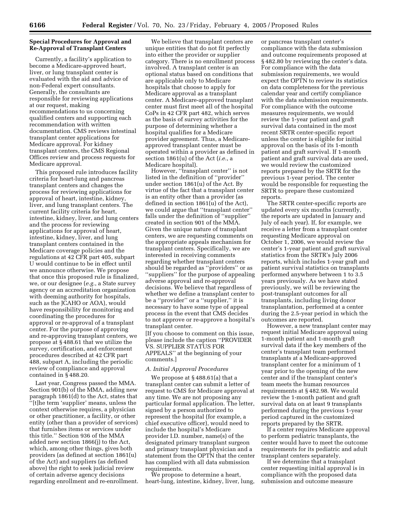## **Special Procedures for Approval and Re-Approval of Transplant Centers**

Currently, a facility's application to become a Medicare-approved heart, liver, or lung transplant center is evaluated with the aid and advice of non-Federal expert consultants. Generally, the consultants are responsible for reviewing applications at our request, making recommendations to us concerning qualified centers and supporting each recommendation with written documentation. CMS reviews intestinal transplant center applications for Medicare approval. For kidney transplant centers, the CMS Regional Offices review and process requests for Medicare approval.

This proposed rule introduces facility criteria for heart-lung and pancreas transplant centers and changes the process for reviewing applications for approval of heart, intestine, kidney, liver, and lung transplant centers. The current facility criteria for heart, intestine, kidney, liver, and lung centers and the process for reviewing applications for approval of heart, intestine, kidney, liver, and lung transplant centers contained in the Medicare coverage policies and the regulations at 42 CFR part 405, subpart U would continue to be in effect until we announce otherwise. We propose that once this proposed rule is finalized, we, or our designee (*e.g.*, a State survey agency or an accreditation organization with deeming authority for hospitals, such as the JCAHO or AOA), would have responsibility for monitoring and coordinating the procedures for approval or re-approval of a transplant center. For the purpose of approving and re-approving transplant centers, we propose at § 488.61 that we utilize the survey, certification, and enforcement procedures described at 42 CFR part 488, subpart A, including the periodic review of compliance and approval contained in § 488.20.

Last year, Congress passed the MMA. Section 901(b) of the MMA, adding new paragraph 1861(d) to the Act, states that ''[t]he term 'supplier' means, unless the context otherwise requires, a physician or other practitioner, a facility, or other entity (other than a provider of services) that furnishes items or services under this title.'' Section 936 of the MMA added new section 1866(j) to the Act, which, among other things, gives both providers (as defined at section 1861(u) of the Act) and suppliers (as defined above) the right to seek judicial review of certain adverse agency decisions regarding enrollment and re-enrollment.

We believe that transplant centers are unique entities that do not fit perfectly into either the provider or supplier category. There is no enrollment process involved. A transplant center is an optional status based on conditions that are applicable only to Medicare hospitals that choose to apply for Medicare approval as a transplant center. A Medicare-approved transplant center must first meet all of the hospital CoPs in 42 CFR part 482, which serves as the basis of survey activities for the purpose of determining whether a hospital qualifies for a Medicare provider agreement. Thus, a Medicareapproved transplant center must be operated within a provider as defined in section 1861(u) of the Act (*i.e.*, a Medicare hospital).

However, "transplant center" is not listed in the definition of ''provider'' under section 1861(u) of the Act. By virtue of the fact that a transplant center is an entity other than a provider (as defined in section 1861(u) of the Act), we could argue that ''transplant center'' falls under the definition of ''supplier'' created in section 901 of the MMA. Given the unique nature of transplant centers, we are requesting comments on the appropriate appeals mechanism for transplant centers. Specifically, we are interested in receiving comments regarding whether transplant centers should be regarded as ''providers'' or as ''suppliers'' for the purpose of appealing adverse approval and re-approval decisions. We believe that regardless of whether we define a transplant center to be a ''provider'' or a ''supplier,'' it is necessary to have some type of appeal process in the event that CMS decides to not approve or re-approve a hospital's transplant center.

[If you choose to comment on this issue, please include the caption ''PROVIDER VS. SUPPLIER STATUS FOR APPEALS'' at the beginning of your comments.]

## *A. Initial Approval Procedures*

We propose at § 488.61(a) that a transplant center can submit a letter of request to CMS for Medicare approval at any time. We are not proposing any particular formal application. The letter, signed by a person authorized to represent the hospital (for example, a chief executive officer), would need to include the hospital's Medicare provider I.D. number, name(s) of the designated primary transplant surgeon and primary transplant physician and a statement from the OPTN that the center has complied with all data submission requirements.

We propose to determine a heart, heart-lung, intestine, kidney, liver, lung, or pancreas transplant center's compliance with the data submission and outcome requirements proposed at § 482.80 by reviewing the center's data. For compliance with the data submission requirements, we would expect the OPTN to review its statistics on data completeness for the previous calendar year and certify compliance with the data submission requirements. For compliance with the outcome measures requirements, we would review the 1-year patient and graft survival data contained in the most recent SRTR center-specific report unless the center is eligible for initial approval on the basis of its 1-month patient and graft survival. If 1-month patient and graft survival data are used, we would review the customized reports prepared by the SRTR for the previous 1-year period. The center would be responsible for requesting the SRTR to prepare these customized reports.

The SRTR center-specific reports are updated every six months (currently, the reports are updated in January and July of each year). If, for example, we receive a letter from a transplant center requesting Medicare approval on October 1, 2006, we would review the center's 1-year patient and graft survival statistics from the SRTR's July 2006 reports, which includes 1-year graft and patient survival statistics on transplants performed anywhere between 1 to 3.5 years previously. As we have stated previously, we will be reviewing the post-transplant outcomes for all transplants, including living donor transplantation, performed at a center during the 2.5-year period in which the outcomes are reported.

However, a new transplant center may request initial Medicare approval using 1-month patient and 1-month graft survival data if the key members of the center's transplant team performed transplants at a Medicare-approved transplant center for a minimum of 1 year prior to the opening of the new center and if the transplant center's team meets the human resources requirements at § 482.98. We would review the 1-month patient and graft survival data on at least 9 transplants performed during the previous 1-year period captured in the customized reports prepared by the SRTR.

If a center requires Medicare approval to perform pediatric transplants, the center would have to meet the outcome requirements for its pediatric and adult transplant centers separately.

If we determine that a transplant center requesting initial approval is in compliance with the proposed data submission and outcome measure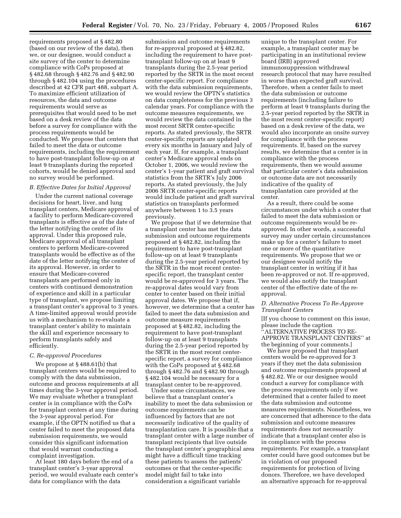requirements proposed at § 482.80 (based on our review of the data), then we, or our designee, would conduct a site survey of the center to determine compliance with CoPs proposed at § 482.68 through § 482.76 and § 482.90 through § 482.104 using the procedures described at 42 CFR part 488, subpart A. To maximize efficient utilization of resources, the data and outcome requirements would serve as prerequisites that would need to be met based on a desk review of the data before a survey for compliance with the process requirements would be conducted. We propose that centers that failed to meet the data or outcome requirements, including the requirement to have post-transplant follow-up on at least 9 transplants during the reported cohorts, would be denied approval and no survey would be performed.

## *B. Effective Dates for Initial Approval*

Under the current national coverage decisions for heart, liver, and lung transplant centers, Medicare approval of a facility to perform Medicare-covered transplants is effective as of the date of the letter notifying the center of its approval. Under this proposed rule, Medicare approval of all transplant centers to perform Medicare-covered transplants would be effective as of the date of the letter notifying the center of its approval. However, in order to ensure that Medicare-covered transplants are performed only in centers with continued demonstration of experience and skill in a particular type of transplant, we propose limiting a transplant center's approval to 3 years. A time-limited approval would provide us with a mechanism to re-evaluate a transplant center's ability to maintain the skill and experience necessary to perform transplants safely and efficiently.

#### *C. Re-approval Procedures*

We propose at § 488.61(b) that transplant centers would be required to comply with the data submission, outcome and process requirements at all times during the 3-year approval period. We may evaluate whether a transplant center is in compliance with the CoPs for transplant centers at any time during the 3-year approval period. For example, if the OPTN notified us that a center failed to meet the proposed data submission requirements, we would consider this significant information that would warrant conducting a complaint investigation.

At least 180 days before the end of a transplant center's 3-year approval period, we would evaluate each center's data for compliance with the data

submission and outcome requirements for re-approval proposed at § 482.82, including the requirement to have posttransplant follow-up on at least 9 transplants during the 2.5-year period reported by the SRTR in the most recent center-specific report. For compliance with the data submission requirements, we would review the OPTN's statistics on data completeness for the previous 3 calendar years. For compliance with the outcome measures requirements, we would review the data contained in the most recent SRTR center-specific reports. As stated previously, the SRTR center-specific reports are updated every six months in January and July of each year. If, for example, a transplant center's Medicare approval ends on October 1, 2006, we would review the center's 1-year patient and graft survival statistics from the SRTR's July 2006 reports. As stated previously, the July 2006 SRTR center-specific reports would include patient and graft survival statistics on transplants performed anywhere between 1 to 3.5 years previously.

We propose that if we determine that a transplant center has met the data submission and outcome requirements proposed at § 482.82, including the requirement to have post-transplant follow-up on at least 9 transplants during the 2.5-year period reported by the SRTR in the most recent centerspecific report, the transplant center would be re-approved for 3 years. The re-approval dates would vary from center to center based on their initial approval dates. We propose that if, however, we determine that a center has failed to meet the data submission and outcome measure requirements proposed at § 482.82, including the requirement to have post-transplant follow-up on at least 9 transplants during the 2.5-year period reported by the SRTR in the most recent centerspecific report, a survey for compliance with the CoPs proposed at § 482.68 through § 482.76 and § 482.90 through § 482.104 would be necessary for a transplant center to be re-approved.

Under some circumstances, we believe that a transplant center's inability to meet the data submission or outcome requirements can be influenced by factors that are not necessarily indicative of the quality of transplantation care. It is possible that a transplant center with a large number of transplant recipients that live outside the transplant center's geographical area might have a difficult time tracking these patients to assess the patients' outcomes or that the center-specific model might fail to take into consideration a significant variable

unique to the transplant center. For example, a transplant center may be participating in an institutional review board (IRB) approved immunosuppression withdrawal research protocol that may have resulted in worse than expected graft survival. Therefore, when a center fails to meet the data submission or outcome requirements (including failure to perform at least 9 transplants during the 2.5-year period reported by the SRTR in the most recent center-specific report) based on a desk review of the data, we would also incorporate an onsite survey for compliance with the process requirements. If, based on the survey results, we determine that a center is in compliance with the process requirements, then we would assume that particular center's data submission or outcome data are not necessarily indicative of the quality of transplantation care provided at the center.

As a result, there could be some circumstances under which a center that failed to meet the data submission or outcome requirements would be reapproved. In other words, a successful survey may under certain circumstances make up for a center's failure to meet one or more of the quantitative requirements. We propose that we or our designee would notify the transplant center in writing if it has been re-approved or not. If re-approved, we would also notify the transplant center of the effective date of the reapproval.

## *D. Alternative Process To Re-Approve Transplant Centers*

[If you choose to comment on this issue, please include the caption 'ALTERNATIVE PRŌCESS TO RE-APPROVE TRANSPLANT CENTERS'' at the beginning of your comments.]

We have proposed that transplant centers would be re-approved for 3 years if they met the data submission and outcome requirements proposed at § 482.82. We or our designee would conduct a survey for compliance with the process requirements only if we determined that a center failed to meet the data submission and outcome measures requirements. Nonetheless, we are concerned that adherence to the data submission and outcome measures requirements does not necessarily indicate that a transplant center also is in compliance with the process requirements. For example, a transplant center could have good outcomes but be in violation of our proposed requirements for protection of living donors. Therefore, we have developed an alternative approach for re-approval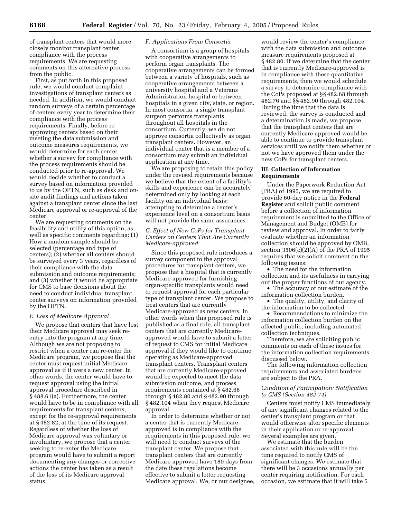of transplant centers that would more closely monitor transplant center compliance with the process requirements. We are requesting comments on this alternative process from the public.

First, as put forth in this proposed rule, we would conduct complaint investigations of transplant centers as needed. In addition, we would conduct random surveys of a certain percentage of centers every year to determine their compliance with the process requirements. Finally, before reapproving centers based on their meeting the data submission and outcome measures requirements, we would determine for each center whether a survey for compliance with the process requirements should be conducted prior to re-approval. We would decide whether to conduct a survey based on information provided to us by the OPTN, such as desk and onsite audit findings and actions taken against a transplant center since the last Medicare approval or re-approval of the center.

We are requesting comments on the feasibility and utility of this option, as well as specific comments regarding: (1) How a random sample should be selected (percentage and type of centers); (2) whether all centers should be surveyed every 3 years, regardless of their compliance with the data submission and outcome requirements; and (3) whether it would be appropriate for CMS to base decisions about the need to conduct individual transplant center surveys on information provided by the OPTN.

#### *E. Loss of Medicare Approval*

We propose that centers that have lost their Medicare approval may seek reentry into the program at any time. Although we are not proposing to restrict when a center can re-enter the Medicare program, we propose that the center must request initial Medicare approval as if it were a new center. In other words, the center would have to request approval using the initial approval procedure described in § 488.61(a). Furthermore, the center would have to be in compliance with all requirements for transplant centers, except for the re-approval requirements at § 482.82, at the time of its request. Regardless of whether the loss of Medicare approval was voluntary or involuntary, we propose that a center seeking to re-enter the Medicare program would have to submit a report documenting any changes or corrective actions the center has taken as a result of the loss of its Medicare approval status.

## *F. Applications From Consortia*

A consortium is a group of hospitals with cooperative arrangements to perform organ transplants. The cooperative arrangements can be formed between a variety of hospitals, such as cooperative arrangements between a university hospital and a Veterans Administration hospital or between hospitals in a given city, state, or region. In most consortia, a single transplant surgeon performs transplants throughout all hospitals in the consortium. Currently, we do not approve consortia collectively as organ transplant centers. However, an individual center that is a member of a consortium may submit an individual application at any time.

We are proposing to retain this policy under the revised requirements because we believe that the extent of a facility's skills and experience can be accurately determined only by looking at each facility on an individual basis; attempting to determine a center's experience level on a consortium basis will not provide the same assurances.

## *G. Effect of New CoPs for Transplant Centers on Centers That Are Currently Medicare-approved*

Since this proposed rule introduces a survey component to the approval procedures for transplant centers, we propose that a hospital that is currently Medicare-approved for furnishing organ-specific transplants would need to request approval for each particular type of transplant center. We propose to treat centers that are currently Medicare-approved as new centers. In other words when this proposed rule is published as a final rule, all transplant centers that are currently Medicareapproved would have to submit a letter of request to CMS for initial Medicare approval if they would like to continue operating as Medicare-approved transplant centers. Transplant centers that are currently Medicare-approved would be expected to meet the data submission outcome, and process requirements contained at § 482.68 through § 482.80 and § 482.90 through § 482.104 when they request Medicare approval.

In order to determine whether or not a center that is currently Medicareapproved is in compliance with the requirements in this proposed rule, we will need to conduct surveys of the transplant center. We propose that transplant centers that are currently Medicare-approved have 180 days from the date these regulations become effective to submit a letter requesting Medicare approval. We, or our designee,

would review the center's compliance with the data submission and outcome measure requirements proposed at § 482.80. If we determine that the center that is currently Medicare-approved is in compliance with these quantitative requirements, then we would schedule a survey to determine compliance with the CoPs proposed at §§ 482.68 through 482.76 and §§ 482.90 through 482.104. During the time that the data is reviewed, the survey is conducted and a determination is made, we propose that the transplant centers that are currently Medicare-approved would be able to continue to provide transplant services until we notify them whether or not we have approved them under the new CoPs for transplant centers.

## **III. Collection of Information Requirements**

Under the Paperwork Reduction Act (PRA) of 1995, we are required to provide 60-day notice in the **Federal Register** and solicit public comment before a collection of information requirement is submitted to the Office of Management and Budget (OMB) for review and approval. In order to fairly evaluate whether an information collection should be approved by OMB, section 3506(c)(2)(A) of the PRA of 1995 requires that we solicit comment on the following issues:

• The need for the information collection and its usefulness in carrying out the proper functions of our agency.

• The accuracy of our estimate of the information collection burden.

• The quality, utility, and clarity of the information to be collected.

• Recommendations to minimize the information collection burden on the affected public, including automated collection techniques.

Therefore, we are soliciting public comments on each of these issues for the information collection requirements discussed below.

The following information collection requirements and associated burdens are subject to the PRA.

## *Condition of Participation: Notification to CMS (Section 482.74)*

Centers must notify CMS immediately of any significant changes related to the center's transplant program or that would otherwise alter specific elements in their application or re-approval. Several examples are given.

We estimate that the burden associated with this rule will be the time required to notify CMS of significant changes. We estimate that there will be 3 occasions annually per center requiring notification. For each occasion, we estimate that it will take 5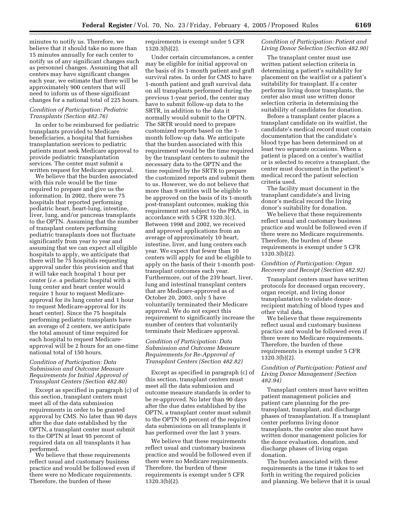minutes to notify us. Therefore, we believe that it should take no more than 15 minutes annually for each center to notify us of any significant changes such as personnel changes. Assuming that all centers may have significant changes each year, we estimate that there will be approximately 900 centers that will need to inform us of these significant changes for a national total of 225 hours.

#### *Condition of Participation: Pediatric Transplants (Section 482.76)*

In order to be reimbursed for pediatric transplants provided to Medicare beneficiaries, a hospital that furnishes transplantation services to pediatric patients must seek Medicare approval to provide pediatric transplantation services. The center must submit a written request for Medicare approval.

We believe that the burden associated with this rule would be the time required to prepare and give us the information. In 2002, there were 75 hospitals that reported performing pediatric heart, heart-lung, intestine, liver, lung, and/or pancreas transplants to the OPTN. Assuming that the number of transplant centers performing pediatric transplants does not fluctuate significantly from year to year and assuming that we can expect all eligible hospitals to apply, we anticipate that there will be 75 hospitals requesting approval under this provision and that it will take each hospital 1 hour per center (*i.e.* a pediatric hospital with a lung center and heart center would require 1 hour to request Medicareapproval for its lung center and 1 hour to request Medicare-approval for its heart center). Since the 75 hospitals performing pediatric transplants have an average of 2 centers, we anticipate the total amount of time required for each hospital to request Medicareapproval will be 2 hours for an one-time national total of 150 hours.

## *Condition of Participation: Data Submission and Outcome Measure Requirements for Initial Approval of Transplant Centers (Section 482.80)*

Except as specified in paragraph (c) of this section, transplant centers must meet all of the data submission requirements in order to be granted approval by CMS. No later than 90 days after the due date established by the OPTN, a transplant center must submit to the OPTN at least 95 percent of required data on all transplants it has performed.

We believe that these requirements reflect usual and customary business practice and would be followed even if there were no Medicare requirements. Therefore, the burden of these

requirements is exempt under 5 CFR 1320.3(b)(2).

Under certain circumstances, a center may be eligible for initial approval on the basis of its 1-month patient and graft survival rates. In order for CMS to have 1-month patient and graft survival data on all transplants performed during the previous 1-year period, the center may have to submit follow-up data to the SRTR, in addition to the data it normally would submit to the OPTN. The SRTR would need to prepare customized reports based on the 1 month follow-up data. We anticipate that the burden associated with this requirement would be the time required by the transplant centers to submit the necessary data to the OPTN and the time required by the SRTR to prepare the customized reports and submit them to us. However, we do not believe that more than 9 entities will be eligible to be approved on the basis of its 1-month post-transplant outcomes, making this requirement not subject to the PRA, in accordance with 5 CFR 1320.3(c). Between 1998 and 2002, we received and approved applications from an average of approximately 10 heart, intestine, liver, and lung centers each year. We expect that fewer than 10 centers will apply for and be eligible to apply on the basis of their 1-month posttransplant outcomes each year. Furthermore, out of the 239 heart, liver, lung and intestinal transplant centers that are Medicare-approved as of October 20, 2003, only 5 have voluntarily terminated their Medicare approval. We do not expect this requirement to significantly increase the number of centers that voluntarily terminate their Medicare approval.

## *Condition of Participation: Data Submission and Outcome Measure Requirements for Re-Approval of Transplant Centers (Section 482.82)*

Except as specified in paragraph (c) of this section, transplant centers must meet all the data submission and outcome measure standards in order to be re-approved. No later than 90 days after the due dates established by the OPTN, a transplant center must submit to the OPTN 95 percent of the required data submissions on all transplants it has performed over the last 3 years.

We believe that these requirements reflect usual and customary business practice and would be followed even if there were no Medicare requirements. Therefore, the burden of these requirements is exempt under 5 CFR 1320.3(b)(2).

## *Condition of Participation: Patient and Living Donor Selection (Section 482.90)*

The transplant center must use written patient selection criteria in determining a patient's suitability for placement on the waitlist or a patient's suitability for transplant. If a center performs living donor transplants, the center also must use written donor selection criteria in determining the suitability of candidates for donation.

Before a transplant center places a transplant candidate on its waitlist, the candidate's medical record must contain documentation that the candidate's blood type has been determined on at least two separate occasions. When a patient is placed on a center's waitlist or is selected to receive a transplant, the center must document in the patient's medical record the patient selection criteria used.

The facility must document in the transplant candidate's and living donor's medical record the living donor's suitability for donation.

We believe that these requirements reflect usual and customary business practice and would be followed even if there were no Medicare requirements. Therefore, the burden of these requirements is exempt under 5 CFR 1320.3(b)(2).

#### *Condition of Participation: Organ Recovery and Receipt (Section 482.92)*

Transplant centers must have written protocols for deceased organ recovery, organ receipt, and living donor transplantation to validate donorrecipient matching of blood types and other vital data.

We believe that these requirements reflect usual and customary business practice and would be followed even if there were no Medicare requirements. Therefore, the burden of these requirements is exempt under 5 CFR 1320.3(b)(2).

## *Condition of Participation: Patient and Living Donor Management (Section 482.94)*

Transplant centers must have written patient management policies and patient care planning for the pretransplant, transplant, and discharge phases of transplantation. If a transplant center performs living donor transplants, the center also must have written donor management policies for the donor evaluation, donation, and discharge phases of living organ donation.

The burden associated with these requirements is the time it takes to set forth in writing the required policies and planning. We believe that it is usual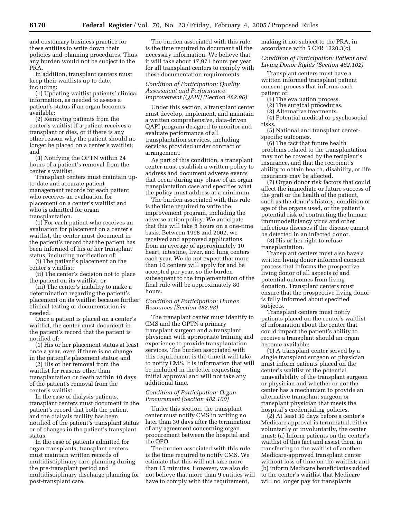and customary business practice for these entities to write down their policies and planning procedures. Thus, any burden would not be subject to the PRA.

In addition, transplant centers must keep their waitlists up to date, including:

(1) Updating waitlist patients' clinical information, as needed to assess a patient's status if an organ becomes available;

(2) Removing patients from the center's waitlist if a patient receives a transplant or dies, or if there is any other reason why the patient should no longer be placed on a center's waitlist; and

(3) Notifying the OPTN within 24 hours of a patient's removal from the center's waitlist.

Transplant centers must maintain upto-date and accurate patient management records for each patient who receives an evaluation for placement on a center's waitlist and who is admitted for organ transplantation.

(1) For each patient who receives an evaluation for placement on a center's waitlist, the center must document in the patient's record that the patient has been informed of his or her transplant status, including notification of:

(i) The patient's placement on the center's waitlist;

(ii) The center's decision not to place the patient on its waitlist; or

(iii) The center's inability to make a determination regarding the patient's placement on its waitlist because further clinical testing or documentation is needed.

Once a patient is placed on a center's waitlist, the center must document in the patient's record that the patient is notified of:

(1) His or her placement status at least once a year, even if there is no change in the patient's placement status; and

(2) His or her removal from the waitlist for reasons other than transplantation or death within 10 days of the patient's removal from the center's waitlist.

In the case of dialysis patients, transplant centers must document in the patient's record that both the patient and the dialysis facility has been notified of the patient's transplant status or of changes in the patient's transplant status.

In the case of patients admitted for organ transplants, transplant centers must maintain written records of multidisciplinary care planning during the pre-transplant period and multidisciplinary discharge planning for post-transplant care.

The burden associated with this rule is the time required to document all the necessary information. We believe that it will take about 17,971 hours per year for all transplant centers to comply with these documentation requirements.

*Condition of Participation: Quality Assessment and Performance Improvement (QAPI) (Section 482.96)* 

Under this section, a transplant center must develop, implement, and maintain a written comprehensive, data-driven QAPI program designed to monitor and evaluate performance of all transplantation services, including services provided under contract or arrangement.

As part of this condition, a transplant center must establish a written policy to address and document adverse events that occur during any phase of an organ transplantation case and specifies what the policy must address at a minimum.

The burden associated with this rule is the time required to write the improvement program, including the adverse action policy. We anticipate that this will take 8 hours on a one-time basis. Between 1998 and 2002, we received and approved applications from an average of approximately 10 heart, intestine, liver, and lung centers each year. We do not expect that more than 10 centers will apply for and be accepted per year, so the burden subsequent to the implementation of the final rule will be approximately 80 hours.

## *Condition of Participation: Human Resources (Section 482.98)*

The transplant center must identify to CMS and the OPTN a primary transplant surgeon and a transplant physician with appropriate training and experience to provide transplantation services. The burden associated with this requirement is the time it will take to notify CMS. It is information that will be included in the letter requesting initial approval and will not take any additional time.

#### *Condition of Participation: Organ Procurement (Section 482.100)*

Under this section, the transplant center must notify CMS in writing no later than 30 days after the termination of any agreement concerning organ procurement between the hospital and the OPO.

The burden associated with this rule is the time required to notify CMS. We estimate that this will not take more than 15 minutes. However, we also do not believe that more than 9 entities will have to comply with this requirement,

making it not subject to the PRA, in accordance with 5 CFR 1320.3(c).

*Condition of Participation: Patient and Living Donor Rights (Section 482.102)* 

Transplant centers must have a written informed transplant patient consent process that informs each patient of:

- (1) The evaluation process.
- (2) The surgical procedures.
- (3) Alternative treatments.
- (4) Potential medical or psychosocial risks.

(5) National and transplant centerspecific outcomes.

(6) The fact that future health problems related to the transplantation may not be covered by the recipient's insurance, and that the recipient's ability to obtain health, disability, or life insurance may be affected.

(7) Organ donor risk factors that could affect the immediate or future success of the graft or the health of the patient, such as the donor's history, condition or age of the organs used, or the patient's potential risk of contracting the human immunodeficiency virus and other infectious diseases if the disease cannot be detected in an infected donor.

(8) His or her right to refuse transplantation.

Transplant centers must also have a written living donor informed consent process that informs the prospective living donor of all aspects of and potential outcomes from living donation. Transplant centers must ensure that the prospective living donor is fully informed about specified subjects.

Transplant centers must notify patients placed on the center's waitlist of information about the center that could impact the patient's ability to receive a transplant should an organ become available:

(1) A transplant center served by a single transplant surgeon or physician must inform patients placed on the center's waitlist of the potential unavailability of the transplant surgeon or physician and whether or not the center has a mechanism to provide an alternative transplant surgeon or transplant physician that meets the hospital's credentialing policies.

(2) At least 30 days before a center's Medicare approval is terminated, either voluntarily or involuntarily, the center must: (a) Inform patients on the center's waitlist of this fact and assist them in transferring to the waitlist of another Medicare-approved transplant center without loss of time on the waitlist; and (b) inform Medicare beneficiaries added to the center's waitlist that Medicare will no longer pay for transplants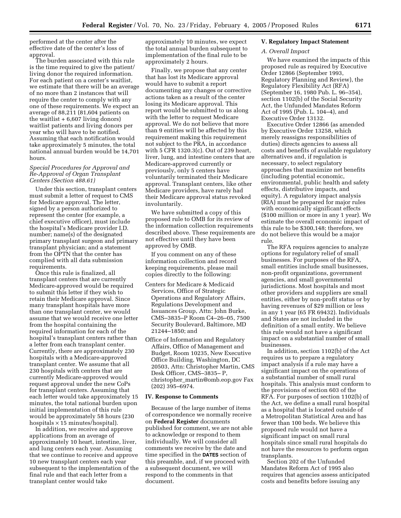performed at the center after the effective date of the center's loss of approval.

The burden associated with this rule is the time required to give the patient/ living donor the required information. For each patient on a center's waitlist, we estimate that there will be an average of no more than 2 instances that will require the center to comply with any one of these requirements. We expect an average of 88,211 (81,604 patients on the waitlist  $+ 6,607$  living donors) waitlist patients and living donors per year who will have to be notified. Assuming that each notification would take approximately 5 minutes, the total national annual burden would be 14,701 hours.

## *Special Procedures for Approval and Re-Approval of Organ Transplant Centers (Section 488.61)*

Under this section, transplant centers must submit a letter of request to CMS for Medicare approval. The letter, signed by a person authorized to represent the center (for example, a chief executive officer), must include the hospital's Medicare provider I.D. number; name(s) of the designated primary transplant surgeon and primary transplant physician; and a statement from the OPTN that the center has complied with all data submission requirements.

Once this rule is finalized, all transplant centers that are currently Medicare-approved would be required to submit this letter if they wish to retain their Medicare approval. Since many transplant hospitals have more than one transplant center, we would assume that we would receive one letter from the hospital containing the required information for each of the hospital's transplant centers rather than a letter from each transplant center. Currently, there are approximately 230 hospitals with a Medicare-approved transplant center. We assume that all 230 hospitals with centers that are currently Medicare-approved would request approval under the new CoPs for transplant centers. Assuming that each letter would take approximately 15 minutes, the total national burden upon initial implementation of this rule would be approximately 58 hours (230 hospitals  $\times$  15 minutes/hospital).

In addition, we receive and approve applications from an average of approximately 10 heart, intestine, liver, and lung centers each year. Assuming that we continue to receive and approve 10 new transplant centers each year subsequent to the implementation of the final rule and that each letter from a transplant center would take

approximately 10 minutes, we expect the total annual burden subsequent to implementation of the final rule to be approximately 2 hours.

Finally, we propose that any center that has lost its Medicare approval would have to submit a report documenting any changes or corrective actions taken as a result of the center losing its Medicare approval. This report would be submitted to us along with the letter to request Medicare approval. We do not believe that more than 9 entities will be affected by this requirement making this requirement not subject to the PRA, in accordance with 5 CFR 1320.3(c). Out of 239 heart, liver, lung, and intestine centers that are Medicare-approved currently or previously, only 5 centers have voluntarily terminated their Medicare approval. Transplant centers, like other Medicare providers, have rarely had their Medicare approval status revoked involuntarily.

We have submitted a copy of this proposed rule to OMB for its review of the information collection requirements described above. These requirements are not effective until they have been approved by OMB.

If you comment on any of these information collection and record keeping requirements, please mail copies directly to the following:

- Centers for Medicare & Medicaid Services, Office of Strategic Operations and Regulatory Affairs, Regulations Development and Issuances Group, Attn: John Burke, CMS–3835–P Room C4–26–05, 7500 Security Boulevard, Baltimore, MD 21244–1850; and
- Office of Information and Regulatory Affairs, Office of Management and Budget, Room 10235, New Executive Office Building, Washington, DC 20503, Attn: Christopher Martin, CMS Desk Officer, CMS–3835– P, christopher\_martin@omb.eop.gov Fax (202) 395–6974.

#### **IV. Response to Comments**

Because of the large number of items of correspondence we normally receive on **Federal Register** documents published for comment, we are not able to acknowledge or respond to them individually. We will consider all comments we receive by the date and time specified in the **DATES** section of this preamble, and, if we proceed with a subsequent document, we will respond to the comments in that document.

## **V. Regulatory Impact Statement**

## *A. Overall Impact*

We have examined the impacts of this proposed rule as required by Executive Order 12866 (September 1993, Regulatory Planning and Review), the Regulatory Flexibility Act (RFA) (September 16, 1980 Pub. L. 96–354), section 1102(b) of the Social Security Act, the Unfunded Mandates Reform Act of 1995 (Pub. L. 104–4), and Executive Order 13132.

Executive Order 12866 (as amended by Executive Order 13258, which merely reassigns responsibilities of duties) directs agencies to assess all costs and benefits of available regulatory alternatives and, if regulation is necessary, to select regulatory approaches that maximize net benefits (including potential economic, environmental, public health and safety effects, distributive impacts, and equity). A regulatory impact analysis (RIA) must be prepared for major rules with economically significant effects (\$100 million or more in any 1 year). We estimate the overall economic impact of this rule to be \$300,148; therefore, we do not believe this would be a major rule.

The RFA requires agencies to analyze options for regulatory relief of small businesses. For purposes of the RFA, small entities include small businesses, non-profit organizations, government agencies, and small governmental jurisdictions. Most hospitals and most other providers and suppliers are small entities, either by non-profit status or by having revenues of \$29 million or less in any 1 year (65 FR 69432). Individuals and States are not included in the definition of a small entity. We believe this rule would not have a significant impact on a substantial number of small businesses.

In addition, section 1102(b) of the Act requires us to prepare a regulatory impact analysis if a rule may have a significant impact on the operations of a substantial number of small rural hospitals. This analysis must conform to the provisions of section 603 of the RFA. For purposes of section 1102(b) of the Act, we define a small rural hospital as a hospital that is located outside of a Metropolitan Statistical Area and has fewer than 100 beds. We believe this proposed rule would not have a significant impact on small rural hospitals since small rural hospitals do not have the resources to perform organ transplants.

Section 202 of the Unfunded Mandates Reform Act of 1995 also requires that agencies assess anticipated costs and benefits before issuing any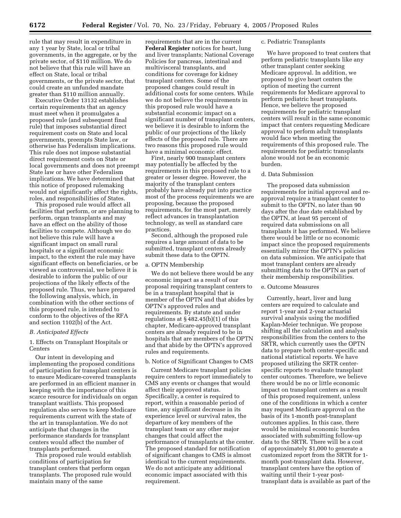rule that may result in expenditure in any 1 year by State, local or tribal governments, in the aggregate, or by the private sector, of \$110 million. We do not believe that this rule will have an effect on State, local or tribal governments, or the private sector, that could create an unfunded mandate greater than \$110 million annually.

Executive Order 13132 establishes certain requirements that an agency must meet when it promulgates a proposed rule (and subsequent final rule) that imposes substantial direct requirement costs on State and local governments, preempts State law, or otherwise has Federalism implications. This rule does not impose substantial direct requirement costs on State or local governments and does not preempt State law or have other Federalism implications. We have determined that this notice of proposed rulemaking would not significantly affect the rights, roles, and responsibilities of States.

This proposed rule would affect all facilities that perform, or are planning to perform, organ transplants and may have an effect on the ability of those facilities to compete. Although we do not believe this rule will have a significant impact on small rural hospitals or a significant economic impact, to the extent the rule may have significant effects on beneficiaries, or be viewed as controversial, we believe it is desirable to inform the public of our projections of the likely effects of the proposed rule. Thus, we have prepared the following analysis, which, in combination with the other sections of this proposed rule, is intended to conform to the objectives of the RFA and section 1102(b) of the Act.

#### *B. Anticipated Effects*

1. Effects on Transplant Hospitals or Centers

Our intent in developing and implementing the proposed conditions of participation for transplant centers is to ensure Medicare-covered transplants are performed in an efficient manner in keeping with the importance of this scarce resource for individuals on organ transplant waitlists. This proposed regulation also serves to keep Medicare requirements current with the state of the art in transplantation. We do not anticipate that changes in the performance standards for transplant centers would affect the number of transplants performed.

This proposed rule would establish conditions of participation for transplant centers that perform organ transplants. The proposed rule would maintain many of the same

requirements that are in the current **Federal Register** notices for heart, lung and liver transplants; National Coverage Policies for pancreas, intestinal and multivisceral transplants, and conditions for coverage for kidney transplant centers. Some of the proposed changes could result in additional costs for some centers. While we do not believe the requirements in this proposed rule would have a substantial economic impact on a significant number of transplant centers, we believe it is desirable to inform the public of our projections of the likely effects of the proposed rule. There are two reasons this proposed rule would have a minimal economic effect.

First, nearly 900 transplant centers may potentially be affected by the requirements in this proposed rule to a greater or lesser degree. However, the majority of the transplant centers probably have already put into practice most of the process requirements we are proposing, because the proposed requirements, for the most part, merely reflect advances in transplantation technology, as well as standard care practices.

Second, although the proposed rule requires a large amount of data to be submitted, transplant centers already submit these data to the OPTN.

## a. OPTN Membership

We do not believe there would be any economic impact as a result of our proposal requiring transplant centers to be in a transplant hospital that is member of the OPTN and that abides by OPTN's approved rules and requirements. By statute and under regulations at § 482.45(b)(1) of this chapter, Medicare-approved transplant centers are already required to be in hospitals that are members of the OPTN and that abide by the OPTN's approved rules and requirements.

#### b. Notice of Significant Changes to CMS

Current Medicare transplant policies require centers to report immediately to CMS any events or changes that would affect their approved status. Specifically, a center is required to report, within a reasonable period of time, any significant decrease in its experience level or survival rates, the departure of key members of the transplant team or any other major changes that could affect the performance of transplants at the center. The proposed standard for notification of significant changes to CMS is almost identical to the current requirements. We do not anticipate any additional economic impact associated with this requirement.

#### c. Pediatric Transplants

We have proposed to treat centers that perform pediatric transplants like any other transplant center seeking Medicare approval. In addition, we proposed to give heart centers the option of meeting the current requirements for Medicare approval to perform pediatric heart transplants. Hence, we believe the proposed requirements for pediatric transplant centers will result in the same economic impact that centers requesting Medicare approval to perform adult transplants would face when meeting the requirements of this proposed rule. The requirements for pediatric transplants alone would not be an economic burden.

#### d. Data Submission

The proposed data submission requirements for initial approval and reapproval require a transplant center to submit to the OPTN, no later than 90 days after the due date established by the OPTN, at least 95 percent of required data submissions on all transplants it has performed. We believe there would be little or no economic impact since the proposed requirements essentially mirror the OPTN's policies on data submission. We anticipate that most transplant centers are already submitting data to the OPTN as part of their membership responsibilities.

## e. Outcome Measures

Currently, heart, liver and lung centers are required to calculate and report 1-year and 2-year actuarial survival analysis using the modified Kaplan-Meier technique. We propose shifting all the calculation and analysis responsibilities from the centers to the SRTR, which currently uses the OPTN data to prepare both center-specific and national statistical reports. We have proposed utilizing the SRTR centerspecific reports to evaluate transplant center outcomes. Therefore, we believe there would be no or little economic impact on transplant centers as a result of this proposed requirement, unless one of the conditions in which a center may request Medicare approval on the basis of its 1-month post-transplant outcomes applies. In this case, there would be minimal economic burden associated with submitting follow-up data to the SRTR. There will be a cost of approximately \$1,000 to generate a customized report from the SRTR for 1 month post-transplant data. However, transplant centers have the option of waiting until their 1-year posttransplant data is available as part of the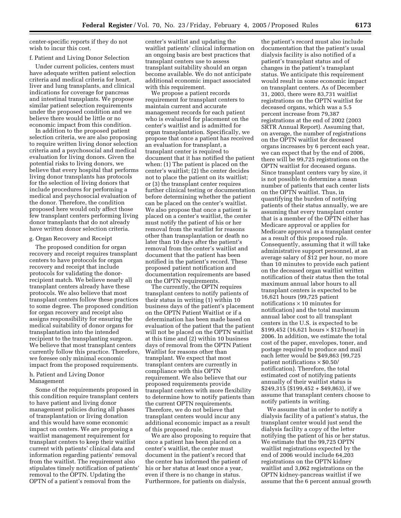center-specific reports if they do not wish to incur this cost.

## f. Patient and Living Donor Selection

Under current policies, centers must have adequate written patient selection criteria and medical criteria for heart, liver and lung transplants, and clinical indications for coverage for pancreas and intestinal transplants. We propose similar patient selection requirements under the proposed condition and we believe there would be little or no economic impact from this condition.

In addition to the proposed patient selection criteria, we are also proposing to require written living donor selection criteria and a psychosocial and medical evaluation for living donors. Given the potential risks to living donors, we believe that every hospital that performs living donor transplants has protocols for the selection of living donors that include procedures for performing a medical and psychosocial evaluation of the donor. Therefore, the condition proposed here would only affect those few transplant centers performing living donor transplants that do not already have written donor selection criteria.

## g. Organ Recovery and Receipt

The proposed condition for organ recovery and receipt requires transplant centers to have protocols for organ recovery and receipt that include protocols for validating the donorrecipient match. We believe nearly all transplant centers already have these protocols. We also believe that most transplant centers follow these practices to some degree. The proposed condition for organ recovery and receipt also assigns responsibility for ensuring the medical suitability of donor organs for transplantation into the intended recipient to the transplanting surgeon. We believe that most transplant centers currently follow this practice. Therefore, we foresee only minimal economic impact from the proposed requirements.

## h. Patient and Living Donor Management

Some of the requirements proposed in this condition require transplant centers to have patient and living donor management policies during all phases of transplantation or living donation and this would have some economic impact on centers. We are proposing a waitlist management requirement for transplant centers to keep their waitlist current with patients' clinical data and information regarding patients' removal from the waitlist. The requirement also stipulates timely notification of patients' removal to the OPTN. Updating the OPTN of a patient's removal from the

center's waitlist and updating the waitlist patients' clinical information on an ongoing basis are best practices that transplant centers use to assess transplant suitability should an organ become available. We do not anticipate additional economic impact associated with this requirement.

We propose a patient records requirement for transplant centers to maintain current and accurate management records for each patient who is evaluated for placement on the center's waitlist and is admitted for organ transplantation. Specifically, we propose that once a patient has received an evaluation for transplant, a transplant center is required to document that it has notified the patient when: (1) The patient is placed on the center's waitlist; (2) the center decides not to place the patient on its waitlist; or (3) the transplant center requires further clinical testing or documentation before determining whether the patient can be placed on the center's waitlist. We also propose that once a patient is placed on a center's waitlist, the center must notify the patient of his or her removal from the waitlist for reasons other than transplantation or death no later than 10 days after the patient's removal from the center's waitlist and document that the patient has been notified in the patient's record. These proposed patient notification and documentation requirements are based on the OPTN requirements.

The currently, the OPTN requires transplant centers to notify patients of their status in writing (1) within 10 business days of the patient's placement on the OPTN Patient Waitlist or if a determination has been made based on evaluation of the patient that the patient will not be placed on the OPTN waitlist at this time and (2) within 10 business days of removal from the OPTN Patient Waitlist for reasons other than transplant. We expect that most transplant centers are currently in compliance with this OPTN requirement. We also believe that our proposed requirements provide transplant centers with more flexibility to determine how to notify patients than the current OPTN requirements. Therefore, we do not believe that transplant centers would incur any additional economic impact as a result of this proposed rule.

We are also proposing to require that once a patient has been placed on a center's waitlist, the center must document in the patient's record that the center has informed the patient of his or her status at least once a year, even if there is no change in status. Furthermore, for patients on dialysis,

the patient's record must also include documentation that the patient's usual dialysis facility is also notified of a patient's transplant status and of changes in the patient's transplant status. We anticipate this requirement would result in some economic impact on transplant centers. As of December 31, 2003, there were 83,731 waitlist registrations on the OPTN waitlist for deceased organs, which was a 5.5 percent increase from 79,387 registrations at the end of 2002 (2003 SRTR Annual Report). Assuming that, on average, the number of registrations on the OPTN waitlist for deceased organs increases by 6 percent each year, we can expect that by the end of 2006, there will be 99,725 registrations on the OPTN waitlist for deceased organs. Since transplant centers vary by size, it is not possible to determine a mean number of patients that each center lists on the OPTN waitlist. Thus, in quantifying the burden of notifying patients of their status annually, we are assuming that every transplant center that is a member of the OPTN either has Medicare approval or applies for Medicare approval as a transplant center as a result of this proposed rule. Consequently, assuming that it will take administrative support personnel, at an average salary of \$12 per hour, no more than 10 minutes to provide each patient on the deceased organ waitlist written notification of their status then the total maximum annual labor hours to all transplant centers is expected to be 16,621 hours (99,725 patient notifications  $\times$  10 minutes for notification) and the total maximum annual labor cost to all transplant centers in the U.S. is expected to be \$199,452 (16,621 hours  $\times$  \$12/hour) in 2006. In addition, we estimate the total cost of the paper, envelopes, toner, and postage required to produce and mail each letter would be \$49,863 (99,725 patient notifications  $\times$  \$0.50/ notification). Therefore, the total estimated cost of notifying patients annually of their waitlist status is  $$249,315$  (\$199,452 + \$49,863), if we assume that transplant centers choose to notify patients in writing.

We assume that in order to notify a dialysis facility of a patient's status, the transplant center would just send the dialysis facility a copy of the letter notifying the patient of his or her status. We estimate that the 99,725 OPTN waitlist registrations expected by the end of 2006 would include 64,203 registrations on the OPTN kidney waitlist and 3,062 registrations on the OPTN kidney-pancreas waitlist if we assume that the 6 percent annual growth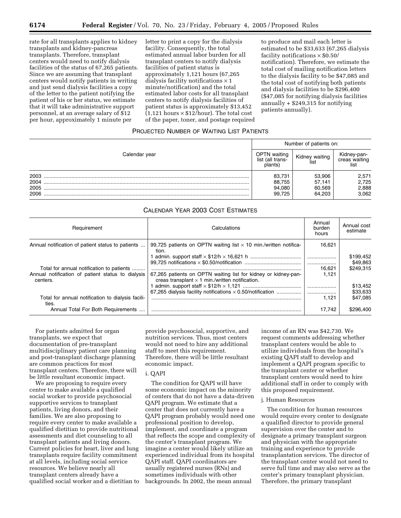rate for all transplants applies to kidney transplants and kidney-pancreas transplants. Therefore, transplant centers would need to notify dialysis facilities of the status of 67,265 patients. Since we are assuming that transplant centers would notify patients in writing and just send dialysis facilities a copy of the letter to the patient notifying the patient of his or her status, we estimate that it will take administrative support personnel, at an average salary of \$12 per hour, approximately 1 minute per

letter to print a copy for the dialysis facility. Consequently, the total estimated annual labor burden for all transplant centers to notify dialysis facilities of patient status is approximately 1,121 hours (67,265 dialysis facility notifications  $\times$  1 minute/notification) and the total estimated labor costs for all transplant centers to notify dialysis facilities of patient status is approximately \$13,452  $(1,121$  hours  $\times$  \$12/hour). The total cost of the paper, toner, and postage required to produce and mail each letter is estimated to be \$33,633 (67,265 dialysis facility notifications  $\times$  \$0.50/ notification). Therefore, we estimate the total cost of mailing notification letters to the dialysis facility to be \$47,085 and the total cost of notifying both patients and dialysis facilities to be \$296,400 (\$47,085 for notifying dialysis facilities annually + \$249,315 for notifying patients annually).

## PROJECTED NUMBER OF WAITING LIST PATIENTS

|               | Number of patients on:                            |                |                                      |  |  |
|---------------|---------------------------------------------------|----------------|--------------------------------------|--|--|
| Calendar year | <b>DPTN</b> waiting<br>list (all trans-<br>plants | Kidney waiting | Kidney-pan-<br>creas waiting<br>list |  |  |
| 2003          | 83.731                                            | 53,906         | 2,571                                |  |  |
| 2004          | 88,755                                            | 57.141         | 2,725                                |  |  |
| 2005          | 94,080                                            | 60.569         | 2,888                                |  |  |
| 2006          | 99.725                                            | 64,203         | 3,062                                |  |  |

## CALENDAR YEAR 2003 COST ESTIMATES

| Requirement                                                   | Calculations                                                                                                             | Annual<br>burden<br>hours | Annual cost<br>estimate            |
|---------------------------------------------------------------|--------------------------------------------------------------------------------------------------------------------------|---------------------------|------------------------------------|
| Annual notification of patient status to patients             | 99,725 patients on OPTN waiting list $\times$ 10 min./written notifica-<br>tion.                                         | 16.621                    |                                    |
| Total for annual notification to patients                     |                                                                                                                          | <br>16.621                | \$199,452<br>\$49,863<br>\$249.315 |
| Annual notification of patient status to dialysis<br>centers. | 67,265 patients on OPTN waiting list for kidney or kidney-pan-<br>creas transplant $\times$ 1 min./written notification. | 1.121                     |                                    |
|                                                               |                                                                                                                          |                           | \$13.452                           |
|                                                               | 67,265 dialysis facility notifications $\times$ 0.50/notification                                                        |                           | \$33,633                           |
| Total for annual notification to dialysis facili-<br>ties.    |                                                                                                                          | 1.121                     | \$47.085                           |
| Annual Total For Both Requirements                            |                                                                                                                          | 17.742                    | \$296.400                          |

For patients admitted for organ transplants, we expect that documentation of pre-transplant multidisciplinary patient care planning and post-transplant discharge planning are common practices for most transplant centers. Therefore, there will be little resultant economic impact.

We are proposing to require every center to make available a qualified social worker to provide psychosocial supportive services to transplant patients, living donors, and their families. We are also proposing to require every center to make available a qualified dietitian to provide nutritional assessments and diet counseling to all transplant patients and living donors. Current policies for heart, liver and lung transplants require facility commitment at all levels, including social service resources. We believe nearly all transplant centers already have a qualified social worker and a dietitian to

provide psychosocial, supportive, and nutrition services. Thus, most centers would not need to hire any additional staff to meet this requirement. Therefore, there will be little resultant economic impact.

#### i. QAPI

The condition for QAPI will have some economic impact on the minority of centers that do not have a data-driven QAPI program. We estimate that a center that does not currently have a QAPI program probably would need one professional position to develop, implement, and coordinate a program that reflects the scope and complexity of the center's transplant program. We imagine a center would likely utilize an experienced individual from its hospital QAPI staff. QAPI coordinators are usually registered nurses (RNs) and sometimes individuals with other backgrounds. In 2002, the mean annual

income of an RN was \$42,730. We request comments addressing whether transplant centers would be able to utilize individuals from the hospital's existing QAPI staff to develop and implement a QAPI program specific to the transplant center or whether transplant centers would need to hire additional staff in order to comply with this proposed requirement.

#### j. Human Resources

The condition for human resources would require every center to designate a qualified director to provide general supervision over the center and to designate a primary transplant surgeon and physician with the appropriate training and experience to provide transplantation services. The director of the transplant center would not need to serve full time and may also serve as the center's primary transplant physician. Therefore, the primary transplant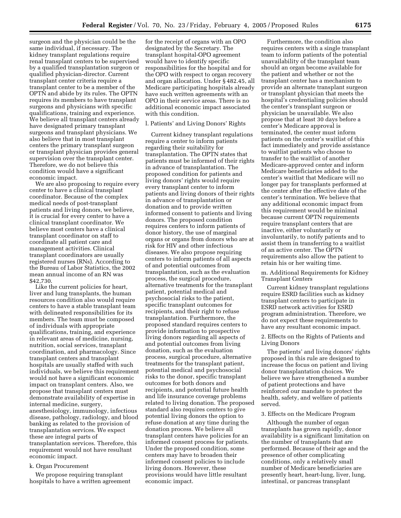surgeon and the physician could be the same individual, if necessary. The kidney transplant regulations require renal transplant centers to be supervised by a qualified transplantation surgeon or qualified physician-director. Current transplant center criteria require a transplant center to be a member of the OPTN and abide by its rules. The OPTN requires its members to have transplant surgeons and physicians with specific qualifications, training and experience. We believe all transplant centers already have designated primary transplant surgeons and transplant physicians. We also believe that in most transplant centers the primary transplant surgeon or transplant physician provides general supervision over the transplant center. Therefore, we do not believe this condition would have a significant economic impact.

We are also proposing to require every center to have a clinical transplant coordinator. Because of the complex medical needs of post-transplant patients and living donors, we believe, it is crucial for every center to have a clinical transplant coordinator. We believe most centers have a clinical transplant coordinator on staff to coordinate all patient care and management activities. Clinical transplant coordinators are usually registered nurses (RNs). According to the Bureau of Labor Statistics, the 2002 mean annual income of an RN was \$42,730.

Like the current policies for heart, liver and lung transplants, the human resources condition also would require centers to have a stable transplant team with delineated responsibilities for its members. The team must be composed of individuals with appropriate qualifications, training, and experience in relevant areas of medicine, nursing, nutrition, social services, transplant coordination, and pharmacology. Since transplant centers and transplant hospitals are usually staffed with such individuals, we believe this requirement would not have a significant economic impact on transplant centers. Also, we propose that transplant centers must demonstrate availability of expertise in internal medicine, surgery, anesthesiology, immunology, infectious disease, pathology, radiology, and blood banking as related to the provision of transplantation services. We expect these are integral parts of transplantation services. Therefore, this requirement would not have resultant economic impact.

#### k. Organ Procurement

We propose requiring transplant hospitals to have a written agreement

for the receipt of organs with an OPO designated by the Secretary. The transplant hospital-OPO agreement would have to identify specific responsibilities for the hospital and for the OPO with respect to organ recovery and organ allocation. Under § 482.45, all Medicare participating hospitals already have such written agreements with an OPO in their service areas. There is no additional economic impact associated with this condition.

#### l. Patients' and Living Donors' Rights

Current kidney transplant regulations require a center to inform patients regarding their suitability for transplantation. The OPTN states that patients must be informed of their rights in advance of transplantation. The proposed condition for patients and living donors' rights would require every transplant center to inform patients and living donors of their rights in advance of transplantation or donation and to provide written informed consent to patients and living donors. The proposed condition requires centers to inform patients of donor history, the use of marginal organs or organs from donors who are at risk for HIV and other infectious diseases. We also propose requiring centers to inform patients of all aspects of and potential outcomes from transplantation, such as the evaluation process, the surgical procedure, alternative treatments for the transplant patient, potential medical and psychosocial risks to the patient, specific transplant outcomes for recipients, and their right to refuse transplantation. Furthermore, the proposed standard requires centers to provide information to prospective living donors regarding all aspects of and potential outcomes from living donation, such as the evaluation process, surgical procedure, alternative treatments for the transplant patient, potential medical and psychosocial risks to the donor, specific transplant outcomes for both donors and recipients, and potential future health and life insurance coverage problems related to living donation. The proposed standard also requires centers to give potential living donors the option to refuse donation at any time during the donation process. We believe all transplant centers have policies for an informed consent process for patients. Under the proposed condition, some centers may have to broaden their informed consent policies to include living donors. However, these provisions would have little resultant economic impact.

Furthermore, the condition also requires centers with a single transplant team to inform patients of the potential unavailability of the transplant team should an organ become available for the patient and whether or not the transplant center has a mechanism to provide an alternate transplant surgeon or transplant physician that meets the hospital's credentialing policies should the center's transplant surgeon or physician be unavailable. We also propose that at least 30 days before a center's Medicare approval is terminated, the center must inform patients on the center's waitlist of this fact immediately and provide assistance to waitlist patients who choose to transfer to the waitlist of another Medicare-approved center and inform Medicare beneficiaries added to the center's waitlist that Medicare will no longer pay for transplants performed at the center after the effective date of the center's termination. We believe that any additional economic impact from this requirement would be minimal because current OPTN requirements require transplant centers that are inactive, either voluntarily or involuntarily, to notify patients and to assist them in transferring to a waitlist of an active center. The OPTN requirements also allow the patient to retain his or her waiting time.

m. Additional Requirements for Kidney Transplant Centers

Current kidney transplant regulations require ESRD facilities such as kidney transplant centers to participate in ESRD network activities for ESRD program administration. Therefore, we do not expect these requirements to have any resultant economic impact.

2. Effects on the Rights of Patients and Living Donors

The patients' and living donors' rights proposed in this rule are designed to increase the focus on patient and living donor transplantation choices. We believe we have strengthened a number of patient protections and have reinforced our mandate to protect the health, safety, and welfare of patients served.

## 3. Effects on the Medicare Program

Although the number of organ transplants has grown rapidly, donor availability is a significant limitation on the number of transplants that are performed. Because of their age and the presence of other complicating conditions, only a relatively small number of Medicare beneficiaries are presently heart, heart-lung, liver, lung, intestinal, or pancreas transplant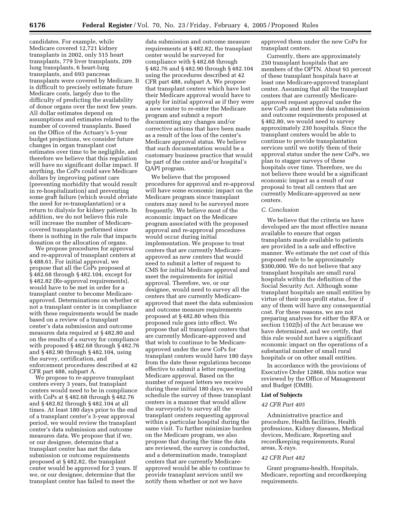candidates. For example, while Medicare covered 12,721 kidney transplants in 2002, only 515 heart transplants, 779 liver transplants, 209 lung transplants, 6 heart-lung transplants, and 693 pancreas transplants were covered by Medicare. It is difficult to precisely estimate future Medicare costs, largely due to the difficulty of predicting the availability of donor organs over the next few years. All dollar estimates depend on assumptions and estimates related to the number of covered transplants. Based on the Office of the Actuary's 5-year budget projections, we consider future changes in organ transplant cost estimates over time to be negligible, and therefore we believe that this regulation will have no significant dollar impact. If anything, the CoPs could save Medicare dollars by improving patient care (preventing morbidity that would result in re-hospitalization) and preventing some graft failure (which would obviate the need for re-transplantation) or a return to dialysis for kidney patients. In addition, we do not believe this rule will increase the number of Medicarecovered transplants performed since there is nothing in the rule that impacts donation or the allocation of organs.

We propose procedures for approval and re-approval of transplant centers at § 488.61. For initial approval, we propose that all the CoPs proposed at § 482.68 through § 482.104, except for § 482.82 (Re-approval requirements), would have to be met in order for a transplant center to become Medicareapproved. Determinations on whether or not a transplant center is in compliance with these requirements would be made based on a review of a transplant center's data submission and outcome measures data required at § 482.80 and on the results of a survey for compliance with proposed § 482.68 through § 482.76 and § 482.90 through § 482.104, using the survey, certification, and enforcement procedures described at 42 CFR part 488, subpart A.

We propose to re-approve transplant centers every 3 years, but transplant centers would need to be in compliance with CoPs at § 482.68 through § 482.76 and § 482.82 through § 482.104 at all times. At least 180 days prior to the end of a transplant center's 3-year approval period, we would review the transplant center's data submission and outcome measures data. We propose that if we, or our designee, determine that a transplant center has met the data submission or outcome requirements proposed at § 482.82, the transplant center would be approved for 3 years. If we, or our designee, determine that the transplant center has failed to meet the

data submission and outcome measure requirements at § 482.82, the transplant center would be surveyed for compliance with § 482.68 through § 482.76 and § 482.90 through § 482.104 using the procedures described at 42 CFR part 488, subpart A. We propose that transplant centers which have lost their Medicare approval would have to apply for initial approval as if they were a new center to re-enter the Medicare program and submit a report documenting any changes and/or corrective actions that have been made as a result of the loss of the center's Medicare approval status. We believe that such documentation would be a customary business practice that would be part of the center and/or hospital's QAPI program.

We believe that the proposed procedures for approval and re-approval will have some economic impact on the Medicare program since transplant centers may need to be surveyed more frequently. We believe most of the economic impact on the Medicare program associated with the proposed approval and re-approval procedures would occur during initial implementation. We propose to treat centers that are currently Medicareapproved as new centers that would need to submit a letter of request to CMS for initial Medicare approval and meet the requirements for initial approval. Therefore, we, or our designee, would need to survey all the centers that are currently Medicareapproved that meet the data submission and outcome measure requirements proposed at § 482.80 when this proposed rule goes into effect. We propose that all transplant centers that are currently Medicare-approved and that wish to continue to be Medicareapproved under the new CoPs for transplant centers would have 180 days from the date these regulations become effective to submit a letter requesting Medicare approval. Based on the number of request letters we receive during these initial 180 days, we would schedule the survey of these transplant centers in a manner that would allow the surveyor(s) to survey all the transplant centers requesting approval within a particular hospital during the same visit. To further minimize burden on the Medicare program, we also propose that during the time the data are reviewed, the survey is conducted, and a determination made, transplant centers that are currently Medicareapproved would be able to continue to provide transplant services until we notify them whether or not we have

approved them under the new CoPs for transplant centers.

Currently, there are approximately 250 transplant hospitals that are members of the OPTN. About 93 percent of these transplant hospitals have at least one Medicare-approved transplant center. Assuming that all the transplant centers that are currently Medicareapproved request approval under the new CoPs and meet the data submission and outcome requirements proposed at § 482.80, we would need to survey approximately 230 hospitals. Since the transplant centers would be able to continue to provide transplantation services until we notify them of their approval status under the new CoPs, we plan to stagger surveys of these hospitals over time. Therefore, we do not believe there would be a significant economic impact as a result of our proposal to treat all centers that are currently Medicare-approved as new centers.

#### *C. Conclusion*

We believe that the criteria we have developed are the most effective means available to ensure that organ transplants made available to patients are provided in a safe and effective manner. We estimate the net cost of this proposed rule to be approximately \$300,000. We do not believe that any transplant hospitals are small rural hospitals within the definition of the Social Security Act. Although some transplant hospitals are small entities by virtue of their non-profit status, few if any of them will have any consequential cost. For these reasons, we are not preparing analyses for either the RFA or section 1102(b) of the Act because we have determined, and we certify, that this rule would not have a significant economic impact on the operations of a substantial number of small rural hospitals or on other small entities.

In accordance with the provisions of Executive Order 12866, this notice was reviewed by the Office of Management and Budget (OMB).

## **List of Subjects**

## *42 CFR Part 405*

Administrative practice and procedure, Health facilities, Health professions, Kidney diseases, Medical devices, Medicare, Reporting and recordkeeping requirements, Rural areas, X-rays.

#### *42 CFR Part 482*

Grant programs-health, Hospitals, Medicare, reporting and recordkeeping requirements.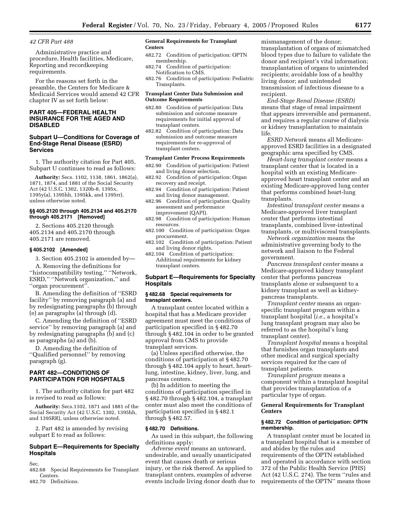## *42 CFR Part 488*

Administrative practice and procedure, Health facilities, Medicare, Reporting and recordkeeping requirements.

For the reasons set forth in the preamble, the Centers for Medicare & Medicaid Services would amend 42 CFR chapter IV as set forth below:

## **PART 405—FEDERAL HEALTH INSURANCE FOR THE AGED AND DISABLED**

## **Subpart U—Conditions for Coverage of End-Stage Renal Disease (ESRD) Services**

1. The authority citation for Part 405, Subpart U continues to read as follows:

**Authority:** Secs. 1102, 1138, 1861, 1862(a), 1871, 1874, and 1881 of the Social Security Act (42 U.S.C. 1302, 1320b-8, 1395x, 1395y(a), 1395hh, 1395kk, and 1395rr), unless otherwise noted.

#### **§§ 405.2120 through 405.2134 and 405.2170 through 405.2171 [Removed]**

2. Sections 405.2120 through 405.2134 and 405.2170 through 405.2171 are removed.

#### **§ 405.2102 [Amended]**

3. Section 405.2102 is amended by—

A. Removing the definitions for ''histocompatibility testing,'' ''Network, ESRD,'' ''Network organization,'' and ''organ procurement''.

B. Amending the definition of ''ESRD facility'' by removing paragraph (a) and by redesignating paragraphs (b) through (e) as paragraphs (a) through (d).

C. Amending the definition of ''ESRD service'' by removing paragraph (a) and by redesignating paragraphs (b) and (c) as paragraphs (a) and (b).

D. Amending the definition of ''Qualified personnel'' by removing paragraph (g).

## **PART 482—CONDITIONS OF PARTICIPATION FOR HOSPITALS**

1. The authority citation for part 482 is revised to read as follows:

**Authority:** Secs.1102, 1871 and 1881 of the Social Security Act (42 U.S.C. 1302, 1395hh, and 1395RR), unless otherwise noted.

2. Part 482 is amended by revising subpart E to read as follows:

## **Subpart E—Requirements for Specialty Hospitals**

Sec.

482.68 Special Requirements for Transplant Centers.

482.70 Definitions.

#### **General Requirements for Transplant Centers**

- 482.72 Condition of participation: OPTN membership.
- 482.74 Condition of participation: Notification to CMS.
- 482.76 Condition of participation: Pediatric Transplants.

#### **Transplant Center Data Submission and Outcome Requirements**

- 482.80 Condition of participation: Data submission and outcome measure requirements for initial approval of transplant centers.
- 482.82 Condition of participation: Data submission and outcome measure requirements for re-approval of transplant centers.

## **Transplant Center Process Requirements**

- 482.90 Condition of participation: Patient and living donor selection.
- 482.92 Condition of participation: Organ recovery and receipt.
- 482.94 Condition of participation: Patient and living donor management.
- 482.96 Condition of participation: Quality assessment and performance improvement (QAPI).
- 482.98 Condition of participation: Human resources.
- 482.100 Condition of participation: Organ procurement.
- 482.102 Condition of participation: Patient and living donor rights.
- 482.104 Condition of participation: Additional requirements for kidney transplant centers.

## **Subpart E—Requirements for Specialty Hospitals**

#### **§ 482.68 Special requirements for transplant centers.**

A transplant center located within a hospital that has a Medicare provider agreement must meet the conditions of participation specified in § 482.70 through § 482.104 in order to be granted approval from CMS to provide transplant services.

(a) Unless specified otherwise, the conditions of participation at § 482.70 through § 482.104 apply to heart, heartlung, intestine, kidney, liver, lung, and pancreas centers.

(b) In addition to meeting the conditions of participation specified in § 482.70 through § 482.104, a transplant center must also meet the conditions of participation specified in § 482.1 through § 482.57.

#### **§ 482.70 Definitions.**

As used in this subpart, the following definitions apply:

*Adverse event* means an untoward, undesirable, and usually unanticipated event that causes death or serious injury, or the risk thereof. As applied to transplant centers, examples of adverse events include living donor death due to mismanagement of the donor; transplantation of organs of mismatched blood types due to failure to validate the donor and recipient's vital information; transplantation of organs to unintended recipients; avoidable loss of a healthy living donor; and unintended transmission of infectious disease to a recipient.

*End-Stage Renal Disease (ESRD)* means that stage of renal impairment that appears irreversible and permanent, and requires a regular course of dialysis or kidney transplantation to maintain life.

*ESRD Network* means all Medicareapproved ESRD facilities in a designated geographic area specified by CMS.

*Heart-lung transplant center* means a transplant center that is located in a hospital with an existing Medicareapproved heart transplant center and an existing Medicare-approved lung center that performs combined heart-lung transplants.

*Intestinal transplant center* means a Medicare-approved liver transplant center that performs intestinal transplants, combined liver-intestinal transplants, or multivisceral transplants.

*Network organization* means the administrative governing body to the network and liaison to the Federal government.

*Pancreas transplant center* means a Medicare-approved kidney transplant center that performs pancreas transplants alone or subsequent to a kidney transplant as well as kidneypancreas transplants.

*Transplant center* means an organspecific transplant program within a transplant hospital (*i.e.*, a hospital's lung transplant program may also be referred to as the hospital's lung transplant center).

*Transplant hospital* means a hospital that furnishes organ transplants and other medical and surgical specialty services required for the care of transplant patients.

*Transplant program* means a component within a transplant hospital that provides transplantation of a particular type of organ.

## **General Requirements for Transplant Centers**

#### **§ 482.72 Condition of participation: OPTN membership.**

A transplant center must be located in a transplant hospital that is a member of and abides by the rules and requirements of the OPTN established and operated in accordance with section 372 of the Public Health Service (PHS) Act (42 U.S.C. 274). The term ''rules and requirements of the OPTN'' means those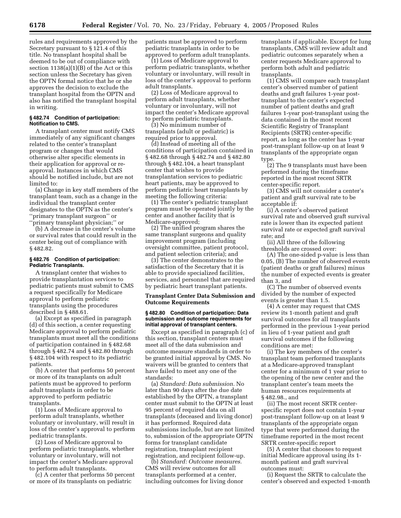rules and requirements approved by the Secretary pursuant to § 121.4 of this title. No transplant hospital shall be deemed to be out of compliance with section 1138(a)(1)(B) of the Act or this section unless the Secretary has given the OPTN formal notice that he or she approves the decision to exclude the transplant hospital from the OPTN and also has notified the transplant hospital in writing.

## **§ 482.74 Condition of participation: Notification to CMS.**

A transplant center must notify CMS immediately of any significant changes related to the center's transplant program or changes that would otherwise alter specific elements in their application for approval or reapproval. Instances in which CMS should be notified include, but are not limited to:

(a) Change in key staff members of the transplant team, such as a change in the individual the transplant center designates to the OPTN as the center's ''primary transplant surgeon'' or ''primary transplant physician;'' or

(b) A decrease in the center's volume or survival rates that could result in the

center being out of compliance with § 482.82.

#### **§ 482.76 Condition of participation: Pediatric Transplants.**

A transplant center that wishes to provide transplantation services to pediatric patients must submit to CMS a request specifically for Medicare approval to perform pediatric transplants using the procedures described in § 488.61.

(a) Except as specified in paragraph (d) of this section, a center requesting Medicare approval to perform pediatric transplants must meet all the conditions of participation contained in § 482.68 through § 482.74 and § 482.80 through § 482.104 with respect to its pediatric patients.

(b) A center that performs 50 percent or more of its transplants on adult patients must be approved to perform adult transplants in order to be approved to perform pediatric transplants.

(1) Loss of Medicare approval to perform adult transplants, whether voluntary or involuntary, will result in loss of the center's approval to perform pediatric transplants.

(2) Loss of Medicare approval to perform pediatric transplants, whether voluntary or involuntary, will not impact the center's Medicare approval to perform adult transplants.

(c) A center that performs 50 percent or more of its transplants on pediatric

patients must be approved to perform pediatric transplants in order to be approved to perform adult transplants.

(1) Loss of Medicare approval to perform pediatric transplants, whether voluntary or involuntary, will result in loss of the center's approval to perform adult transplants.

(2) Loss of Medicare approval to perform adult transplants, whether voluntary or involuntary, will not impact the center's Medicare approval to perform pediatric transplants.

(3) No minimum number of transplants (adult or pediatric) is required prior to approval.

(d) Instead of meeting all of the conditions of participation contained in § 482.68 through § 482.74 and § 482.80 through § 482.104, a heart transplant center that wishes to provide transplantation services to pediatric heart patients, may be approved to perform pediatric heart transplants by meeting the following criteria:

(1) The center's pediatric transplant program must be operated jointly by the center and another facility that is Medicare-approved;

(2) The unified program shares the same transplant surgeons and quality improvement program (including oversight committee, patient protocol, and patient selection criteria); and

(3) The center demonstrates to the satisfaction of the Secretary that it is able to provide specialized facilities, services, and personnel that are required by pediatric heart transplant patients.

#### **Transplant Center Data Submission and Outcome Requirements**

#### **§ 482.80 Condition of participation: Data submission and outcome requirements for initial approval of transplant centers.**

Except as specified in paragraph (c) of this section, transplant centers must meet all of the data submission and outcome measure standards in order to be granted initial approval by CMS. No waivers will be granted to centers that have failed to meet any one of the standards:

(a) *Standard: Data submission.* No later than 90 days after the due date established by the OPTN, a transplant center must submit to the OPTN at least 95 percent of required data on all transplants (deceased and living donor) it has performed. Required data submissions include, but are not limited to, submission of the appropriate OPTN forms for transplant candidate registration, transplant recipient registration, and recipient follow-up.

(b) *Standard: Outcome measures.* CMS will review outcomes for all transplants performed at a center, including outcomes for living donor transplants if applicable. Except for lung transplants, CMS will review adult and pediatric outcomes separately when a center requests Medicare approval to perform both adult and pediatric transplants.

(1) CMS will compare each transplant center's observed number of patient deaths and graft failures 1-year posttransplant to the center's expected number of patient deaths and graft failures 1-year post-transplant using the data contained in the most recent Scientific Registry of Transplant Recipients (SRTR) center-specific report, as long as the center has 1-year post-transplant follow-up on at least 9 transplants of the appropriate organ type.

(2) The 9 transplants must have been performed during the timeframe reported in the most recent SRTR center-specific report.

(3) CMS will not consider a center's patient and graft survival rate to be acceptable if:

(i) A center's observed patient survival rate and observed graft survival rate is lower than its expected patient survival rate or expected graft survival rate; and

(ii) All three of the following thresholds are crossed over:

(A) The one-sided p-value is less than 0.05, (B) The number of observed events (patient deaths or graft failures) minus the number of expected events is greater than 3, and

(C) The number of observed events divided by the number of expected events is greater than 1.5.

(4) A center may request that CMS review its 1-month patient and graft survival outcomes for all transplants performed in the previous 1-year period in lieu of 1-year patient and graft survival outcomes if the following conditions are met:

(i) The key members of the center's transplant team performed transplants at a Medicare-approved transplant center for a minimum of 1 year prior to the opening of the new center and the transplant center's team meets the human resources requirements at § 482.98., and

(ii) The most recent SRTR centerspecific report does not contain 1-year post-transplant follow-up on at least 9 transplants of the appropriate organ type that were performed during the timeframe reported in the most recent SRTR center-specific report

(5) A center that chooses to request initial Medicare approval using its 1 month patient and graft survival outcomes must:

(i) Request the SRTR to calculate the center's observed and expected 1-month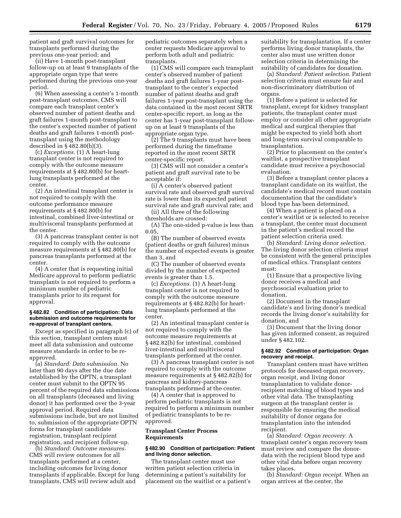patient and graft survival outcomes for transplants performed during the previous one-year period; and

(ii) Have 1-month post-transplant follow-up on at least 9 transplants of the appropriate organ type that were performed during the previous one-year period.

(6) When assessing a center's 1-month post-transplant outcomes, CMS will compare each transplant center's observed number of patient deaths and graft failures 1-month post-transplant to the center's expected number of patient deaths and graft failures 1-month posttransplant using the methodology described in § 482.80(b)(3).

(c) *Exceptions.* (1) A heart-lung transplant center is not required to comply with the outcome measure requirements at § 482.80(b) for heartlung transplants performed at the center.

(2) An intestinal transplant center is not required to comply with the outcome performance measure requirements at § 482.80(b) for intestinal, combined liver-intestinal or multivisceral transplants performed at the center.

(3) A pancreas transplant center is not required to comply with the outcome measure requirements at § 482.80(b) for pancreas transplants performed at the center.

(4) A center that is requesting initial Medicare approval to perform pediatric transplants is not required to perform a minimum number of pediatric transplants prior to its request for approval.

#### **§ 482.82 Condition of participation: Data submission and outcome requirements for re-approval of transplant centers.**

Except as specified in paragraph (c) of this section, transplant centers must meet all data submission and outcome measure standards in order to be reapproved.

(a) *Standard: Data submission.* No later than 90 days after the due date established by the OPTN, a transplant center must submit to the OPTN 95 percent of the required data submissions on all transplants (deceased and living donor) it has performed over the 3-year approval period. Required data submissions include, but are not limited to, submission of the appropriate OPTN forms for transplant candidate registration, transplant recipient registration, and recipient follow-up.

(b) *Standard: Outcome measures.* CMS will review outcomes for all transplants performed at a center, including outcomes for living donor transplants if applicable. Except for lung transplants, CMS will review adult and

pediatric outcomes separately when a center requests Medicare approval to perform both adult and pediatric transplants.

(1) CMS will compare each transplant center's observed number of patient deaths and graft failures 1-year posttransplant to the center's expected number of patient deaths and graft failures 1-year post-transplant using the data contained in the most recent SRTR center-specific report, as long as the center has 1-year post-transplant followup on at least 9 transplants of the appropriate organ type.

(2) The 9 transplants must have been performed during the timeframe reported in the most recent SRTR center-specific report.

(3) CMS will not consider a center's patient and graft survival rate to be acceptable if:

(i) A center's observed patient survival rate and observed graft survival rate is lower than its expected patient survival rate and graft survival rate; and

(ii) All three of the following thresholds are crossed:

(A) The one-sided p-value is less than 0.05,

(B) The number of observed events (patient deaths or graft failures) minus the number of expected events is greater than 3, and

(C) The number of observed events divided by the number of expected events is greater than 1.5.

(c) *Exceptions.* (1) A heart-lung transplant center is not required to comply with the outcome measure requirements at § 482.82(b) for heartlung transplants performed at the center.

(2) An intestinal transplant center is not required to comply with the outcome measure requirements at § 482.82(b) for intestinal, combined liver-intestinal and multivisceral transplants performed at the center.

(3) A pancreas transplant center is not required to comply with the outcome measure requirements at § 482.82(b) for pancreas and kidney-pancreas transplants performed at the center.

(4) A center that is approved to perform pediatric transplants is not required to perform a minimum number of pediatric transplants to be reapproved.

## **Transplant Center Process Requirements**

#### **§ 482.90 Condition of participation: Patient and living donor selection.**

The transplant center must use written patient selection criteria in determining a patient's suitability for placement on the waitlist or a patient's suitability for transplantation. If a center performs living donor transplants, the center also must use written donor selection criteria in determining the suitability of candidates for donation.

(a) *Standard: Patient selection.* Patient selection criteria must ensure fair and non-discriminatory distribution of organs.

(1) Before a patient is selected for transplant, except for kidney transplant patients, the transplant center must employ or consider all other appropriate medical and surgical therapies that might be expected to yield both short and long-term survival comparable to transplantation.

(2) Prior to placement on the center's waitlist, a prospective transplant candidate must receive a psychosocial evaluation.

(3) Before a transplant center places a transplant candidate on its waitlist, the candidate's medical record must contain documentation that the candidate's blood type has been determined.

(4) When a patient is placed on a center's waitlist or is selected to receive a transplant, the center must document in the patient's medical record the patient selection criteria used.

(b) *Standard: Living donor selection.* The living donor selection criteria must be consistent with the general principles of medical ethics. Transplant centers must:

(1) Ensure that a prospective living donor receives a medical and psychosocial evaluation prior to donation,

(2) Document in the transplant candidate's and living donor's medical records the living donor's suitability for donation, and

(3) Document that the living donor has given informed consent, as required under § 482.102.

#### **§ 482.92 Condition of participation: Organ recovery and receipt.**

Transplant centers must have written protocols for deceased organ recovery, organ receipt, and living donor transplantation to validate donorrecipient matching of blood types and other vital data. The transplanting surgeon at the transplant center is responsible for ensuring the medical suitability of donor organs for transplantation into the intended recipient.

(a) *Standard: Organ recovery.* A transplant center's organ recovery team must review and compare the donordata with the recipient blood type and other vital data before organ recovery takes places.

(b) *Standard: Organ receipt.* When an organ arrives at the center, the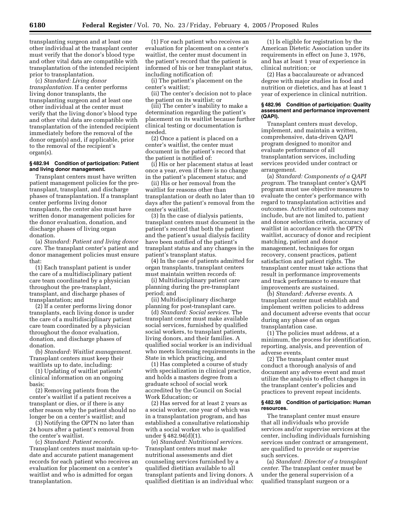transplanting surgeon and at least one other individual at the transplant center must verify that the donor's blood type and other vital data are compatible with transplantation of the intended recipient prior to transplantation.

(c) *Standard: Living donor transplantation.* If a center performs living donor transplants, the transplanting surgeon and at least one other individual at the center must verify that the living donor's blood type and other vital data are compatible with transplantation of the intended recipient immediately before the removal of the donor organ(s) and, if applicable, prior to the removal of the recipient's organ(s).

#### **§ 482.94 Condition of participation: Patient and living donor management.**

Transplant centers must have written patient management policies for the pretransplant, transplant, and discharge phases of transplantation. If a transplant center performs living donor transplants, the center also must have written donor management policies for the donor evaluation, donation, and discharge phases of living organ donation.

(a) *Standard: Patient and living donor care.* The transplant center's patient and donor management policies must ensure that:

(1) Each transplant patient is under the care of a multidisciplinary patient care team coordinated by a physician throughout the pre-transplant, transplant, and discharge phases of transplantation; and

(2) If a center performs living donor transplants, each living donor is under the care of a multidisciplinary patient care team coordinated by a physician throughout the donor evaluation, donation, and discharge phases of donation.

(b) *Standard: Waitlist management.* Transplant centers must keep their waitlists up to date, including:

(1) Updating of waitlist patients' clinical information on an ongoing basis;

(2) Removing patients from the center's waitlist if a patient receives a transplant or dies, or if there is any other reason why the patient should no longer be on a center's waitlist; and

(3) Notifying the OPTN no later than 24 hours after a patient's removal from the center's waitlist.

(c) *Standard: Patient records.* Transplant centers must maintain up-todate and accurate patient management records for each patient who receives an evaluation for placement on a center's waitlist and who is admitted for organ transplantation.

(1) For each patient who receives an evaluation for placement on a center's waitlist, the center must document in the patient's record that the patient is informed of his or her transplant status, including notification of:

(i) The patient's placement on the center's waitlist;

(ii) The center's decision not to place the patient on its waitlist; or

(iii) The center's inability to make a determination regarding the patient's placement on its waitlist because further clinical testing or documentation is needed.

(2) Once a patient is placed on a center's waitlist, the center must document in the patient's record that the patient is notified of:

(i) His or her placement status at least once a year, even if there is no change in the patient's placement status; and

(ii) His or her removal from the waitlist for reasons other than transplantation or death no later than 10 days after the patient's removal from the center's waitlist.

(3) In the case of dialysis patients, transplant centers must document in the patient's record that both the patient and the patient's usual dialysis facility have been notified of the patient's transplant status and any changes in the patient's transplant status.

(4) In the case of patients admitted for organ transplants, transplant centers must maintain written records of:

(i) Multidisciplinary patient care planning during the pre-transplant period; and

(ii) Multidisciplinary discharge planning for post-transplant care.

(d) *Standard: Social services.* The transplant center must make available social services, furnished by qualified social workers, to transplant patients, living donors, and their families. A qualified social worker is an individual who meets licensing requirements in the State in which practicing, and

(1) Has completed a course of study with specialization in clinical practice, and holds a masters degree from a graduate school of social work accredited by the Council on Social Work Education; or

(2) Has served for at least 2 years as a social worker, one year of which was in a transplantation program, and has established a consultative relationship with a social worker who is qualified under § 482.94(d)(1).

(e) *Standard: Nutritional services.* Transplant centers must make nutritional assessments and diet counseling services furnished by a qualified dietitian available to all transplant patients and living donors. A qualified dietitian is an individual who:

(1) Is eligible for registration by the American Dietetic Association under its requirements in effect on June 3, 1976, and has at least 1 year of experience in clinical nutrition; or

(2) Has a baccalaureate or advanced degree with major studies in food and nutrition or dietetics, and has at least 1 year of experience in clinical nutrition.

#### **§ 482.96 Condition of participation: Quality assessment and performance improvement (QAPI).**

Transplant centers must develop, implement, and maintain a written, comprehensive, data-driven QAPI program designed to monitor and evaluate performance of all transplantation services, including services provided under contract or arrangement.

(a) *Standard: Components of a QAPI program.* The transplant center's QAPI program must use objective measures to evaluate the center's performance with regard to transplantation activities and outcomes. Activities and outcomes may include, but are not limited to, patient and donor selection criteria, accuracy of waitlist in accordance with the OPTN waitlist, accuracy of donor and recipient matching, patient and donor management, techniques for organ recovery, consent practices, patient satisfaction and patient rights. The transplant center must take actions that result in performance improvements and track performance to ensure that improvements are sustained.

(b) *Standard: Adverse events.* A transplant center must establish and implement written policies to address and document adverse events that occur during any phase of an organ transplantation case.

(1) The policies must address, at a minimum, the process for identification, reporting, analysis, and prevention of adverse events.

(2) The transplant center must conduct a thorough analysis of and document any adverse event and must utilize the analysis to effect changes in the transplant center's policies and practices to prevent repeat incidents.

#### **§ 482.98 Condition of participation: Human resources.**

The transplant center must ensure that all individuals who provide services and/or supervise services at the center, including individuals furnishing services under contract or arrangement, are qualified to provide or supervise such services.

(a) *Standard: Director of a transplant center.* The transplant center must be under the general supervision of a qualified transplant surgeon or a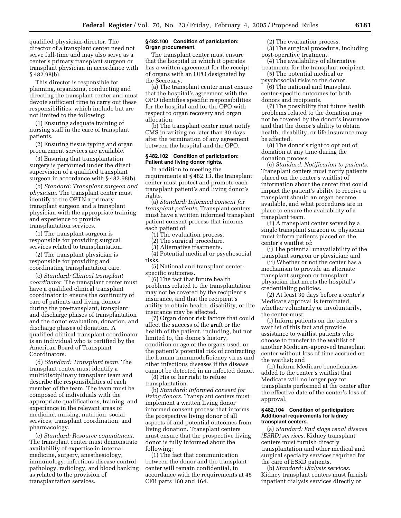qualified physician-director. The director of a transplant center need not serve full-time and may also serve as a center's primary transplant surgeon or transplant physician in accordance with § 482.98(b).

This director is responsible for planning, organizing, conducting and directing the transplant center and must devote sufficient time to carry out these responsibilities, which include but are not limited to the following:

(1) Ensuring adequate training of nursing staff in the care of transplant patients.

(2) Ensuring tissue typing and organ procurement services are available.

(3) Ensuring that transplantation surgery is performed under the direct supervision of a qualified transplant surgeon in accordance with § 482.98(b).

(b) *Standard: Transplant surgeon and physician.* The transplant center must identify to the OPTN a primary transplant surgeon and a transplant physician with the appropriate training and experience to provide transplantation services.

(1) The transplant surgeon is responsible for providing surgical services related to transplantation.

(2) The transplant physician is responsible for providing and coordinating transplantation care.

(c) *Standard: Clinical transplant coordinator.* The transplant center must have a qualified clinical transplant coordinator to ensure the continuity of care of patients and living donors during the pre-transplant, transplant and discharge phases of transplantation and the donor evaluation, donation, and discharge phases of donation. A qualified clinical transplant coordinator is an individual who is certified by the American Board of Transplant Coordinators.

(d) *Standard: Transplant team.* The transplant center must identify a multidisciplinary transplant team and describe the responsibilities of each member of the team. The team must be composed of individuals with the appropriate qualifications, training, and experience in the relevant areas of medicine, nursing, nutrition, social services, transplant coordination, and pharmacology.

(e) *Standard: Resource commitment.* The transplant center must demonstrate availability of expertise in internal medicine, surgery, anesthesiology, immunology, infectious disease control, pathology, radiology, and blood banking as related to the provision of transplantation services.

#### **§ 482.100 Condition of participation: Organ procurement.**

The transplant center must ensure that the hospital in which it operates has a written agreement for the receipt of organs with an OPO designated by the Secretary.

(a) The transplant center must ensure that the hospital's agreement with the OPO identifies specific responsibilities for the hospital and for the OPO with respect to organ recovery and organ allocation.

(b) The transplant center must notify CMS in writing no later than 30 days after the termination of any agreement between the hospital and the OPO.

## **§ 482.102 Condition of participation: Patient and living donor rights.**

In addition to meeting the requirements at § 482.13, the transplant center must protect and promote each transplant patient's and living donor's rights.

(a) *Standard: Informed consent for transplant patients.* Transplant centers must have a written informed transplant patient consent process that informs each patient of:

(1) The evaluation process.

(2) The surgical procedure.

(3) Alternative treatments.

(4) Potential medical or psychosocial risks.

(5) National and transplant centerspecific outcomes.

(6) The fact that future health problems related to the transplantation may not be covered by the recipient's insurance, and that the recipient's ability to obtain health, disability, or life insurance may be affected.

(7) Organ donor risk factors that could affect the success of the graft or the health of the patient, including, but not limited to, the donor's history, condition or age of the organs used, or the patient's potential risk of contracting the human immunodeficiency virus and other infectious diseases if the disease cannot be detected in an infected donor.

(8) His or her right to refuse transplantation.

(b) *Standard: Informed consent for living donors.* Transplant centers must implement a written living donor informed consent process that informs the prospective living donor of all aspects of and potential outcomes from living donation. Transplant centers must ensure that the prospective living donor is fully informed about the following:

(1) The fact that communication between the donor and the transplant center will remain confidential, in accordance with the requirements at 45 CFR parts 160 and 164.

(2) The evaluation process.

(3) The surgical procedure, including post-operative treatment.

(4) The availability of alternative treatments for the transplant recipient.

(5) The potential medical or psychosocial risks to the donor.

(6) The national and transplant center-specific outcomes for both donors and recipients.

(7) The possibility that future health problems related to the donation may not be covered by the donor's insurance and that the donor's ability to obtain health, disability, or life insurance may be affected.

(8) The donor's right to opt out of donation at any time during the donation process.

(c) *Standard: Notification to patients.* Transplant centers must notify patients placed on the center's waitlist of information about the center that could impact the patient's ability to receive a transplant should an organ become available, and what procedures are in place to ensure the availability of a transplant team.

(1) A transplant center served by a single transplant surgeon or physician must inform patients placed on the center's waitlist of:

(i) The potential unavailability of the transplant surgeon or physician; and

(ii) Whether or not the center has a mechanism to provide an alternate transplant surgeon or transplant physician that meets the hospital's credentialing policies.

(2) At least 30 days before a center's Medicare approval is terminated, whether voluntarily or involuntarily, the center must:

(i) Inform patients on the center's waitlist of this fact and provide assistance to waitlist patients who choose to transfer to the waitlist of another Medicare-approved transplant center without loss of time accrued on the waitlist; and

(ii) Inform Medicare beneficiaries added to the center's waitlist that Medicare will no longer pay for transplants performed at the center after the effective date of the center's loss of approval.

#### **§ 482.104 Condition of participation: Additional requirements for kidney transplant centers.**

(a) *Standard: End stage renal disease (ESRD) services.* Kidney transplant centers must furnish directly transplantation and other medical and surgical specialty services required for the care of ESRD patients.

(b) *Standard: Dialysis services.* Kidney transplant centers must furnish inpatient dialysis services directly or